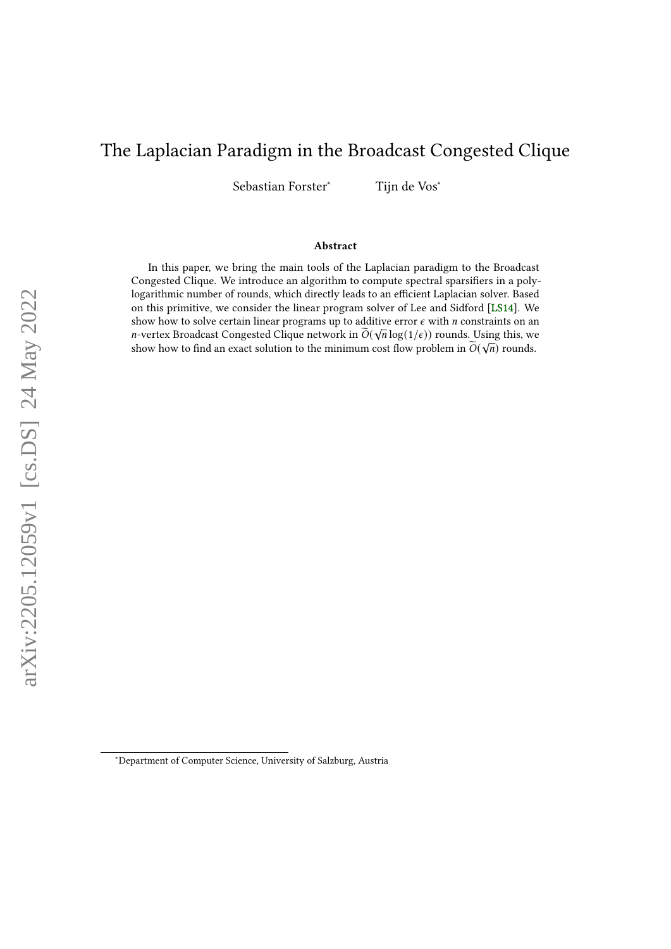# <span id="page-0-0"></span>The Laplacian Paradigm in the Broadcast Congested Clique

Sebastian Forster<sup>∗</sup> Tijn de Vos<sup>∗</sup>

#### Abstract

In this paper, we bring the main tools of the Laplacian paradigm to the Broadcast Congested Clique. We introduce an algorithm to compute spectral sparsifiers in a polylogarithmic number of rounds, which directly leads to an efficient Laplacian solver. Based on this primitive, we consider the linear program solver of Lee and Sidford [\[LS14\]](#page-37-0). We show how to solve certain linear programs up to additive error  $\epsilon$  with *n* constraints on an *n*-vertex Broadcast Congested Clique network in  $\widetilde{O}(\sqrt{n}\log(1/\epsilon))$  rounds. Using this, we show how to find an exact solution to the minimum cost flow problem in  $\widetilde{O}(\sqrt{n})$  rounds.

<sup>∗</sup>Department of Computer Science, University of Salzburg, Austria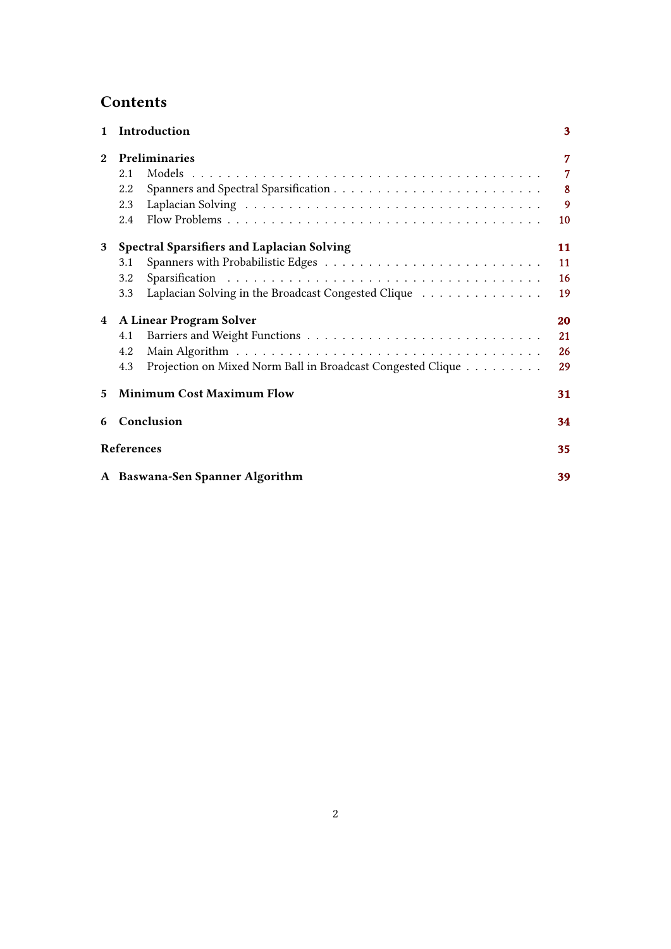# **Contents**

| $\mathbf{1}$   | Introduction                                                       | 3               |
|----------------|--------------------------------------------------------------------|-----------------|
| $\overline{2}$ | <b>Preliminaries</b>                                               | 7               |
|                | 2.1                                                                | $\overline{7}$  |
|                | 2.2                                                                | 8 <sup>°</sup>  |
|                | 2.3                                                                | 9               |
|                | 2.4                                                                | 10 <sup>°</sup> |
| 3              | <b>Spectral Sparsifiers and Laplacian Solving</b>                  | 11              |
|                | 3.1                                                                | 11              |
|                | 3.2                                                                | 16              |
|                | Laplacian Solving in the Broadcast Congested Clique<br>3.3         | 19              |
| 4              | A Linear Program Solver                                            | 20              |
|                | 4.1                                                                | 21              |
|                | 4.2                                                                | 26              |
|                | Projection on Mixed Norm Ball in Broadcast Congested Clique<br>4.3 | 29              |
| 5              | <b>Minimum Cost Maximum Flow</b><br>31                             |                 |
| 6              | Conclusion                                                         | 34              |
|                | References                                                         | 35              |
|                | A Baswana-Sen Spanner Algorithm<br>39                              |                 |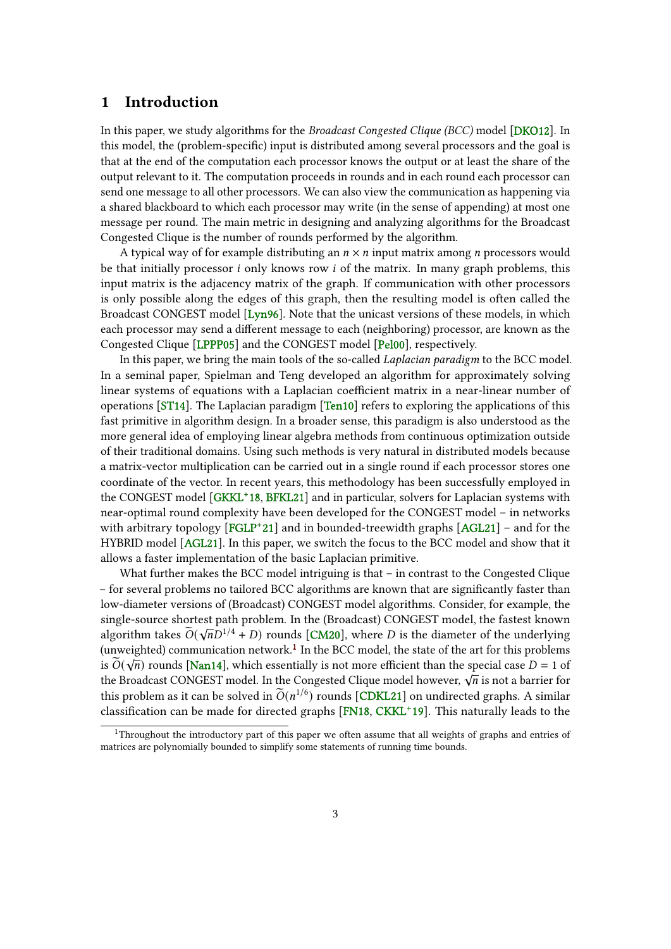## <span id="page-2-2"></span><span id="page-2-0"></span>1 Introduction

In this paper, we study algorithms for the Broadcast Congested Clique (BCC) model [\[DKO12\]](#page-35-0). In this model, the (problem-specific) input is distributed among several processors and the goal is that at the end of the computation each processor knows the output or at least the share of the output relevant to it. The computation proceeds in rounds and in each round each processor can send one message to all other processors. We can also view the communication as happening via a shared blackboard to which each processor may write (in the sense of appending) at most one message per round. The main metric in designing and analyzing algorithms for the Broadcast Congested Clique is the number of rounds performed by the algorithm.

A typical way of for example distributing an  $n \times n$  input matrix among *n* processors would be that initially processor  $i$  only knows row  $i$  of the matrix. In many graph problems, this input matrix is the adjacency matrix of the graph. If communication with other processors is only possible along the edges of this graph, then the resulting model is often called the Broadcast CONGEST model [\[Lyn96\]](#page-37-1). Note that the unicast versions of these models, in which each processor may send a different message to each (neighboring) processor, are known as the Congested Clique [\[LPPP05\]](#page-37-2) and the CONGEST model [\[Pel00\]](#page-38-1), respectively.

In this paper, we bring the main tools of the so-called Laplacian paradigm to the BCC model. In a seminal paper, Spielman and Teng developed an algorithm for approximately solving linear systems of equations with a Laplacian coefficient matrix in a near-linear number of operations [\[ST14\]](#page-38-2). The Laplacian paradigm [\[Ten10\]](#page-38-3) refers to exploring the applications of this fast primitive in algorithm design. In a broader sense, this paradigm is also understood as the more general idea of employing linear algebra methods from continuous optimization outside of their traditional domains. Using such methods is very natural in distributed models because a matrix-vector multiplication can be carried out in a single round if each processor stores one coordinate of the vector. In recent years, this methodology has been successfully employed in the CONGEST model [\[GKKL](#page-36-0)<sup>+</sup>18, [BFKL21\]](#page-34-1) and in particular, solvers for Laplacian systems with near-optimal round complexity have been developed for the CONGEST model – in networks with arbitrary topology [\[FGLP](#page-36-1)<sup>+</sup>21] and in bounded-treewidth graphs [\[AGL21\]](#page-34-2) – and for the HYBRID model [\[AGL21\]](#page-34-2). In this paper, we switch the focus to the BCC model and show that it allows a faster implementation of the basic Laplacian primitive.

What further makes the BCC model intriguing is that – in contrast to the Congested Clique – for several problems no tailored BCC algorithms are known that are signicantly faster than low-diameter versions of (Broadcast) CONGEST model algorithms. Consider, for example, the single-source shortest path problem. In the (Broadcast) CONGEST model, the fastest known algorithm takes  $\widetilde{O}(\sqrt{n}D^{1/4} + D)$  rounds [\[CM20\]](#page-35-1), where D is the diameter of the underlying (unweighted) communication network.<sup>[1](#page-2-1)</sup> In the BCC model, the state of the art for this problems is  $\widetilde{O}(\sqrt{n})$  rounds [\[Nan14\]](#page-38-4), which essentially is not more efficient than the special case  $D = 1$  of the Broadcast CONGEST model. In the Congested Clique model however,  $\sqrt{n}$  is not a barrier for the Broadcast CONGEST model. In the Congested Clique model however,  $\sqrt{n}$  is not a barrier for this problem as it can be solved in  $\widetilde{O}(n^{1/6})$  rounds [\[CDKL21\]](#page-35-2) on undirected graphs. A similar  $\alpha$  classification can be made for directed graphs [\[FN18,](#page-36-2) [CKKL](#page-35-3)<sup>+</sup>19]. This naturally leads to the

<span id="page-2-1"></span><sup>&</sup>lt;sup>1</sup>Throughout the introductory part of this paper we often assume that all weights of graphs and entries of matrices are polynomially bounded to simplify some statements of running time bounds.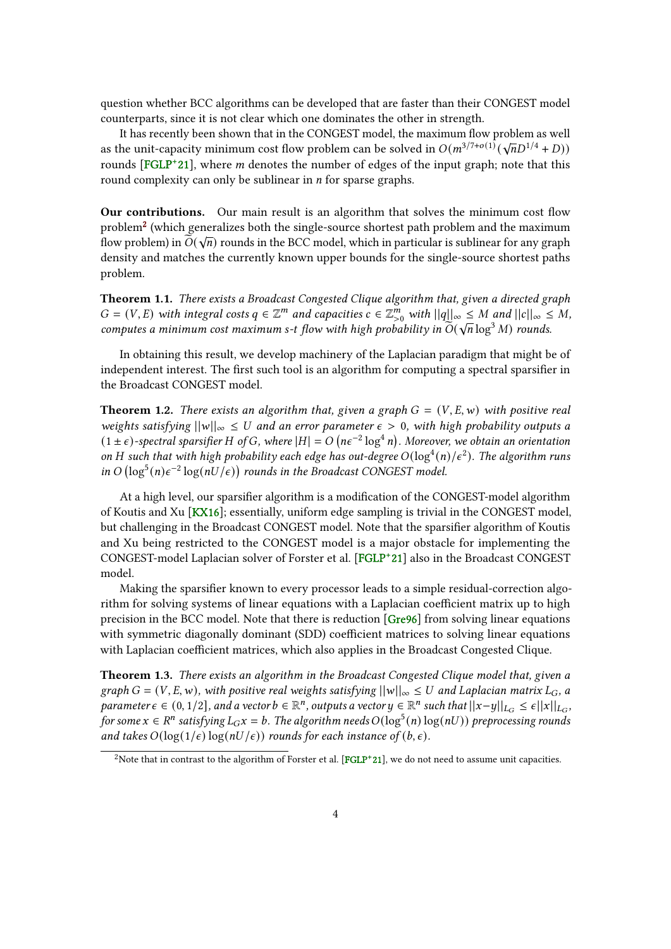<span id="page-3-4"></span>question whether BCC algorithms can be developed that are faster than their CONGEST model counterparts, since it is not clear which one dominates the other in strength.

It has recently been shown that in the CONGEST model, the maximum flow problem as well It has recently been shown that in the CONGEST model, the maximum now problem as well<br>as the unit-capacity minimum cost flow problem can be solved in  $O(m^{3/7+o(1)}(\sqrt{n}D^{1/4}+D))$ rounds [\[FGLP](#page-36-1)<sup>+</sup>21], where *m* denotes the number of edges of the input graph; note that this round complexity can only be sublinear in  $n$  for sparse graphs.

Our contributions. Our main result is an algorithm that solves the minimum cost flow problem<sup>[2](#page-3-0)</sup> (which generalizes both the single-source shortest path problem and the maximum flow problem) in  $\widetilde{O}(\sqrt{n})$  rounds in the BCC model, which in particular is sublinear for any graph density and matches the currently known upper bounds for the single-source shortest paths problem.

<span id="page-3-3"></span>Theorem 1.1. There exists a Broadcast Congested Clique algorithm that, given a directed graph  $G = (V, E)$  with integral costs  $q \in \mathbb{Z}^m$  and capacities  $c \in \mathbb{Z}_{>0}^m$  with  $||q||_{\infty} \leq M$  and  $||c||_{\infty} \leq M$ , computes a minimum cost maximum s-t flow with high probability in  $\tilde{O}(\sqrt{n}\log^3 M)$  rounds.

In obtaining this result, we develop machinery of the Laplacian paradigm that might be of independent interest. The first such tool is an algorithm for computing a spectral sparsifier in the Broadcast CONGEST model.

<span id="page-3-1"></span>**Theorem 1.2.** There exists an algorithm that, given a graph  $G = (V, E, w)$  with positive real weights satisfying  $||w||_{\infty} \leq U$  and an error parameter  $\epsilon > 0$ , with high probability outputs a  $(1 \pm \epsilon)$ -spectral sparsifier H of G, where  $|H| = O(n\epsilon^{-2} \log^4 n)$ . Moreover, we obtain an orientation on H such that with high probability each edge has out-degree  $O(\log^4(n)/\epsilon^2)$ . The algorithm runs in  $O(\log^5(n)\epsilon^{-2}\log(nU/\epsilon))$  rounds in the Broadcast CONGEST model.

At a high level, our sparsifier algorithm is a modification of the CONGEST-model algorithm of Koutis and Xu [\[KX16\]](#page-37-3); essentially, uniform edge sampling is trivial in the CONGEST model, but challenging in the Broadcast CONGEST model. Note that the sparsifier algorithm of Koutis and Xu being restricted to the CONGEST model is a major obstacle for implementing the CONGEST-model Laplacian solver of Forster et al. [\[FGLP](#page-36-1)<sup>+</sup> 21] also in the Broadcast CONGEST model.

Making the sparsifier known to every processor leads to a simple residual-correction algorithm for solving systems of linear equations with a Laplacian coefficient matrix up to high precision in the BCC model. Note that there is reduction [\[Gre96\]](#page-36-3) from solving linear equations with symmetric diagonally dominant (SDD) coefficient matrices to solving linear equations with Laplacian coefficient matrices, which also applies in the Broadcast Congested Clique.

<span id="page-3-2"></span>Theorem 1.3. There exists an algorithm in the Broadcast Congested Clique model that, given a graph  $G = (V, E, w)$ , with positive real weights satisfying  $||w||_{\infty} \leq U$  and Laplacian matrix  $L_G$ , a parameter  $\epsilon \in (0, 1/2]$ , and a vector  $b \in \mathbb{R}^n$ , outputs a vector  $y \in \mathbb{R}^n$  such that  $||x-y||_{L_G} \leq \epsilon ||x||_{L_G}$ for some  $x \in R^n$  satisfying  $L_G x = b$ . The algorithm needs  $O(log^5(n) \log(nU))$  preprocessing rounds and takes  $O(\log(1/\epsilon) \log(nU/\epsilon))$  rounds for each instance of  $(b, \epsilon)$ .

<span id="page-3-0"></span><sup>&</sup>lt;sup>2</sup>Note that in contrast to the algorithm of Forster et al. [\[FGLP](#page-36-1)<sup>+</sup>21], we do not need to assume unit capacities.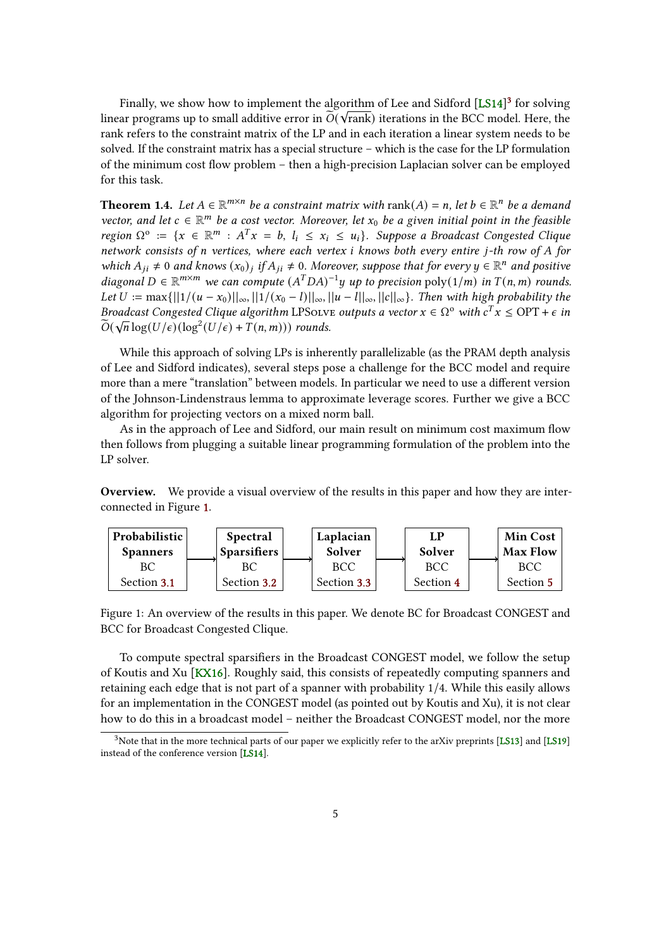<span id="page-4-3"></span>Finally, we show how to implement the algorithm of Lee and Sidford  $[LS14]^3$  $[LS14]^3$  $[LS14]^3$  for solving linear programs up to small additive error in  $\widetilde{O}(\sqrt{\text{rank}})$  iterations in the BCC model. Here, the rank refers to the constraint matrix of the LP and in each iteration a linear system needs to be solved. If the constraint matrix has a special structure – which is the case for the LP formulation of the minimum cost flow problem – then a high-precision Laplacian solver can be employed for this task.

<span id="page-4-2"></span>**Theorem 1.4.** Let  $A \in \mathbb{R}^{m \times n}$  be a constraint matrix with rank $(A) = n$ , let  $b \in \mathbb{R}^n$  be a demand vector, and let  $c \in \mathbb{R}^m$  be a cost vector. Moreover, let  $x_0$  be a given initial point in the feasible region  $\Omega^o := \{x \in \mathbb{R}^m : A^T x = b, l_i \le x_i \le u_i\}$ . Suppose a Broadcast Congested Clique network consists of  $n$  vertices, where each vertex  $i$  knows both every entire  $j$ -th row of  $A$  for which  $A_{ji} \neq 0$  and knows  $(x_0)_j$  if  $A_{ji} \neq 0$ . Moreover, suppose that for every  $y \in \mathbb{R}^n$  and positive diagonal  $D \in \mathbb{R}^{m \times m}$  we can compute  $(A^TDA)^{-1}y$  up to precision poly $(1/m)$  in  $T(n, m)$  rounds. Let  $U := \max\{||1/(u - x_0)||_{\infty}, ||1/(x_0 - l)||_{\infty}, ||u - l||_{\infty}, ||c||_{\infty}\}.$  Then with high probability the Broadcast Congested Clique algorithm LPSolve outputs a vector  $x \in \Omega^{\circ}$  with  $c^{T}x \le \text{OPT} + \epsilon$  in  $\widetilde{O}(\sqrt{n}\log(U/\epsilon))(\log^2(U/\epsilon)+T(n,m)))$  rounds.

While this approach of solving LPs is inherently parallelizable (as the PRAM depth analysis of Lee and Sidford indicates), several steps pose a challenge for the BCC model and require more than a mere "translation" between models. In particular we need to use a different version of the Johnson-Lindenstraus lemma to approximate leverage scores. Further we give a BCC algorithm for projecting vectors on a mixed norm ball.

As in the approach of Lee and Sidford, our main result on minimum cost maximum flow then follows from plugging a suitable linear programming formulation of the problem into the LP solver.

Overview. We provide a visual overview of the results in this paper and how they are interconnected in Figure [1.](#page-4-1)



<span id="page-4-1"></span>Figure 1: An overview of the results in this paper. We denote BC for Broadcast CONGEST and BCC for Broadcast Congested Clique.

To compute spectral sparsifiers in the Broadcast CONGEST model, we follow the setup of Koutis and Xu [\[KX16\]](#page-37-3). Roughly said, this consists of repeatedly computing spanners and retaining each edge that is not part of a spanner with probability 1/4. While this easily allows for an implementation in the CONGEST model (as pointed out by Koutis and Xu), it is not clear how to do this in a broadcast model – neither the Broadcast CONGEST model, nor the more

<span id="page-4-0"></span> $3$ Note that in the more technical parts of our paper we explicitly refer to the arXiv preprints [\[LS13\]](#page-37-4) and [\[LS19\]](#page-37-5) instead of the conference version [\[LS14\]](#page-37-0).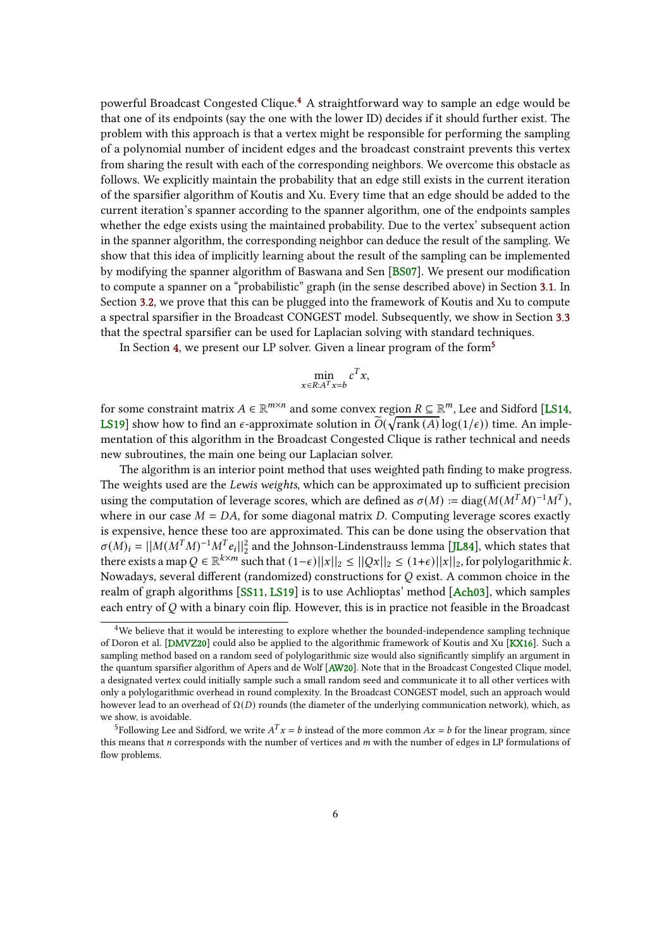<span id="page-5-2"></span>powerful Broadcast Congested Clique.[4](#page-5-0) A straightforward way to sample an edge would be that one of its endpoints (say the one with the lower ID) decides if it should further exist. The problem with this approach is that a vertex might be responsible for performing the sampling of a polynomial number of incident edges and the broadcast constraint prevents this vertex from sharing the result with each of the corresponding neighbors. We overcome this obstacle as follows. We explicitly maintain the probability that an edge still exists in the current iteration of the sparsier algorithm of Koutis and Xu. Every time that an edge should be added to the current iteration's spanner according to the spanner algorithm, one of the endpoints samples whether the edge exists using the maintained probability. Due to the vertex' subsequent action in the spanner algorithm, the corresponding neighbor can deduce the result of the sampling. We show that this idea of implicitly learning about the result of the sampling can be implemented by modifying the spanner algorithm of Baswana and Sen [\[BS07\]](#page-35-4). We present our modication to compute a spanner on a "probabilistic" graph (in the sense described above) in Section [3.1.](#page-10-1) In Section [3.2,](#page-15-0) we prove that this can be plugged into the framework of Koutis and Xu to compute a spectral sparsifier in the Broadcast CONGEST model. Subsequently, we show in Section [3.3](#page-18-0) that the spectral sparsifier can be used for Laplacian solving with standard techniques.

In Section [4,](#page-19-0) we present our LP solver. Given a linear program of the form<sup>[5](#page-5-1)</sup>

$$
\min_{x \in R: A^T x = b} c^T x,
$$

for some constraint matrix  $A \in \mathbb{R}^{m \times n}$  and some convex region  $R \subseteq \mathbb{R}^m$ , Lee and Sidford [\[LS14,](#page-37-0) [LS19\]](#page-37-5) show how to find an  $\epsilon$ -approximate solution in  $\widetilde{O}(\sqrt{\text{rank}(A)}\log(1/\epsilon))$  time. An implementation of this algorithm in the Broadcast Congested Clique is rather technical and needs new subroutines, the main one being our Laplacian solver.

The algorithm is an interior point method that uses weighted path finding to make progress. The weights used are the Lewis weights, which can be approximated up to sufficient precision using the computation of leverage scores, which are defined as  $\sigma(M) := \text{diag}(M(M^T M)^{-1} M^T)$ , where in our case  $M = DA$ , for some diagonal matrix D. Computing leverage scores exactly is expensive, hence these too are approximated. This can be done using the observation that  $\sigma(M)_i = ||M(M^T M)^{-1} M^T e_i||_2^2$  and the Johnson-Lindenstrauss lemma [\[JL84\]](#page-36-4), which states that there exists a map  $Q \in \mathbb{R}^{k \times m}$  such that  $(1-\epsilon) ||x||_2 \leq ||Qx||_2 \leq (1+\epsilon) ||x||_2$ , for polylogarithmic k. Nowadays, several different (randomized) constructions for  $Q$  exist. A common choice in the realm of graph algorithms [\[SS11,](#page-38-5) [LS19\]](#page-37-5) is to use Achlioptas' method [\[Ach03\]](#page-34-3), which samples each entry of  $O$  with a binary coin flip. However, this is in practice not feasible in the Broadcast

<span id="page-5-0"></span><sup>4</sup>We believe that it would be interesting to explore whether the bounded-independence sampling technique of Doron et al. [\[DMVZ20\]](#page-36-5) could also be applied to the algorithmic framework of Koutis and Xu [\[KX16\]](#page-37-3). Such a sampling method based on a random seed of polylogarithmic size would also signicantly simplify an argument in the quantum sparsifier algorithm of Apers and de Wolf [\[AW20\]](#page-34-4). Note that in the Broadcast Congested Clique model, a designated vertex could initially sample such a small random seed and communicate it to all other vertices with only a polylogarithmic overhead in round complexity. In the Broadcast CONGEST model, such an approach would however lead to an overhead of  $\Omega(D)$  rounds (the diameter of the underlying communication network), which, as we show, is avoidable.

<span id="page-5-1"></span><sup>&</sup>lt;sup>5</sup>Following Lee and Sidford, we write  $A<sup>T</sup> x = b$  instead of the more common  $Ax = b$  for the linear program, since this means that  $n$  corresponds with the number of vertices and  $m$  with the number of edges in LP formulations of flow problems.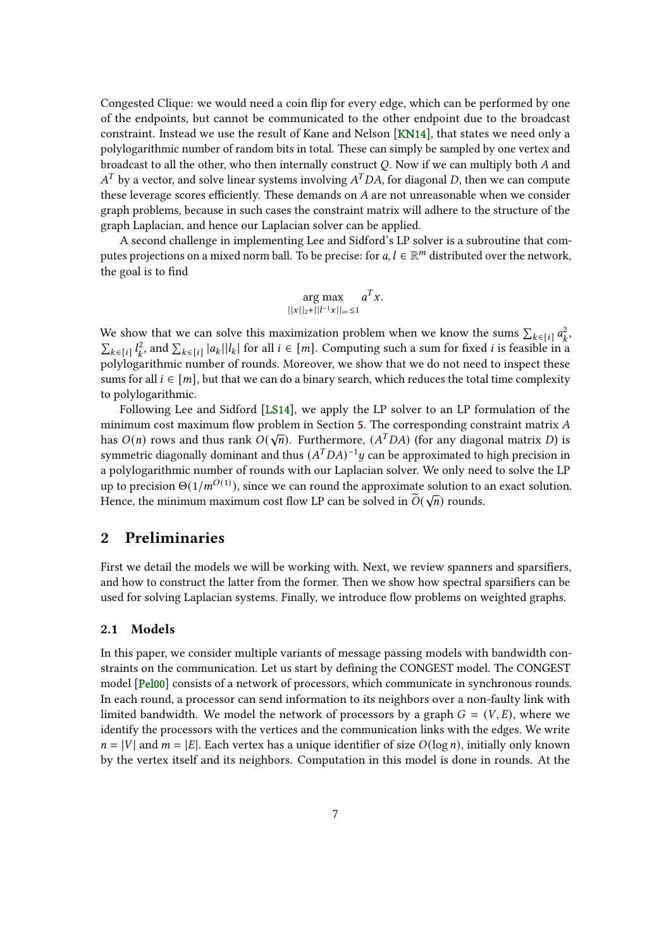<span id="page-6-2"></span>Congested Clique: we would need a coin flip for every edge, which can be performed by one of the endpoints, but cannot be communicated to the other endpoint due to the broadcast constraint. Instead we use the result of Kane and Nelson [\[KN14\]](#page-37-6), that states we need only a polylogarithmic number of random bits in total. These can simply be sampled by one vertex and broadcast to all the other, who then internally construct  $Q$ . Now if we can multiply both  $A$  and  $A<sup>T</sup>$  by a vector, and solve linear systems involving  $A<sup>T</sup>DA$ , for diagonal D, then we can compute these leverage scores efficiently. These demands on  $A$  are not unreasonable when we consider graph problems, because in such cases the constraint matrix will adhere to the structure of the graph Laplacian, and hence our Laplacian solver can be applied.

A second challenge in implementing Lee and Sidford's LP solver is a subroutine that computes projections on a mixed norm ball. To be precise: for  $a, l \in \mathbb{R}^m$  distributed over the network, the goal is to find

$$
\arg \max_{||x||_2+||l^{-1}x||_{\infty}\leq 1} a^T x.
$$

We show that we can solve this maximization problem when we know the sums  $\sum_{k \in [i]} a_k^2$  $\frac{2}{k}$  $\sum_{k \in [i]} l_k^2$  $\sum_{k=1}^{\infty}$  and  $\sum_{k \in [i]} |a_k||l_k|$  for all  $i \in [m]$ . Computing such a sum for fixed i is feasible in a polylogarithmic number of rounds. Moreover, we show that we do not need to inspect these sums for all  $i \in [m]$ , but that we can do a binary search, which reduces the total time complexity to polylogarithmic.

Following Lee and Sidford [\[LS14\]](#page-37-0), we apply the LP solver to an LP formulation of the minimum cost maximum flow problem in Section [5.](#page-30-0) The corresponding constraint matrix A has  $O(n)$  rows and thus rank  $O(\sqrt{n})$ . Furthermore,  $(A^TDA)$  (for any diagonal matrix D) is symmetric diagonally dominant and thus  $(A<sup>T</sup>DA)<sup>-1</sup>y$  can be approximated to high precision in a polylogarithmic number of rounds with our Laplacian solver. We only need to solve the LP up to precision  $\Theta(1/m^{O(1)})$ , since we can round the approximate solution to an exact solution. Hence, the minimum maximum cost flow LP can be solved in  $\widetilde{O}(\sqrt{n})$  rounds.

## <span id="page-6-0"></span>2 Preliminaries

First we detail the models we will be working with. Next, we review spanners and sparsifiers, and how to construct the latter from the former. Then we show how spectral sparsifiers can be used for solving Laplacian systems. Finally, we introduce flow problems on weighted graphs.

#### <span id="page-6-1"></span>2.1 Models

In this paper, we consider multiple variants of message passing models with bandwidth constraints on the communication. Let us start by defining the CONGEST model. The CONGEST model [\[Pel00\]](#page-38-1) consists of a network of processors, which communicate in synchronous rounds. In each round, a processor can send information to its neighbors over a non-faulty link with limited bandwidth. We model the network of processors by a graph  $G = (V, E)$ , where we identify the processors with the vertices and the communication links with the edges. We write  $n = |V|$  and  $m = |E|$ . Each vertex has a unique identifier of size  $O(\log n)$ , initially only known by the vertex itself and its neighbors. Computation in this model is done in rounds. At the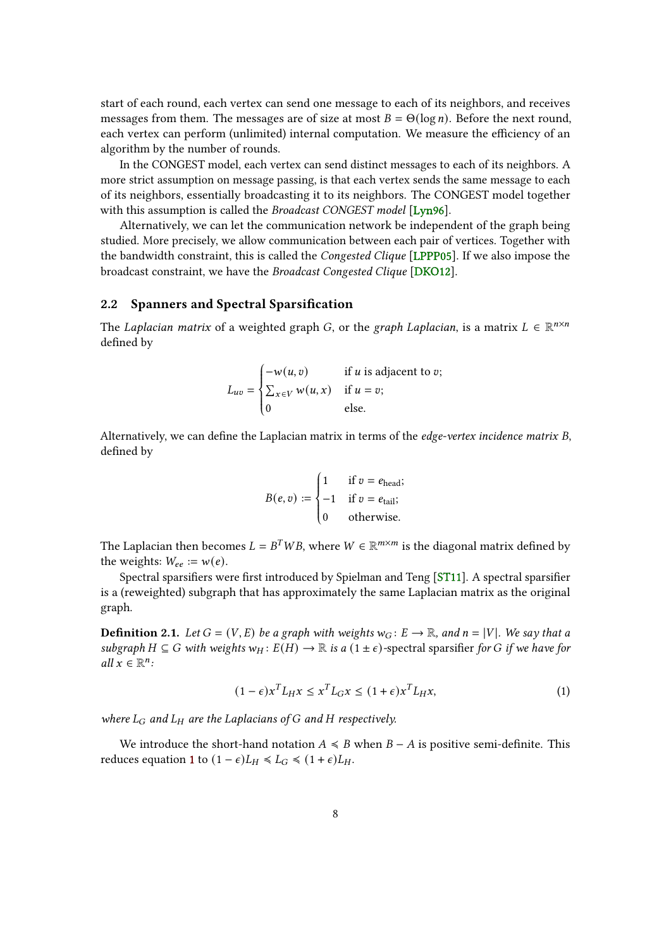<span id="page-7-2"></span>start of each round, each vertex can send one message to each of its neighbors, and receives messages from them. The messages are of size at most  $B = \Theta(\log n)$ . Before the next round, each vertex can perform (unlimited) internal computation. We measure the efficiency of an algorithm by the number of rounds.

In the CONGEST model, each vertex can send distinct messages to each of its neighbors. A more strict assumption on message passing, is that each vertex sends the same message to each of its neighbors, essentially broadcasting it to its neighbors. The CONGEST model together with this assumption is called the *Broadcast CONGEST model* [\[Lyn96\]](#page-37-1).

Alternatively, we can let the communication network be independent of the graph being studied. More precisely, we allow communication between each pair of vertices. Together with the bandwidth constraint, this is called the *Congested Clique* [\[LPPP05\]](#page-37-2). If we also impose the broadcast constraint, we have the Broadcast Congested Clique [\[DKO12\]](#page-35-0).

## <span id="page-7-0"></span>2.2 Spanners and Spectral Sparsification

J.

The Laplacian matrix of a weighted graph G, or the graph Laplacian, is a matrix  $L \in \mathbb{R}^{n \times n}$ defined by

$$
L_{uv} = \begin{cases} -w(u, v) & \text{if } u \text{ is adjacent to } v; \\ \sum_{x \in V} w(u, x) & \text{if } u = v; \\ 0 & \text{else.} \end{cases}
$$

Alternatively, we can define the Laplacian matrix in terms of the *edge-vertex incidence matrix B*, defined by

$$
B(e, v) := \begin{cases} 1 & \text{if } v = e_{\text{head}}; \\ -1 & \text{if } v = e_{\text{tail}}; \\ 0 & \text{otherwise.} \end{cases}
$$

The Laplacian then becomes  $L = B^T W B$ , where  $W \in \mathbb{R}^{m \times m}$  is the diagonal matrix defined by the weights:  $W_{ee} := w(e)$ .

Spectral sparsifiers were first introduced by Spielman and Teng [\[ST11\]](#page-38-6). A spectral sparsifier is a (reweighted) subgraph that has approximately the same Laplacian matrix as the original graph.

**Definition 2.1.** Let  $G = (V, E)$  be a graph with weights  $w_G : E \to \mathbb{R}$ , and  $n = |V|$ . We say that a subgraph  $H \subseteq G$  with weights  $w_H : E(H) \to \mathbb{R}$  is a  $(1 \pm \epsilon)$ -spectral sparsifier for G if we have for  $all x \in \mathbb{R}^n$ :

<span id="page-7-1"></span>
$$
(1 - \epsilon)x^{T}L_{H}x \le x^{T}L_{G}x \le (1 + \epsilon)x^{T}L_{H}x,
$$
\n(1)

where  $L_G$  and  $L_H$  are the Laplacians of G and H respectively.

We introduce the short-hand notation  $A \preccurlyeq B$  when  $B - A$  is positive semi-definite. This reduces equation [1](#page-7-1) to  $(1 - \epsilon)L_H \le L_G \le (1 + \epsilon)L_H$ .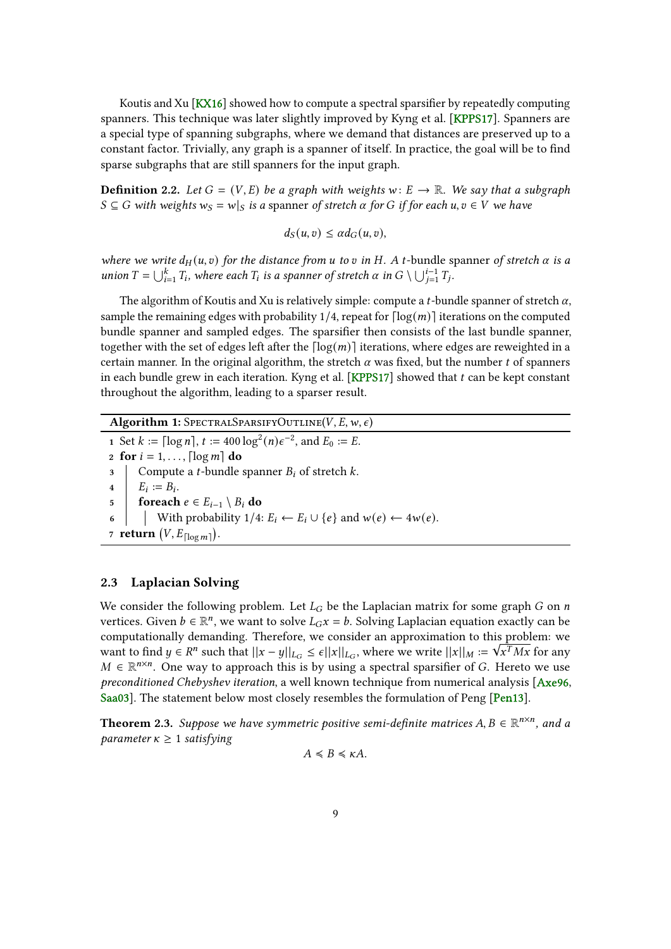<span id="page-8-3"></span>Koutis and Xu [\[KX16\]](#page-37-3) showed how to compute a spectral sparsifier by repeatedly computing spanners. This technique was later slightly improved by Kyng et al. [\[KPPS17\]](#page-37-7). Spanners are a special type of spanning subgraphs, where we demand that distances are preserved up to a constant factor. Trivially, any graph is a spanner of itself. In practice, the goal will be to find sparse subgraphs that are still spanners for the input graph.

**Definition 2.2.** Let  $G = (V, E)$  be a graph with weights  $w: E \rightarrow \mathbb{R}$ . We say that a subgraph  $S \subseteq G$  with weights  $w_S = w|_S$  is a spanner of stretch  $\alpha$  for G if for each  $u, v \in V$  we have

 $d_S(u, v) \leq \alpha d_G(u, v),$ 

where we write  $d_H(u, v)$  for the distance from u to v in H. A t-bundle spanner of stretch  $\alpha$  is a union  $T = \bigcup_{i=1}^{k} T_i$ , where each  $T_i$  is a spanner of stretch  $\alpha$  in  $G \setminus \bigcup_{j=1}^{i-1} T_j$ .

The algorithm of Koutis and Xu is relatively simple: compute a *t*-bundle spanner of stretch  $\alpha$ , sample the remaining edges with probability 1/4, repeat for  $\lceil \log(m) \rceil$  iterations on the computed bundle spanner and sampled edges. The sparsifier then consists of the last bundle spanner, together with the set of edges left after the  $\lceil \log(m) \rceil$  iterations, where edges are reweighted in a certain manner. In the original algorithm, the stretch  $\alpha$  was fixed, but the number t of spanners in each bundle grew in each iteration. Kyng et al.  $[KPPS17]$  showed that  $t$  can be kept constant throughout the algorithm, leading to a sparser result.

<span id="page-8-2"></span>Algorithm 1: SPECTRALSPARSIFYOUTLINE(V, E, w,  $\epsilon$ ) 1 Set  $k := \lceil \log n \rceil$ ,  $t := 400 \log^2(n) \epsilon^{-2}$ , and  $E_0 := E$ . 2 for  $i = 1, \ldots, \lceil \log m \rceil$  do

3 Compute a *t*-bundle spanner  $B_i$  of stretch  $k$ .  $\begin{aligned} \mathbf{4} \quad | \quad E_i := B_i. \end{aligned}$ 

5 foreach  $e \in E_{i-1} \setminus B_i$  do

- 6 With probability  $1/4$ :  $E_i \leftarrow E_i \cup \{e\}$  and  $w(e) \leftarrow 4w(e)$ .
- 7 return  $(V, E_{\lceil \log m \rceil}).$

#### <span id="page-8-0"></span>2.3 Laplacian Solving

We consider the following problem. Let  $L_G$  be the Laplacian matrix for some graph  $G$  on  $n$ vertices. Given  $b \in \mathbb{R}^n$ , we want to solve  $L_Gx = b$ . Solving Laplacian equation exactly can be computationally demanding. Therefore, we consider an approximation to this problem: we want to find  $y \in R^n$  such that  $||x - y||_{L_G} \le \epsilon ||x||_{L_G}$ , where we write  $||x||_M := \sqrt{x^T M x}$  for any  $M \in \mathbb{R}^{n \times n}$ . One way to approach this is by using a spectral sparsifier of G. Hereto we use preconditioned Chebyshev iteration, a well known technique from numerical analysis  $[Axe96,$ [Saa03\]](#page-38-7). The statement below most closely resembles the formulation of Peng [\[Pen13\]](#page-38-8).

<span id="page-8-1"></span>**Theorem 2.3.** Suppose we have symmetric positive semi-definite matrices  $A, B \in \mathbb{R}^{n \times n}$ , and a parameter  $\kappa \geq 1$  satisfying

$$
A \le B \le \kappa A.
$$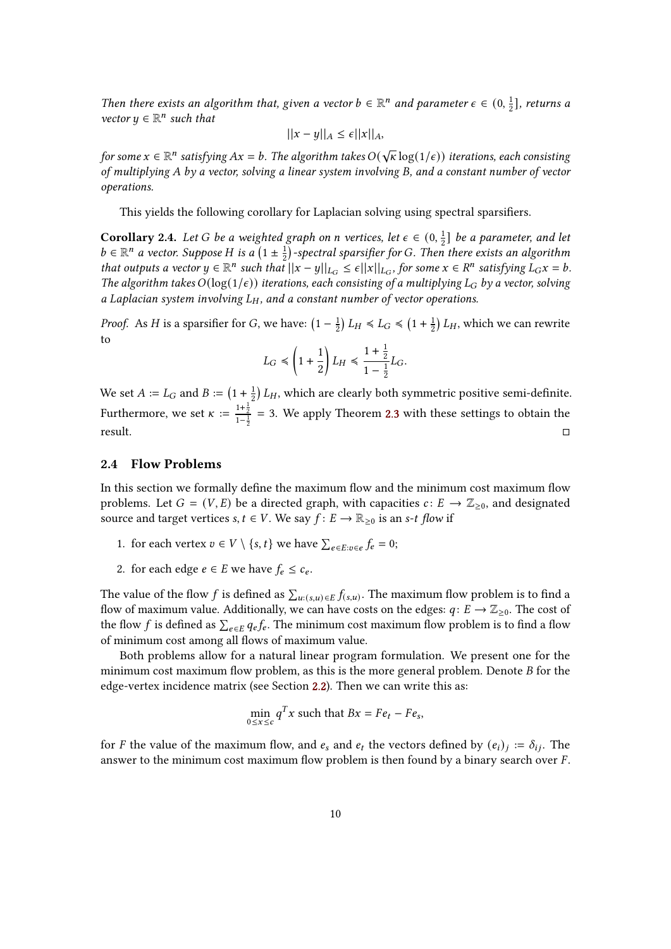Then there exists an algorithm that, given a vector  $b \in \mathbb{R}^n$  and parameter  $\epsilon \in (0, \frac{1}{2})$  $\frac{1}{2}$ ], returns a vector  $y \in \mathbb{R}^n$  such that

$$
||x - y||_A \le \epsilon ||x||_A,
$$

for some  $x\in \mathbb{R}^n$  satisfying  $Ax=b.$  The algorithm takes  $O(\sqrt{\kappa}\log(1/\epsilon))$  iterations, each consisting of multiplying  $A$  by a vector, solving a linear system involving  $B$ , and a constant number of vector operations.

This yields the following corollary for Laplacian solving using spectral sparsifiers.

<span id="page-9-1"></span>**Corollary 2.4.** Let G be a weighted graph on n vertices, let  $\epsilon \in (0, \frac{1}{2})$  $\frac{1}{2}$ ] be a parameter, and let  $b \in \mathbb{R}^n$  a vector. Suppose H is a  $(1 \pm \frac{1}{2})$  $\frac{1}{2}$ )-spectral sparsifier for G. Then there exists an algorithm that outputs a vector  $y \in \mathbb{R}^n$  such that  $||x - y||_{L_G} \le \epsilon ||x||_{L_G}$ , for some  $x \in R^n$  satisfying  $L_Gx = b$ . The algorithm takes  $O(\log(1/\epsilon))$  iterations, each consisting of a multiplying  $L_G$  by a vector, solving a Laplacian system involving  $L_H$ , and a constant number of vector operations.

*Proof.* As *H* is a sparsifier for *G*, we have:  $\left(1 - \frac{1}{2}\right)$  $(\frac{1}{2}) L_H \leq L_G \leq (1 + \frac{1}{2})$  $\frac{1}{2}$ )  $L_H$ , which we can rewrite to 1

$$
L_G \leq \left(1+\frac{1}{2}\right)L_H \leq \frac{1+\frac{1}{2}}{1-\frac{1}{2}}L_G.
$$

We set  $A := L_G$  and  $B := (1 + \frac{1}{2})$  $\frac{1}{2}$ )  $L_H$ , which are clearly both symmetric positive semi-definite. Furthermore, we set  $\kappa := \frac{1+\frac{1}{2}}{1-\frac{1}{2}} = 3$ . We apply Theorem [2.3](#page-8-1) with these settings to obtain the  $\Gamma$  result.

### <span id="page-9-0"></span>2.4 Flow Problems

In this section we formally define the maximum flow and the minimum cost maximum flow problems. Let  $G = (V, E)$  be a directed graph, with capacities  $c: E \rightarrow \mathbb{Z}_{\geq 0}$ , and designated source and target vertices  $s, t \in V$ . We say  $f: E \to \mathbb{R}_{\geq 0}$  is an s-t flow if

- 1. for each vertex  $v \in V \setminus \{s, t\}$  we have  $\sum_{e \in E: v \in e} f_e = 0$ ;
- 2. for each edge  $e \in E$  we have  $f_e \leq c_e$ .

The value of the flow  $f$  is defined as  $\sum_{u:(s,u)\in E} f_{(s,u)}.$  The maximum flow problem is to find a flow of maximum value. Additionally, we can have costs on the edges:  $q: E \to \mathbb{Z}_{\geq 0}$ . The cost of the flow f is defined as  $\sum_{e \in E} q_e f_e$ . The minimum cost maximum flow problem is to find a flow of minimum cost among all flows of maximum value.

Both problems allow for a natural linear program formulation. We present one for the minimum cost maximum flow problem, as this is the more general problem. Denote  $B$  for the edge-vertex incidence matrix (see Section [2.2\)](#page-7-0). Then we can write this as:

$$
\min_{0 \le x \le c} q^T x \text{ such that } Bx = Fe_t - Fe_s,
$$

for *F* the value of the maximum flow, and  $e_s$  and  $e_t$  the vectors defined by  $(e_i)_i := \delta_{ij}$ . The answer to the minimum cost maximum flow problem is then found by a binary search over  $F$ .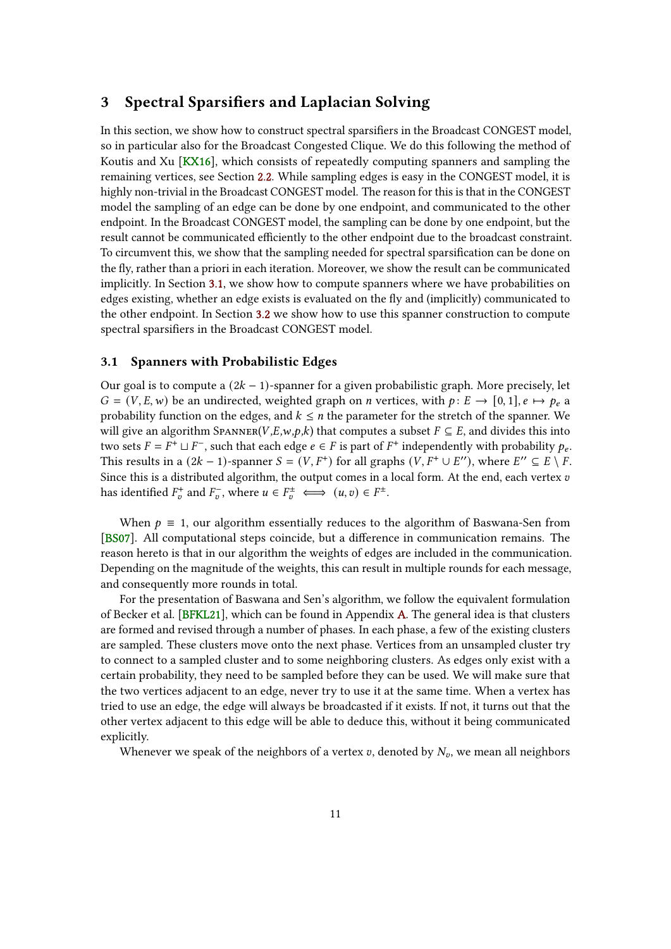## <span id="page-10-2"></span><span id="page-10-0"></span>3 Spectral Sparsifiers and Laplacian Solving

In this section, we show how to construct spectral sparsifiers in the Broadcast CONGEST model, so in particular also for the Broadcast Congested Clique. We do this following the method of Koutis and Xu [\[KX16\]](#page-37-3), which consists of repeatedly computing spanners and sampling the remaining vertices, see Section [2.2.](#page-7-0) While sampling edges is easy in the CONGEST model, it is highly non-trivial in the Broadcast CONGEST model. The reason for this is that in the CONGEST model the sampling of an edge can be done by one endpoint, and communicated to the other endpoint. In the Broadcast CONGEST model, the sampling can be done by one endpoint, but the result cannot be communicated efficiently to the other endpoint due to the broadcast constraint. To circumvent this, we show that the sampling needed for spectral sparsification can be done on the fly, rather than a priori in each iteration. Moreover, we show the result can be communicated implicitly. In Section [3.1,](#page-10-1) we show how to compute spanners where we have probabilities on edges existing, whether an edge exists is evaluated on the fly and (implicitly) communicated to the other endpoint. In Section [3.2](#page-15-0) we show how to use this spanner construction to compute spectral sparsifiers in the Broadcast CONGEST model.

#### <span id="page-10-1"></span>3.1 Spanners with Probabilistic Edges

Our goal is to compute a  $(2k - 1)$ -spanner for a given probabilistic graph. More precisely, let  $G = (V, E, w)$  be an undirected, weighted graph on *n* vertices, with  $p: E \rightarrow [0, 1], e \mapsto p_e$  a probability function on the edges, and  $k \leq n$  the parameter for the stretch of the spanner. We will give an algorithm SPANNER( $V, E, w, p, k$ ) that computes a subset  $F \subseteq E$ , and divides this into two sets  $F = F^+ \sqcup F^-$ , such that each edge  $e \in F$  is part of  $F^+$  independently with probability  $p_e$ . This results in a  $(2k - 1)$ -spanner  $S = (V, F^+)$  for all graphs  $(V, F^+ \cup E'')$ , where  $E'' \subseteq E \setminus F$ . Since this is a distributed algorithm, the output comes in a local form. At the end, each vertex  $v$ has identified  $F_v^+$  and  $F_v^-$ , where  $u \in F_v^{\pm} \iff (u, v) \in F^{\pm}$ .

When  $p \equiv 1$ , our algorithm essentially reduces to the algorithm of Baswana-Sen from [\[BS07\]](#page-35-4). All computational steps coincide, but a difference in communication remains. The reason hereto is that in our algorithm the weights of edges are included in the communication. Depending on the magnitude of the weights, this can result in multiple rounds for each message, and consequently more rounds in total.

For the presentation of Baswana and Sen's algorithm, we follow the equivalent formulation of Becker et al. [\[BFKL21\]](#page-34-1), which can be found in Appendix [A.](#page-38-0) The general idea is that clusters are formed and revised through a number of phases. In each phase, a few of the existing clusters are sampled. These clusters move onto the next phase. Vertices from an unsampled cluster try to connect to a sampled cluster and to some neighboring clusters. As edges only exist with a certain probability, they need to be sampled before they can be used. We will make sure that the two vertices adjacent to an edge, never try to use it at the same time. When a vertex has tried to use an edge, the edge will always be broadcasted if it exists. If not, it turns out that the other vertex adjacent to this edge will be able to deduce this, without it being communicated explicitly.

Whenever we speak of the neighbors of a vertex  $v$ , denoted by  $N_v$ , we mean all neighbors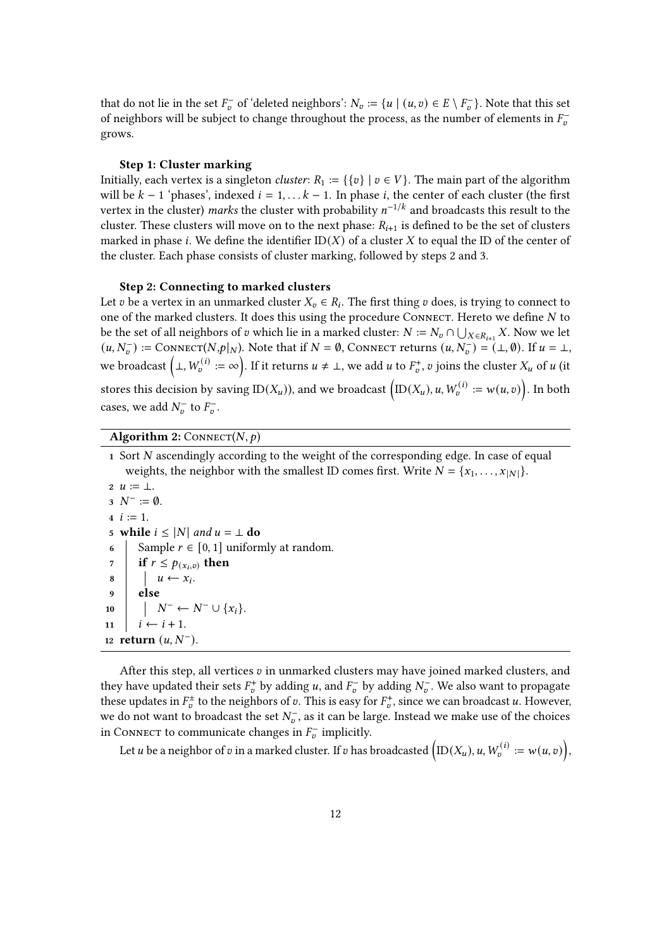that do not lie in the set  $F_{\nu}^-$  of 'deleted neighbors':  $N_{\nu} := \{u \mid (u, v) \in E \setminus F_{\nu}^-\}$ . Note that this set of neighbors will be subject to change throughout the process, as the number of elements in  $F_{\nu}$ grows.

#### Step 1: Cluster marking

Initially, each vertex is a singleton *cluster*:  $R_1 := \{ \{v\} \mid v \in V \}$ . The main part of the algorithm will be  $k - 1$  'phases', indexed  $i = 1, \ldots k - 1$ . In phase i, the center of each cluster (the first vertex in the cluster) marks the cluster with probability  $n^{-1/k}$  and broadcasts this result to the cluster. These clusters will move on to the next phase:  $R_{i+1}$  is defined to be the set of clusters marked in phase *i*. We define the identifier  $ID(X)$  of a cluster X to equal the ID of the center of the cluster. Each phase consists of cluster marking, followed by steps 2 and 3.

#### Step 2: Connecting to marked clusters

Let v be a vertex in an unmarked cluster  $X_v \in R_i$ . The first thing v does, is trying to connect to one of the marked clusters. It does this using the procedure CONNECT. Hereto we define  $N$  to be the set of all neighbors of  $v$  which lie in a marked cluster:  $N := N_v \cap \bigcup_{X \in R_{i+1}} X$ . Now we let  $(u, N_v^-) := \text{ConvECT}(N, p|_N)$ . Note that if  $N = \emptyset$ , Connect returns  $(u, N_v^-) = (\bot, \emptyset)$ . If  $u = \bot$ , we broadcast  $(\bot, W_v^{(i)} := \infty)$ . If it returns  $u \neq \bot$ , we add  $u$  to  $F_v^+$ ,  $v$  joins the cluster  $X_u$  of  $u$  (it stores this decision by saving ID( $X_u$ )), and we broadcast  $(D(X_u), u, W_v^{(i)} := w(u, v))$ . In both cases, we add  $N_v^-$  to  $F_v^-$ .

## Algorithm 2: CONNECT( $N, p$ )

1 Sort  $N$  ascendingly according to the weight of the corresponding edge. In case of equal weights, the neighbor with the smallest ID comes first. Write  $N = \{x_1, \ldots, x_{|N|}\}.$  $2 \; u := \perp$ .  $3 N^- := \emptyset$ .  $4 \; i := 1.$ 5 while  $i \leq |N|$  and  $u = \perp$  do 6 Sample  $r \in [0, 1]$  uniformly at random. 7 if  $r \leq p_{(x_i,v)}$  then  $8$   $\vert u \leftarrow x_i$ 9 else 10  $\mid N^- \leftarrow N^- \cup \{x_i\}.$ 11  $i \leftarrow i + 1$ . 12 return  $(u, N^{-})$ .

After this step, all vertices  $v$  in unmarked clusters may have joined marked clusters, and they have updated their sets  $F_v^+$  by adding u, and  $F_v^-$  by adding  $N_v^-$ . We also want to propagate these updates in  $F_v^{\pm}$  to the neighbors of v. This is easy for  $F_v^+$ , since we can broadcast u. However, we do not want to broadcast the set  $N_{v}^{-}$ , as it can be large. Instead we make use of the choices in CONNECT to communicate changes in  $F_{v}^-$  implicitly.

Let  $u$  be a neighbor of  $v$  in a marked cluster. If  $v$  has broadcasted  $\left(\mathrm{ID}(X_u), u, W_v^{(i)}:=w(u,v)\right),$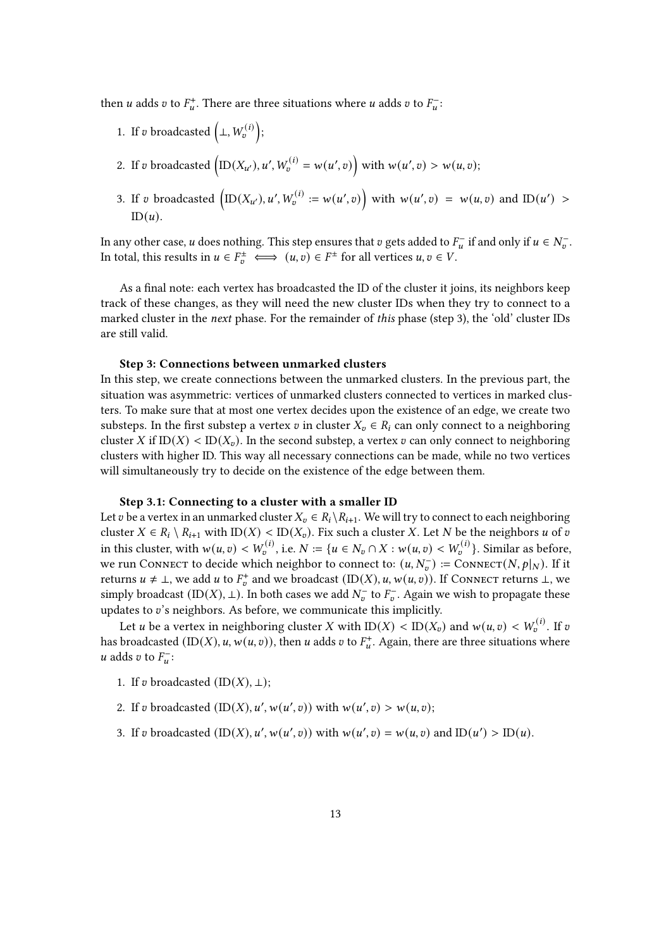then *u* adds *v* to  $F_u^+$ . There are three situations where *u* adds *v* to  $F_u^-$ .

- 1. If v broadcasted  $(\perp, W_v^{(i)})$ ;
- 2. If v broadcasted  $(D(X_{u}), u', W_v^{(i)} = w(u', v))$  with  $w(u', v) > w(u, v)$ ;
- 3. If v broadcasted  $\left(\text{ID}(X_{u}), u', W_{v}^{(i)} := w(u', v)\right)$  with  $w(u', v) = w(u, v)$  and  $\text{ID}(u') > w(u, v)$  $ID(u)$ .

In any other case,  $u$  does nothing. This step ensures that  $v$  gets added to  $F_u^-$  if and only if  $u \in N_v^-$ . In total, this results in  $u \in F_v^{\pm} \iff (u, v) \in F^{\pm}$  for all vertices  $u, v \in V$ .

As a final note: each vertex has broadcasted the ID of the cluster it joins, its neighbors keep track of these changes, as they will need the new cluster IDs when they try to connect to a marked cluster in the next phase. For the remainder of this phase (step 3), the 'old' cluster IDs are still valid.

#### Step 3: Connections between unmarked clusters

In this step, we create connections between the unmarked clusters. In the previous part, the situation was asymmetric: vertices of unmarked clusters connected to vertices in marked clusters. To make sure that at most one vertex decides upon the existence of an edge, we create two substeps. In the first substep a vertex v in cluster  $X_n \in R_i$  can only connect to a neighboring cluster X if ID(X) < ID( $X_v$ ). In the second substep, a vertex v can only connect to neighboring clusters with higher ID. This way all necessary connections can be made, while no two vertices will simultaneously try to decide on the existence of the edge between them.

#### Step 3.1: Connecting to a cluster with a smaller ID

Let v be a vertex in an unmarked cluster  $X_v \in R_i \setminus R_{i+1}$ . We will try to connect to each neighboring cluster  $X \in R_i \setminus R_{i+1}$  with  $ID(X) < ID(X_v)$ . Fix such a cluster X. Let N be the neighbors u of v in this cluster, with  $w(u, v) < W_0^{(i)}$ , i.e.  $N := \{ u \in N_v \cap X : w(u, v) < W_0^{(i)} \}$ . Similar as before, we run Connect to decide which neighbor to connect to:  $(u, N_v^-) := \text{ConvECT}(N, p|_N)$ . If it returns  $u \neq \bot$ , we add  $u$  to  $F_v^+$  and we broadcast (ID(X),  $u, w(u, v)$ ). If Connect returns  $\bot$ , we simply broadcast  $(ID(X), \perp)$ . In both cases we add  $N_{v}^{-}$  to  $F_{v}^{-}$ . Again we wish to propagate these updates to  $v$ 's neighbors. As before, we communicate this implicitly.

Let *u* be a vertex in neighboring cluster X with  $ID(X) < ID(X<sub>v</sub>)$  and  $w(u, v) < W_v^{(i)}$ . If  $v$ has broadcasted  $(ID(X), u, w(u, v))$ , then  $u$  adds  $v$  to  $F_u^+$ . Again, there are three situations where *u* adds *v* to  $F_u^-$ :

- 1. If v broadcasted  $(ID(X), \perp);$
- 2. If v broadcasted  $(ID(X), u', w(u', v))$  with  $w(u', v) > w(u, v)$ ;
- 3. If v broadcasted  $(ID(X), u', w(u', v))$  with  $w(u', v) = w(u, v)$  and  $ID(u') > ID(u)$ .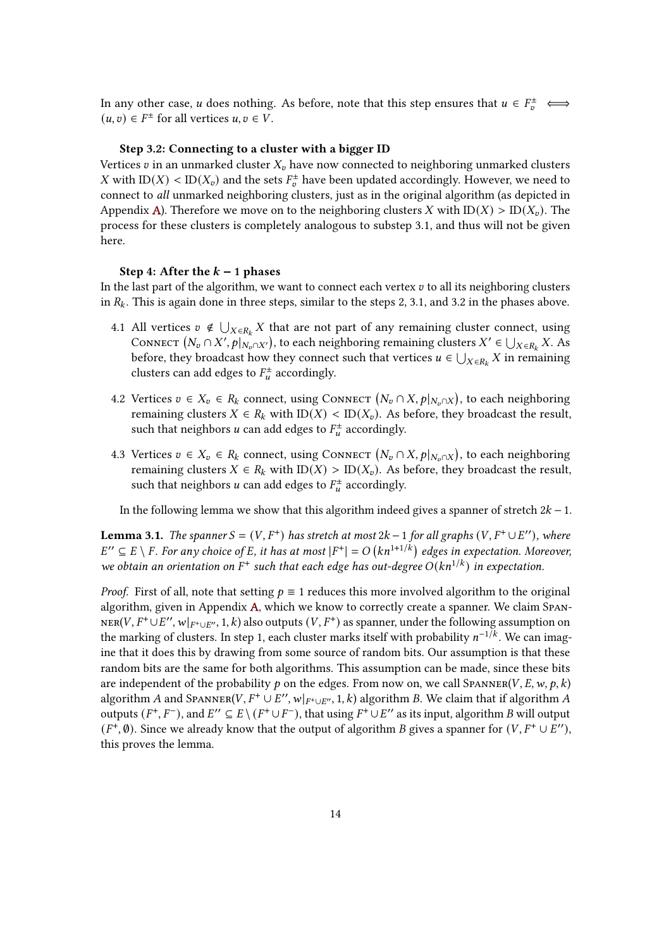In any other case, *u* does nothing. As before, note that this step ensures that  $u \in F_v^{\pm} \iff$  $(u, v) \in F^{\pm}$  for all vertices  $u, v \in V$ .

#### Step 3.2: Connecting to a cluster with a bigger ID

Vertices  $v$  in an unmarked cluster  $X_v$  have now connected to neighboring unmarked clusters X with  $ID(X) < ID(X_v)$  and the sets  $F_v^{\pm}$  have been updated accordingly. However, we need to connect to all unmarked neighboring clusters, just as in the original algorithm (as depicted in Appendix [A\)](#page-38-0). Therefore we move on to the neighboring clusters X with  $ID(X) > ID(X_n)$ . The process for these clusters is completely analogous to substep 3.1, and thus will not be given here.

#### Step 4: After the  $k - 1$  phases

In the last part of the algorithm, we want to connect each vertex  $v$  to all its neighboring clusters in  $R_k$ . This is again done in three steps, similar to the steps 2, 3.1, and 3.2 in the phases above.

- 4.1 All vertices  $v \notin \bigcup_{X \in R_k} X$  that are not part of any remaining cluster connect, using CONNECT  $(N_v \cap X', p|_{N_v \cap X'})$ , to each neighboring remaining clusters  $X' \in \bigcup_{X \in R_k} X$ . As before, they broadcast how they connect such that vertices  $u \in \bigcup_{X \in R_k} X$  in remaining clusters can add edges to  $F_u^{\pm}$  accordingly.
- 4.2 Vertices  $v \in X_v \in R_k$  connect, using CONNECT  $(N_v \cap X, p|_{N_v \cap X})$ , to each neighboring remaining clusters  $X \in R_k$  with  $ID(X) < ID(X_v)$ . As before, they broadcast the result, such that neighbors  $u$  can add edges to  $F^{\pm}_u$  accordingly.
- 4.3 Vertices  $v \in X_v \in R_k$  connect, using CONNECT  $(N_v \cap X, p|_{N_v \cap X})$ , to each neighboring remaining clusters  $X \in R_k$  with  $ID(X) > ID(X_v)$ . As before, they broadcast the result, such that neighbors  $u$  can add edges to  $F^{\pm}_u$  accordingly.

In the following lemma we show that this algorithm indeed gives a spanner of stretch  $2k - 1$ .

<span id="page-13-0"></span>**Lemma 3.1.** The spanner  $S = (V, F^+)$  has stretch at most  $2k - 1$  for all graphs  $(V, F^+ \cup E'')$ , where  $E'' \subseteq E \setminus F$ . For any choice of E, it has at most  $|F^+| = O(Kn^{1+1/k})$  edges in expectation. Moreover, we obtain an orientation on  $F^+$  such that each edge has out-degree  $O(kn^{1/k})$  in expectation.

*Proof.* First of all, note that setting  $p \equiv 1$  reduces this more involved algorithm to the original algorithm, given in Appendix [A,](#page-38-0) which we know to correctly create a spanner. We claim Span- $\textsc{ner}(V, F^+\cup E'', w|_{F^+\cup E''}, 1, k)$  also outputs  $(V, F^+)$  as spanner, under the following assumption on the marking of clusters. In step 1, each cluster marks itself with probability  $n^{-1/k}$ . We can imagine that it does this by drawing from some source of random bits. Our assumption is that these random bits are the same for both algorithms. This assumption can be made, since these bits are independent of the probability  $p$  on the edges. From now on, we call SPANNER(V, E, w,  $p$ , k) algorithm A and SPANNER(V,  $F^+ \cup E''$ ,  $w|_{F^+ \cup E''}$ , 1, k) algorithm B. We claim that if algorithm A outputs  $(F^+, F^-)$ , and  $E'' \subseteq E \setminus (F^+ \cup F^-)$ , that using  $F^+ \cup E''$  as its input, algorithm B will output  $(F^+, \emptyset)$ . Since we already know that the output of algorithm B gives a spanner for  $(V, F^+ \cup E'')$ , this proves the lemma.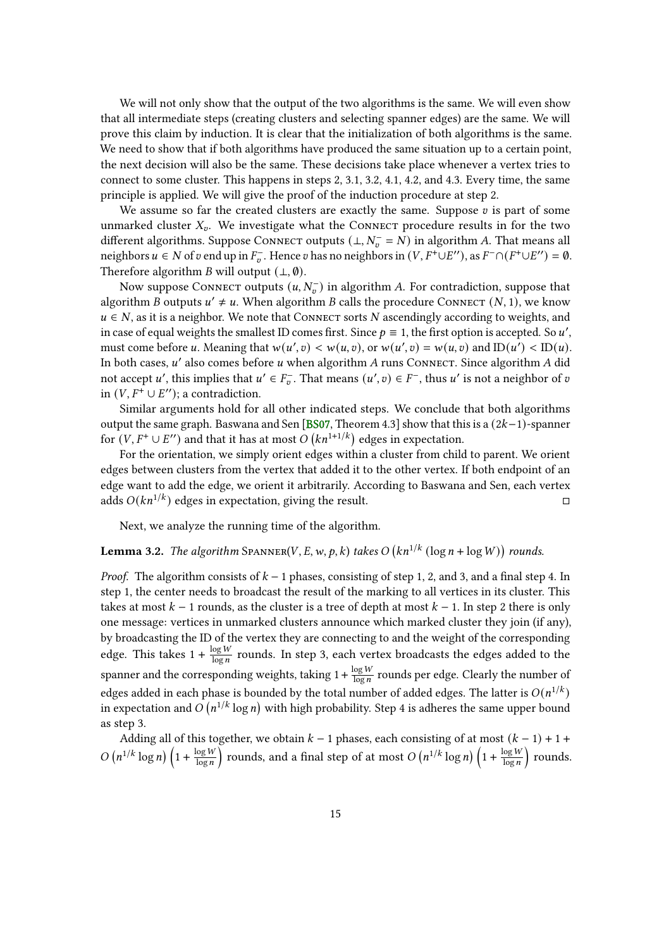<span id="page-14-1"></span>We will not only show that the output of the two algorithms is the same. We will even show that all intermediate steps (creating clusters and selecting spanner edges) are the same. We will prove this claim by induction. It is clear that the initialization of both algorithms is the same. We need to show that if both algorithms have produced the same situation up to a certain point, the next decision will also be the same. These decisions take place whenever a vertex tries to connect to some cluster. This happens in steps 2, 3.1, 3.2, 4.1, 4.2, and 4.3. Every time, the same principle is applied. We will give the proof of the induction procedure at step 2.

We assume so far the created clusters are exactly the same. Suppose  $v$  is part of some unmarked cluster  $X_v$ . We investigate what the CONNECT procedure results in for the two different algorithms. Suppose Connect outputs  $(\perp, N_{v}^{-} = N)$  in algorithm A. That means all neighbors  $u \in N$  of  $v$  end up in  $F_v^-$ . Hence  $v$  has no neighbors in  $(V, F^+ \cup E'')$ , as  $F^- \cap (F^+ \cup E'') = \emptyset$ . Therefore algorithm *B* will output  $(\bot, \emptyset)$ .

Now suppose Connect outputs  $(u, N_{\sigma}^-)$  in algorithm A. For contradiction, suppose that algorithm B outputs  $u' \neq u$ . When algorithm B calls the procedure CONNECT  $(N, 1)$ , we know  $u \in N$ , as it is a neighbor. We note that Connect sorts N ascendingly according to weights, and in case of equal weights the smallest ID comes first. Since  $p \equiv 1$ , the first option is accepted. So u', must come before u. Meaning that  $w(u', v) < w(u, v)$ , or  $w(u', v) = w(u, v)$  and  $ID(u') < ID(u)$ . In both cases,  $u'$  also comes before  $u$  when algorithm  $A$  runs Connect. Since algorithm  $A$  did not accept u', this implies that  $u' \in F_{\overline{v}}$ . That means  $(u', v) \in F^-$ , thus u' is not a neighbor of  $\overline{v}$ in  $(V, F^+ \cup E'')$ ; a contradiction.

Similar arguments hold for all other indicated steps. We conclude that both algorithms output the same graph. Baswana and Sen [\[BS07,](#page-35-4) Theorem 4.3] show that this is a  $(2k-1)$ -spanner for  $(V, F^+ \cup E'')$  and that it has at most  $O(kn^{1+1/k})$  edges in expectation.

For the orientation, we simply orient edges within a cluster from child to parent. We orient edges between clusters from the vertex that added it to the other vertex. If both endpoint of an edge want to add the edge, we orient it arbitrarily. According to Baswana and Sen, each vertex adds  $O(kn^{1/k})$  edges in expectation, giving the result.

Next, we analyze the running time of the algorithm.

## <span id="page-14-0"></span>**Lemma 3.2.** The algorithm SPANNER(V, E, w, p, k) takes  $O(kn^{1/k} (\log n + \log W))$  rounds.

*Proof.* The algorithm consists of  $k - 1$  phases, consisting of step 1, 2, and 3, and a final step 4. In step 1, the center needs to broadcast the result of the marking to all vertices in its cluster. This takes at most  $k - 1$  rounds, as the cluster is a tree of depth at most  $k - 1$ . In step 2 there is only one message: vertices in unmarked clusters announce which marked cluster they join (if any), by broadcasting the ID of the vertex they are connecting to and the weight of the corresponding edge. This takes  $1 + \frac{\log W}{\log n}$  $\frac{\log W}{\log n}$  rounds. In step 3, each vertex broadcasts the edges added to the spanner and the corresponding weights, taking  $1 + \frac{\log W}{\log n}$  $\frac{\log W}{\log n}$  rounds per edge. Clearly the number of edges added in each phase is bounded by the total number of added edges. The latter is  $O(n^{1/k})$ in expectation and  $O(n^{1/k} \log n)$  with high probability. Step 4 is adheres the same upper bound as step 3.

Adding all of this together, we obtain  $k - 1$  phases, each consisting of at most  $(k - 1) + 1 +$  $O(n^{1/k} \log n) \left(1 + \frac{\log w}{\log n}\right)$  $\frac{\log W}{\log n}$  rounds, and a final step of at most  $O(n^{1/k} \log n)$   $\left(1 + \frac{\log W}{\log n}\right)$  $\frac{\log W}{\log n}$ ) rounds.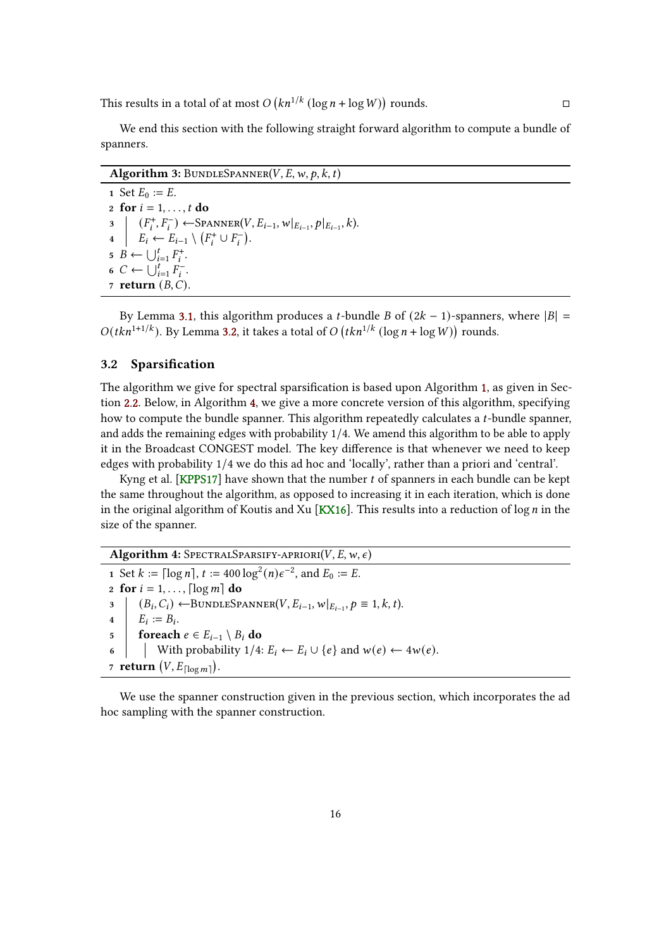<span id="page-15-2"></span>This results in a total of at most  $O(kn^{1/k} (\log n + \log W))$  rounds.

We end this section with the following straight forward algorithm to compute a bundle of spanners.

Algorithm 3: BUNDLESPANNER(V, E, w, p, k, t) 1 Set  $E_0 := E$ . 2 for  $i = 1, \ldots, t$  do 3  $\vert (F_i^+, F_i^-) \leftarrow \text{SPANNER}(V, E_{i-1}, w \vert_{E_{i-1}}, p \vert_{E_{i-1}}, k).$ 4  $E_i \leftarrow E_{i-1} \setminus (F_i^+ \cup F_i^-).$  $\mathbf{5} \quad B \leftarrow \bigcup_{i=1}^{t} F_i^+.$ 6  $C \leftarrow \bigcup_{i=1}^{t} F_i^{-}$ . 7 return  $(B, C)$ .

By Lemma [3.1,](#page-13-0) this algorithm produces a t-bundle B of  $(2k - 1)$ -spanners, where  $|B|$  =  $O(tkn^{1+1/k})$ . By Lemma [3.2,](#page-14-0) it takes a total of  $O(tkn^{1/k} (\log n + \log W))$  rounds.

## <span id="page-15-0"></span>3.2 Sparsification

The algorithm we give for spectral sparsification is based upon Algorithm [1,](#page-8-2) as given in Section [2.2.](#page-7-0) Below, in Algorithm [4,](#page-15-1) we give a more concrete version of this algorithm, specifying how to compute the bundle spanner. This algorithm repeatedly calculates a  $t$ -bundle spanner, and adds the remaining edges with probability 1/4. We amend this algorithm to be able to apply it in the Broadcast CONGEST model. The key difference is that whenever we need to keep edges with probability 1/4 we do this ad hoc and 'locally', rather than a priori and 'central'.

Kyng et al. [\[KPPS17\]](#page-37-7) have shown that the number  $t$  of spanners in each bundle can be kept the same throughout the algorithm, as opposed to increasing it in each iteration, which is done in the original algorithm of Koutis and Xu [\[KX16\]](#page-37-3). This results into a reduction of  $\log n$  in the size of the spanner.

<span id="page-15-1"></span>Algorithm 4: SPECTRALSPARSIFY-APRIORI $(V, E, w, \epsilon)$ 1 Set  $k := \lceil \log n \rceil$ ,  $t := 400 \log^2(n) \epsilon^{-2}$ , and  $E_0 := E$ . 2 for  $i = 1, \ldots$  [log m] do  $3 \mid (B_i, C_i) \leftarrow$ BUNDLESPANNER $(V, E_{i-1}, w|_{E_{i-1}}, p \equiv 1, k, t)$ .  $\begin{aligned} \mathbf{4} \quad | \quad E_i := B_i. \end{aligned}$ 5 foreach  $e \in E_{i-1} \setminus B_i$  do 6 With probability  $1/4$ :  $E_i \leftarrow E_i \cup \{e\}$  and  $w(e) \leftarrow 4w(e)$ . 7 return  $(V, E_{\lceil \log m \rceil}).$ 

We use the spanner construction given in the previous section, which incorporates the ad hoc sampling with the spanner construction.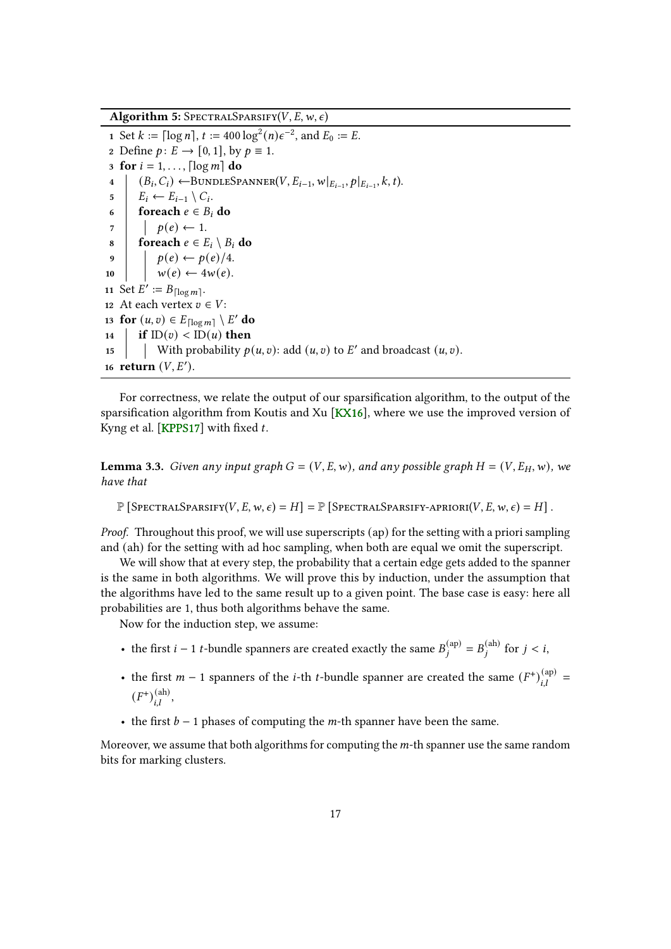<span id="page-16-1"></span>Algorithm 5: SPECTRALSPARSIFY( $V, E, w, \epsilon$ )

1 Set  $k := \lceil \log n \rceil$ ,  $t := 400 \log^2(n) \epsilon^{-2}$ , and  $E_0 := E$ . 2 Define  $p: E \rightarrow [0, 1]$ , by  $p \equiv 1$ . 3 for  $i = 1, \ldots, \lceil \log m \rceil$  do 4  $\left[ (B_i, C_i) \leftarrow \text{BUNDLESPANNER}(V, E_{i-1}, w|_{E_{i-1}}, p|_{E_{i-1}}, k, t). \right]$  $5 \mid E_i \leftarrow E_{i-1} \setminus C_i.$ 6 foreach  $e \in B_i$  do  $7 \mid \rho(e) \leftarrow 1.$ 8 foreach  $e \in E_i \setminus B_i$  do 9  $\vert p(e) \leftarrow p(e)/4.$ 10  $\vert \psi(e) \leftarrow 4w(e).$ 11 Set  $E' := B_{\lceil \log m \rceil}$ . 12 At each vertex  $v \in V$ : 13 for  $(u, v) \in E_{\lceil \log m \rceil} \setminus E'$  do 14 **if**  $ID(v) < ID(u)$  then 15 With probability  $p(u, v)$ : add  $(u, v)$  to E' and broadcast  $(u, v)$ . 16 return  $(V, E')$ .

For correctness, we relate the output of our sparsication algorithm, to the output of the sparsification algorithm from Koutis and Xu [\[KX16\]](#page-37-3), where we use the improved version of Kyng et al. [\[KPPS17\]](#page-37-7) with fixed  $t$ .

<span id="page-16-0"></span>**Lemma 3.3.** Given any input graph  $G = (V, E, w)$ , and any possible graph  $H = (V, E_H, w)$ , we have that

 $\mathbb{P} \left[ \text{SpectrumALSPARSIFY}(V, E, w, \epsilon) = H \right] = \mathbb{P} \left[ \text{SpectrumALSPARSIFY}(V, E, w, \epsilon) = H \right].$ 

Proof. Throughout this proof, we will use superscripts (ap) for the setting with a priori sampling and (ah) for the setting with ad hoc sampling, when both are equal we omit the superscript.

We will show that at every step, the probability that a certain edge gets added to the spanner is the same in both algorithms. We will prove this by induction, under the assumption that the algorithms have led to the same result up to a given point. The base case is easy: here all probabilities are 1, thus both algorithms behave the same.

Now for the induction step, we assume:

- the first  $i 1$  t-bundle spanners are created exactly the same  $B_j^{(\text{ap})} = B_j^{(\text{ah})}$  for  $j < i$ ,
- the first  $m-1$  spanners of the *i*-th *t*-bundle spanner are created the same  $(F^{\dagger})_{i,l}^{(ap)}$  =  $(F^+)^{\text{(ah)}}_{i.l}$ ,
- the first  $b 1$  phases of computing the *m*-th spanner have been the same.

Moreover, we assume that both algorithms for computing the  $m$ -th spanner use the same random bits for marking clusters.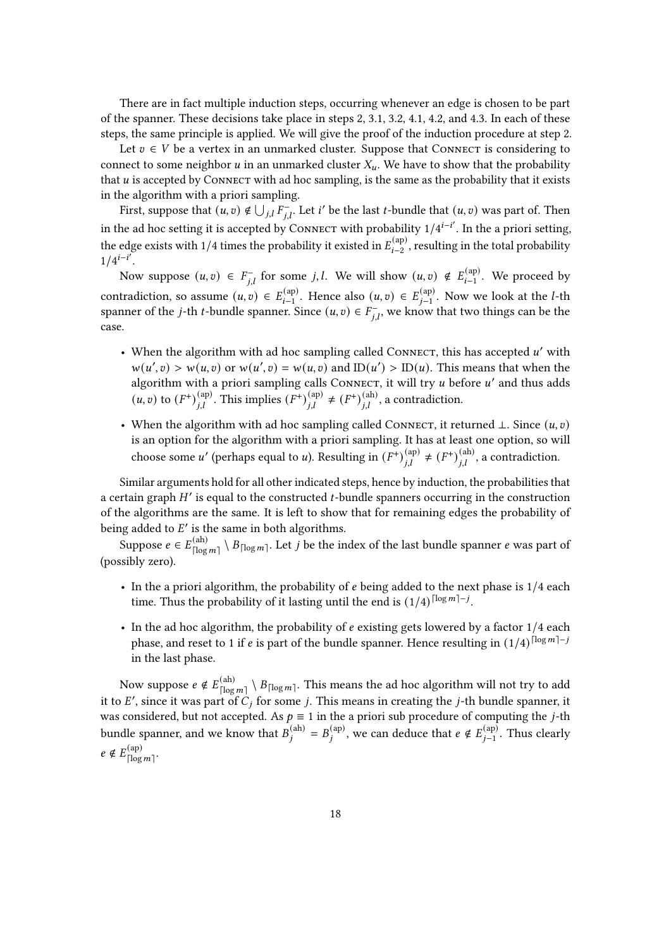There are in fact multiple induction steps, occurring whenever an edge is chosen to be part of the spanner. These decisions take place in steps 2, 3.1, 3.2, 4.1, 4.2, and 4.3. In each of these steps, the same principle is applied. We will give the proof of the induction procedure at step 2.

Let  $v \in V$  be a vertex in an unmarked cluster. Suppose that CONNECT is considering to connect to some neighbor  $u$  in an unmarked cluster  $X_u$ . We have to show that the probability that  $u$  is accepted by CONNECT with ad hoc sampling, is the same as the probability that it exists in the algorithm with a priori sampling.

First, suppose that  $(u, v) \notin \bigcup_{j,l} F_{j,l}^-$ . Let  $i'$  be the last  $t$ -bundle that  $(u, v)$  was part of. Then in the ad hoc setting it is accepted by CONNECT with probability  $1/4^{i-i'}$ . In the a priori setting, the edge exists with 1/4 times the probability it existed in  $E_{i=2}^{(\text{ap})}$  $\mathcal{L}^{(\text{ap})}_{i-2}$ , resulting in the total probability  $1/4^{i-i'}$ .

Now suppose  $(u, v) \in F_{i,l}^-$  for some j, l. We will show  $(u, v) \notin E_{i-1}^{(\text{ap})}$  $\mathcal{L}_{i-1}^{(\text{ap})}$ . We proceed by contradiction, so assume  $(u, v) \in E_{i-1}^{(\text{ap})}$  $\mathcal{L}_{i-1}^{(\text{ap})}$ . Hence also  $(u, v) \in E_{j-1}^{(\text{ap})}$  $_{j-1}^{(\text{ap})}$ . Now we look at the *l*-th spanner of the *j*-th *t*-bundle spanner. Since  $(u, v) \in F_{i,l}^-$ , we know that two things can be the case.

- When the algorithm with ad hoc sampling called CONNECT, this has accepted  $u'$  with  $w(u', v) > w(u, v)$  or  $w(u', v) = w(u, v)$  and  $ID(u') > ID(u)$ . This means that when the algorithm with a priori sampling calls Connect, it will try u before u' and thus adds  $(u, v)$  to  $(F^+)_{i,l}^{(\text{ap})}$ . This implies  $(F^+)_{i,l}^{(\text{ap})} \neq (F^+)_{i,l}^{(\text{ah})}$ , a contradiction.
- When the algorithm with ad hoc sampling called CONNECT, it returned  $\bot$ . Since  $(u, v)$ is an option for the algorithm with a priori sampling. It has at least one option, so will choose some u' (perhaps equal to u). Resulting in  $(F^+)_{i,l}^{(ap)} \neq (F^+)_{i,l}^{(ah)}$ , a contradiction.

Similar arguments hold for all other indicated steps, hence by induction, the probabilities that a certain graph  $H'$  is equal to the constructed t-bundle spanners occurring in the construction of the algorithms are the same. It is left to show that for remaining edges the probability of being added to  $E'$  is the same in both algorithms.

Suppose  $e \in E_{\text{rlex}}^{(\text{ah})}$  $\frac{(\mathrm{ah})}{\lceil \log m \rceil} \setminus B_{\lceil \log m \rceil}.$  Let  $j$  be the index of the last bundle spanner  $e$  was part of (possibly zero).

- $\bullet$  In the a priori algorithm, the probability of  $e$  being added to the next phase is 1/4 each time. Thus the probability of it lasting until the end is  $(1/4)^{\lceil \log m \rceil - j}$ .
- In the ad hoc algorithm, the probability of  $e$  existing gets lowered by a factor  $1/4$  each phase, and reset to 1 if e is part of the bundle spanner. Hence resulting in  $(1/4)^{\lceil \log m \rceil - j}$ in the last phase.

Now suppose  $e \notin E_{\text{floor}}^{(\text{ah})}$  $\frac{\binom{\{ah\}}{\lceil\log m\rceil}}{\lceil\log m\rceil}$  . This means the ad hoc algorithm will not try to add it to E', since it was part of  $C_i$  for some j. This means in creating the j-th bundle spanner, it was considered, but not accepted. As  $p \equiv 1$  in the a priori sub procedure of computing the j-th bundle spanner, and we know that  $B_i^{(ah)} = B_i^{(ap)}$ , we can deduce that  $e \notin E_{i-1}^{(ap)}$  $_{j-1}^{(\text{ap})}$ . Thus clearly  $e \notin E_{\text{floor}}^{(\text{ap})}$ (ap)<br>[log *m*]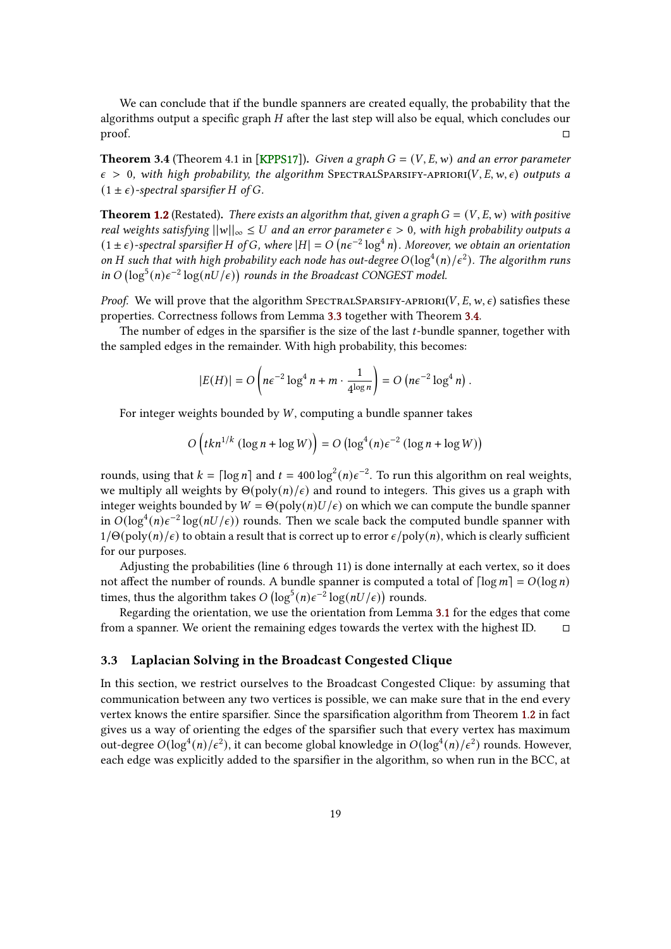<span id="page-18-2"></span>We can conclude that if the bundle spanners are created equally, the probability that the algorithms output a specific graph  $H$  after the last step will also be equal, which concludes our proof.

<span id="page-18-1"></span>**Theorem 3.4** (Theorem 4.1 in [\[KPPS17\]](#page-37-7)). Given a graph  $G = (V, E, w)$  and an error parameter  $\epsilon > 0$ , with high probability, the algorithm SPECTRALSPARSIFY-APRIORI(V, E, w,  $\epsilon$ ) outputs a  $(1 \pm \epsilon)$ -spectral sparsifier H of G.

**Theorem [1.2](#page-3-1)** (Restated). There exists an algorithm that, given a graph  $G = (V, E, w)$  with positive real weights satisfying  $||w||_{\infty} \leq U$  and an error parameter  $\epsilon > 0$ , with high probability outputs a  $(1 \pm \epsilon)$ -spectral sparsifier H of G, where  $|H| = O(n\epsilon^{-2} \log^4 n)$ . Moreover, we obtain an orientation on H such that with high probability each node has out-degree  $O(\log^4(n)/\epsilon^2)$ . The algorithm runs in  $O(\log^5(n)\epsilon^{-2}\log(nU/\epsilon))$  rounds in the Broadcast CONGEST model.

*Proof.* We will prove that the algorithm SPECTRALSPARSIFY-APRIORI( $V, E, w, \epsilon$ ) satisfies these properties. Correctness follows from Lemma [3.3](#page-16-0) together with Theorem [3.4.](#page-18-1)

The number of edges in the sparsifier is the size of the last  $t$ -bundle spanner, together with the sampled edges in the remainder. With high probability, this becomes:

$$
|E(H)| = O\left(n\epsilon^{-2}\log^4 n + m \cdot \frac{1}{4^{\log n}}\right) = O\left(n\epsilon^{-2}\log^4 n\right).
$$

For integer weights bounded by  $W$ , computing a bundle spanner takes

$$
O\left(tkn^{1/k}\left(\log n + \log W\right)\right) = O\left(\log^4(n)\epsilon^{-2}\left(\log n + \log W\right)\right)
$$

rounds, using that  $k = \lceil \log n \rceil$  and  $t = 400 \log^2(n) \epsilon^{-2}$ . To run this algorithm on real weights, we multiply all weights by  $\Theta(\text{poly}(n)/\epsilon)$  and round to integers. This gives us a graph with integer weights bounded by  $W = \Theta(\text{poly}(n) U / \epsilon)$  on which we can compute the bundle spanner in  $O(\log^4(n)\epsilon^{-2}\log(nU/\epsilon))$  rounds. Then we scale back the computed bundle spanner with  $1/\Theta(\text{poly}(n)/\epsilon)$  to obtain a result that is correct up to error  $\epsilon/\text{poly}(n)$ , which is clearly sufficient for our purposes.

Adjusting the probabilities (line 6 through 11) is done internally at each vertex, so it does not affect the number of rounds. A bundle spanner is computed a total of  $\lceil \log m \rceil = O(\log n)$ times, thus the algorithm takes  $O(\log^5(n)\epsilon^{-2}\log(nU/\epsilon))$  rounds.

Regarding the orientation, we use the orientation from Lemma [3.1](#page-13-0) for the edges that come from a spanner. We orient the remaining edges towards the vertex with the highest ID.

### <span id="page-18-0"></span>3.3 Laplacian Solving in the Broadcast Congested Clique

In this section, we restrict ourselves to the Broadcast Congested Clique: by assuming that communication between any two vertices is possible, we can make sure that in the end every vertex knows the entire sparsifier. Since the sparsification algorithm from Theorem [1.2](#page-3-1) in fact gives us a way of orienting the edges of the sparsifier such that every vertex has maximum out-degree  $O(log^4(n)/\epsilon^2)$ , it can become global knowledge in  $O(log^4(n)/\epsilon^2)$  rounds. However, each edge was explicitly added to the sparsifier in the algorithm, so when run in the BCC, at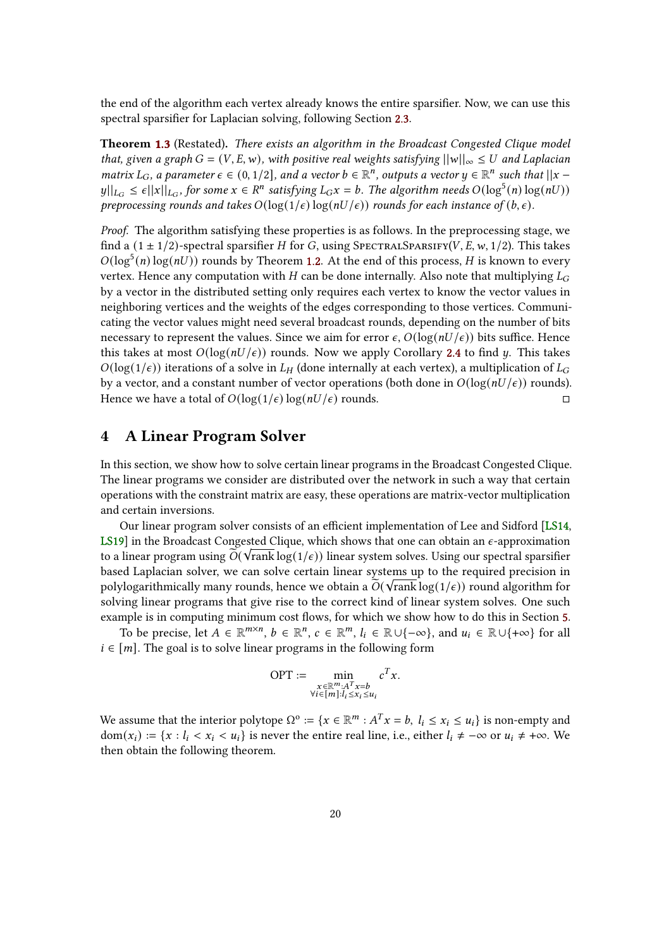<span id="page-19-1"></span>the end of the algorithm each vertex already knows the entire sparsifier. Now, we can use this spectral sparsifier for Laplacian solving, following Section [2.3.](#page-8-0)

Theorem [1.3](#page-3-2) (Restated). There exists an algorithm in the Broadcast Congested Clique model that, given a graph  $G = (V, E, w)$ , with positive real weights satisfying  $||w||_{\infty} \leq U$  and Laplacian matrix  $L_G$ , a parameter  $\epsilon \in (0,1/2]$ , and a vector  $b \in \mathbb{R}^n$ , outputs a vector  $y \in \mathbb{R}^n$  such that  $||x - y||$  $||y||_{L_G} \leq \epsilon ||x||_{L_G}$ , for some  $x \in \mathbb{R}^n$  satisfying  $L_Gx = b$ . The algorithm needs  $O(\log^5(n) \log(nU))$ preprocessing rounds and takes  $O(\log(1/\epsilon) \log(nU/\epsilon))$  rounds for each instance of  $(b, \epsilon)$ .

Proof. The algorithm satisfying these properties is as follows. In the preprocessing stage, we find a  $(1 \pm 1/2)$ -spectral sparsifier H for G, using SPECTRALSPARSIFY(V, E, w, 1/2). This takes  $O(log^5(n) \log(nU))$  rounds by Theorem [1.2.](#page-3-1) At the end of this process, *H* is known to every vertex. Hence any computation with  $H$  can be done internally. Also note that multiplying  $L_G$ by a vector in the distributed setting only requires each vertex to know the vector values in neighboring vertices and the weights of the edges corresponding to those vertices. Communicating the vector values might need several broadcast rounds, depending on the number of bits necessary to represent the values. Since we aim for error  $\epsilon$ ,  $O(log(nU/\epsilon))$  bits suffice. Hence this takes at most  $O(\log (nU/\epsilon))$  rounds. Now we apply Corollary [2.4](#page-9-1) to find *u*. This takes  $O(log(1/\epsilon))$  iterations of a solve in  $L_H$  (done internally at each vertex), a multiplication of  $L_G$ by a vector, and a constant number of vector operations (both done in  $O(\log (nU/\epsilon))$  rounds). Hence we have a total of  $O(\log(1/\epsilon) \log(nU/\epsilon))$  rounds.

## <span id="page-19-0"></span>4 A Linear Program Solver

In this section, we show how to solve certain linear programs in the Broadcast Congested Clique. The linear programs we consider are distributed over the network in such a way that certain operations with the constraint matrix are easy, these operations are matrix-vector multiplication and certain inversions.

Our linear program solver consists of an efficient implementation of Lee and Sidford [\[LS14,](#page-37-0) [LS19\]](#page-37-5) in the Broadcast Congested Clique, which shows that one can obtain an  $\epsilon$ -approximation to a linear program using  $\widetilde{O}(\sqrt{\mathrm{rank}} \log(1/\epsilon))$  linear system solves. Using our spectral sparsifier based Laplacian solver, we can solve certain linear systems up to the required precision in polylogarithmically many rounds, hence we obtain a  $\widetilde{O}(\sqrt{\text{rank}} \log(1/\epsilon))$  round algorithm for solving linear programs that give rise to the correct kind of linear system solves. One such example is in computing minimum cost flows, for which we show how to do this in Section [5.](#page-30-0)

To be precise, let  $A \in \mathbb{R}^{m \times n}$ ,  $b \in \mathbb{R}^n$ ,  $c \in \mathbb{R}^m$ ,  $l_i \in \mathbb{R} \cup \{-\infty\}$ , and  $u_i \in \mathbb{R} \cup \{+\infty\}$  for all  $i \in [m]$ . The goal is to solve linear programs in the following form

$$
\text{OPT} := \min_{\substack{x \in \mathbb{R}^m : A^T x = b \\ \forall i \in [m] : l_i \le x_i \le u_i}} c^T x.
$$

We assume that the interior polytope  $\Omega^{\circ} := \{x \in \mathbb{R}^m : A^T x = b, l_i \le x_i \le u_i\}$  is non-empty and  $dom(x_i) := \{x : l_i < x_i < u_i\}$  is never the entire real line, i.e., either  $l_i \neq -\infty$  or  $u_i \neq +\infty$ . We then obtain the following theorem.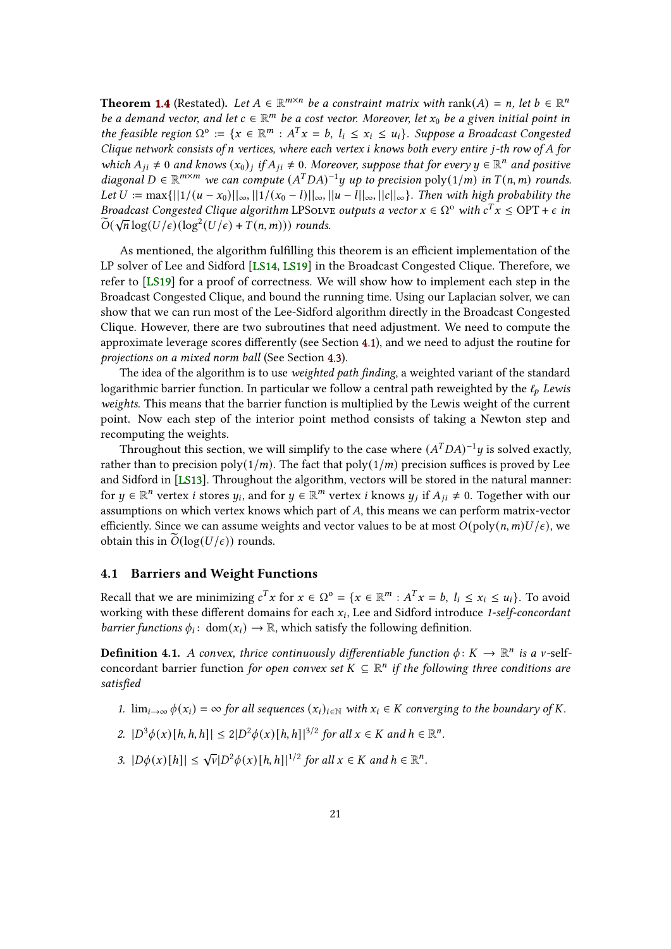<span id="page-20-2"></span>**Theorem [1.4](#page-4-2)** (Restated). Let  $A \in \mathbb{R}^{m \times n}$  be a constraint matrix with rank $(A) = n$ , let  $b \in \mathbb{R}^n$ be a demand vector, and let  $c \in \mathbb{R}^m$  be a cost vector. Moreover, let  $x_0$  be a given initial point in the feasible region  $\Omega^o := \{x \in \mathbb{R}^m : A^T x = b, l_i \le x_i \le u_i\}$ . Suppose a Broadcast Congested Clique network consists of n vertices, where each vertex  $i$  knows both every entire  $j$ -th row of  $A$  for which  $A_{ji} \neq 0$  and knows  $(x_0)_j$  if  $A_{ji} \neq 0$ . Moreover, suppose that for every  $y \in \mathbb{R}^n$  and positive diagonal  $D \in \mathbb{R}^{m \times m}$  we can compute  $(A^TDA)^{-1}y$  up to precision poly $(1/m)$  in  $T(n, m)$  rounds. Let  $U := \max\{||1/(u - x_0)||_{\infty}, ||1/(x_0 - l)||_{\infty}, ||u - l||_{\infty}, ||c||_{\infty}\}$ . Then with high probability the Broadcast Congested Clique algorithm LPSolve outputs a vector  $x \in \Omega^{\circ}$  with  $c^{T}x \le \text{OPT} + \epsilon$  in  $\widetilde{O}(\sqrt{n}\log(U/\epsilon))(\log^2(U/\epsilon)+T(n,m)))$  rounds.

As mentioned, the algorithm fulfilling this theorem is an efficient implementation of the LP solver of Lee and Sidford [\[LS14,](#page-37-0) [LS19\]](#page-37-5) in the Broadcast Congested Clique. Therefore, we refer to [\[LS19\]](#page-37-5) for a proof of correctness. We will show how to implement each step in the Broadcast Congested Clique, and bound the running time. Using our Laplacian solver, we can show that we can run most of the Lee-Sidford algorithm directly in the Broadcast Congested Clique. However, there are two subroutines that need adjustment. We need to compute the approximate leverage scores differently (see Section [4.1\)](#page-20-0), and we need to adjust the routine for projections on a mixed norm ball (See Section [4.3\)](#page-28-0).

The idea of the algorithm is to use weighted path finding, a weighted variant of the standard logarithmic barrier function. In particular we follow a central path reweighted by the  $\ell_p$  Lewis weights. This means that the barrier function is multiplied by the Lewis weight of the current point. Now each step of the interior point method consists of taking a Newton step and recomputing the weights.

Throughout this section, we will simplify to the case where  $(A^TDA)^{-1}y$  is solved exactly, rather than to precision poly( $1/m$ ). The fact that poly( $1/m$ ) precision suffices is proved by Lee and Sidford in [\[LS13\]](#page-37-4). Throughout the algorithm, vectors will be stored in the natural manner: for  $y \in \mathbb{R}^n$  vertex *i* stores  $y_i$ , and for  $y \in \mathbb{R}^m$  vertex *i* knows  $y_j$  if  $A_{ji} \neq 0$ . Together with our assumptions on which vertex knows which part of  $A$ , this means we can perform matrix-vector efficiently. Since we can assume weights and vector values to be at most  $O(poly(n, m)U/\epsilon)$ , we obtain this in  $O(\log(U/\epsilon))$  rounds.

## <span id="page-20-0"></span>4.1 Barriers and Weight Functions

Recall that we are minimizing  $c^T x$  for  $x \in \Omega^{\circ} = \{x \in \mathbb{R}^m : A^T x = b, l_i \le x_i \le u_i\}$ . To avoid working with these different domains for each  $x_i$ , Lee and Sidford introduce 1-self-concordant barrier functions  $\phi_i$ : dom $(x_i) \to \mathbb{R}$ , which satisfy the following definition.

<span id="page-20-1"></span>**Definition 4.1.** A convex, thrice continuously differentiable function  $\phi: K \to \mathbb{R}^n$  is a v-selfconcordant barrier function for open convex set  $K \subseteq \mathbb{R}^n$  if the following three conditions are satisfied

- 1.  $\lim_{i\to\infty} \phi(x_i) = \infty$  for all sequences  $(x_i)_{i\in\mathbb{N}}$  with  $x_i \in K$  converging to the boundary of K.
- 2.  $|D^3 \phi(x)[h, h, h]| \leq 2|D^2 \phi(x)[h, h]|^{3/2}$  for all  $x \in K$  and  $h \in \mathbb{R}^n$ .
- 3.  $|D\phi(x)[h]| \leq \sqrt{v}|D^2\phi(x)[h,h]|^{1/2}$  for all  $x \in K$  and  $h \in \mathbb{R}^n$ .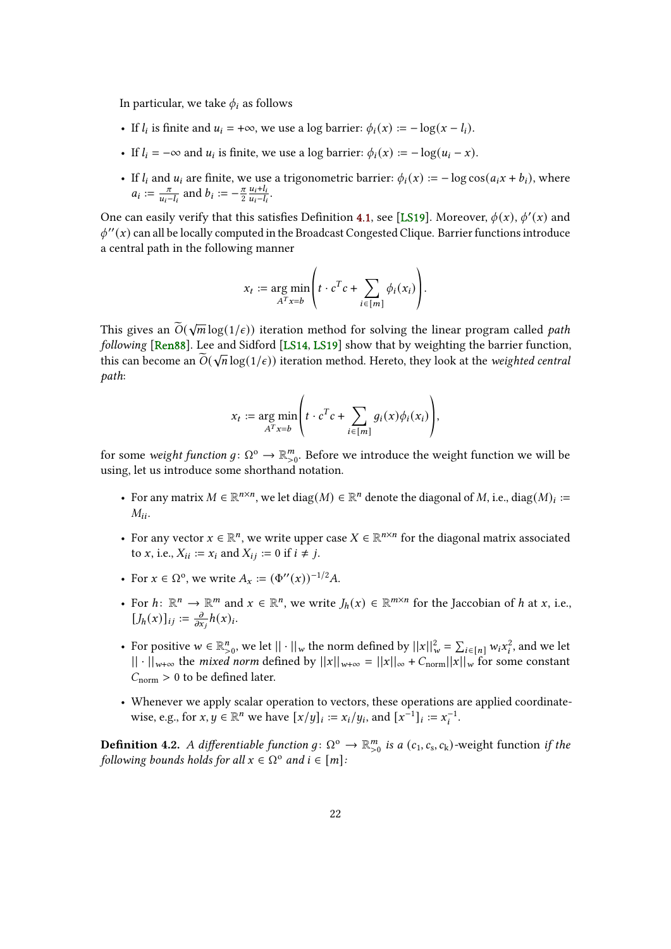<span id="page-21-0"></span>In particular, we take  $\phi_i$  as follows

- If  $l_i$  is finite and  $u_i = +\infty$ , we use a log barrier:  $\phi_i(x) := -\log(x l_i)$ .
- If  $l_i = -\infty$  and  $u_i$  is finite, we use a log barrier:  $\phi_i(x) := -\log(u_i x)$ .
- If  $l_i$  and  $u_i$  are finite, we use a trigonometric barrier:  $\phi_i(x) := -\log \cos(a_i x + b_i)$ , where  $a_i := \frac{\pi}{u_i}$  $\frac{\pi}{u_i - l_i}$  and  $b_i := -\frac{\pi}{2} \frac{u_i + l_i}{u_i - l_i}$  $\frac{u_i+ l_i}{u_i- l_i}$ .

One can easily verify that this satisfies Definition [4.1,](#page-20-1) see [\[LS19\]](#page-37-5). Moreover,  $\phi(x)$ ,  $\phi'(x)$  and  $\phi''(x)$  can all be locally computed in the Broadcast Congested Clique. Barrier functions introduce a central path in the following manner

$$
x_t := \underset{A^T x = b}{\arg \min} \left( t \cdot c^T c + \sum_{i \in [m]} \phi_i(x_i) \right).
$$

This gives an  $\widetilde{O}(\sqrt{m}\log(1/\epsilon))$  iteration method for solving the linear program called *path* following [\[Ren88\]](#page-38-9). Lee and Sidford [\[LS14,](#page-37-0) [LS19\]](#page-37-5) show that by weighting the barrier function, this can become an  $\widetilde{O}(\sqrt{n}\log(1/\epsilon))$  iteration method. Hereto, they look at the *weighted central* path:

$$
x_t := \underset{A^T x = b}{\arg \min} \left( t \cdot c^T c + \sum_{i \in [m]} g_i(x) \phi_i(x_i) \right),
$$

for some weight function  $g \colon \Omega^{\text{o}} \to \mathbb{R}_{>0}^m$ . Before we introduce the weight function we will be using, let us introduce some shorthand notation.

- For any matrix  $M \in \mathbb{R}^{n \times n}$ , we let  $diag(M) \in \mathbb{R}^n$  denote the diagonal of M, i.e.,  $diag(M)_i$  :=  $M_{ii}$ .
- For any vector  $x \in \mathbb{R}^n$ , we write upper case  $X \in \mathbb{R}^{n \times n}$  for the diagonal matrix associated to x, i.e.,  $X_{ii} := x_i$  and  $X_{ii} := 0$  if  $i \neq j$ .
- For  $x \in \Omega^0$ , we write  $A_x := (\Phi''(x))^{-1/2} A$ .
- For  $h: \mathbb{R}^n \to \mathbb{R}^m$  and  $x \in \mathbb{R}^n$ , we write  $J_h(x) \in \mathbb{R}^{m \times n}$  for the Jaccobian of h at x, i.e.,  $[J_h(x)]_{ij} := \frac{\partial}{\partial x}$  $\frac{\partial}{\partial x_i} h(x)_i$ .
- For positive  $w \in \mathbb{R}_{>0}^n$ , we let  $||\cdot||_w$  the norm defined by  $||x||_w^2 = \sum_{i\in[n]} w_i x_i^2$ , and we let  $|| \cdot ||_{w+\infty}$  the *mixed norm* defined by  $||x||_{w+\infty} = ||x||_{\infty} + C_{\text{norm}} ||x||_{w}$  for some constant  $C_{\text{norm}} > 0$  to be defined later.
- Whenever we apply scalar operation to vectors, these operations are applied coordinatewise, e.g., for  $x, y \in \mathbb{R}^n$  we have  $[x/y]_i := x_i/y_i$ , and  $[x^{-1}]_i := x_i^{-1}$ .

**Definition 4.2.** A differentiable function  $g: \Omega^{\text{o}} \to \mathbb{R}_{>0}^m$  is a  $(c_1, c_s, c_k)$ -weight function if the following bounds holds for all  $x \in \Omega^{\circ}$  and  $i \in [m]$ :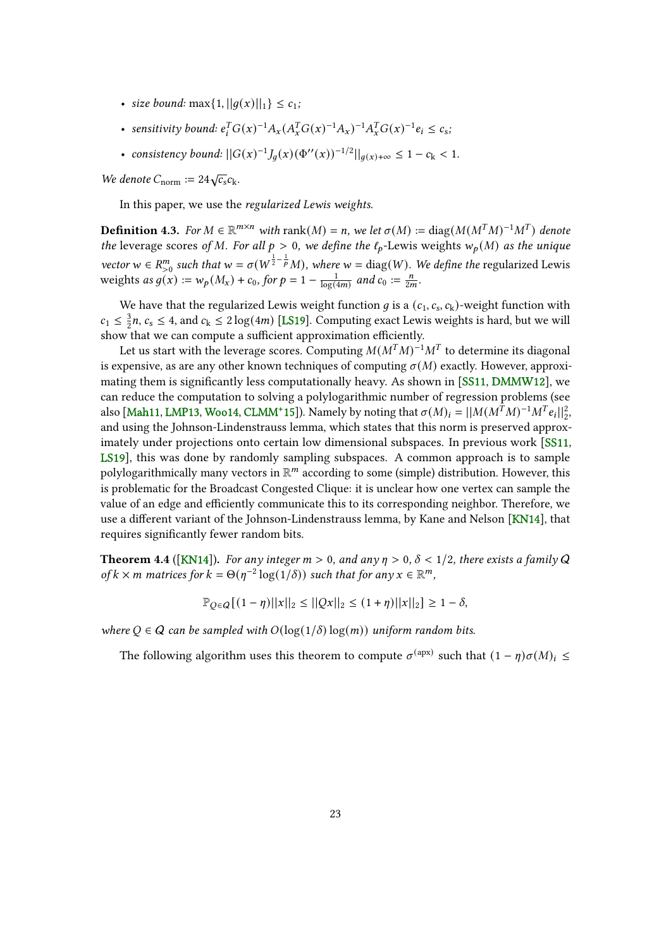- <span id="page-22-1"></span>• size bound:  $\max\{1, ||q(x)||_1\} \le c_1$ ;
- sensitivity bound:  $e_i^T G(x)^{-1} A_x (A_x^T G(x)^{-1} A_x)^{-1} A_x^T G(x)^{-1} e_i \le c_s$ ,
- consistency bound:  $||G(x)^{-1}J_g(x)(\Phi''(x))^{-1/2}||_{g(x)+\infty} \leq 1 c_k < 1$ .

We denote  $C_{\text{norm}} := 24\sqrt{c_s}c_k$ .

In this paper, we use the regularized Lewis weights.

**Definition 4.3.** For  $M \in \mathbb{R}^{m \times n}$  with rank $(M) = n$ , we let  $\sigma(M) := \text{diag}(M(M^T M)^{-1} M^T)$  denote the leverage scores of M. For all  $p > 0$ , we define the  $\ell_p$ -Lewis weights  $w_p(M)$  as the unique vector  $w \in R_{>0}^m$  such that  $w = \sigma(W^{\frac{1}{2} - \frac{1}{p}}M)$ , where  $w = \text{diag}(W)$ . We define the regularized Lewis weights as  $g(x) := w_p(M_x) + c_0$ , for  $p = 1 - \frac{1}{\log a}$  $\frac{1}{\log(4m)}$  and  $c_0 := \frac{n}{2m}$ .

We have that the regularized Lewis weight function *g* is a  $(c_1, c_s, c_k)$ -weight function with  $c_1 \leq \frac{3}{2}$  $\frac{3}{2}n$ ,  $c_s \leq 4$ , and  $c_k \leq 2\log(4m)$  [\[LS19\]](#page-37-5). Computing exact Lewis weights is hard, but we will show that we can compute a sufficient approximation efficiently.

Let us start with the leverage scores. Computing  $M(M^TM)^{-1}M^T$  to determine its diagonal is expensive, as are any other known techniques of computing  $\sigma(M)$  exactly. However, approxi-mating them is significantly less computationally heavy. As shown in [\[SS11,](#page-38-5) [DMMW12\]](#page-36-6), we can reduce the computation to solving a polylogarithmic number of regression problems (see also [\[Mah11,](#page-37-8) [LMP13,](#page-37-9) [Woo14,](#page-38-10) [CLMM](#page-35-5)<sup>+</sup>15]). Namely by noting that  $\sigma(M)_i = ||M(M^T M)^{-1} M^T e_i||_2^2$ , and using the Johnson-Lindenstrauss lemma, which states that this norm is preserved approximately under projections onto certain low dimensional subspaces. In previous work [\[SS11,](#page-38-5) [LS19\]](#page-37-5), this was done by randomly sampling subspaces. A common approach is to sample polylogarithmically many vectors in  $\mathbb{R}^m$  according to some (simple) distribution. However, this is problematic for the Broadcast Congested Clique: it is unclear how one vertex can sample the value of an edge and efficiently communicate this to its corresponding neighbor. Therefore, we use a different variant of the Johnson-Lindenstrauss lemma, by Kane and Nelson [\[KN14\]](#page-37-6), that requires significantly fewer random bits.

<span id="page-22-0"></span>**Theorem 4.4** ([\[KN14\]](#page-37-6)). For any integer  $m > 0$ , and any  $\eta > 0$ ,  $\delta < 1/2$ , there exists a family Q of  $k \times m$  matrices for  $k = \Theta(\eta^{-2} \log(1/\delta))$  such that for any  $x \in \mathbb{R}^m$ ,

$$
\mathbb{P}_{Q \in Q}[(1 - \eta)||x||_2 \le ||Qx||_2 \le (1 + \eta)||x||_2] \ge 1 - \delta,
$$

where  $Q \in \mathcal{Q}$  can be sampled with  $O(\log(1/\delta) \log(m))$  uniform random bits.

The following algorithm uses this theorem to compute  $\sigma^{(\text{apx})}$  such that  $(1 - \eta)\sigma(M)_i \leq$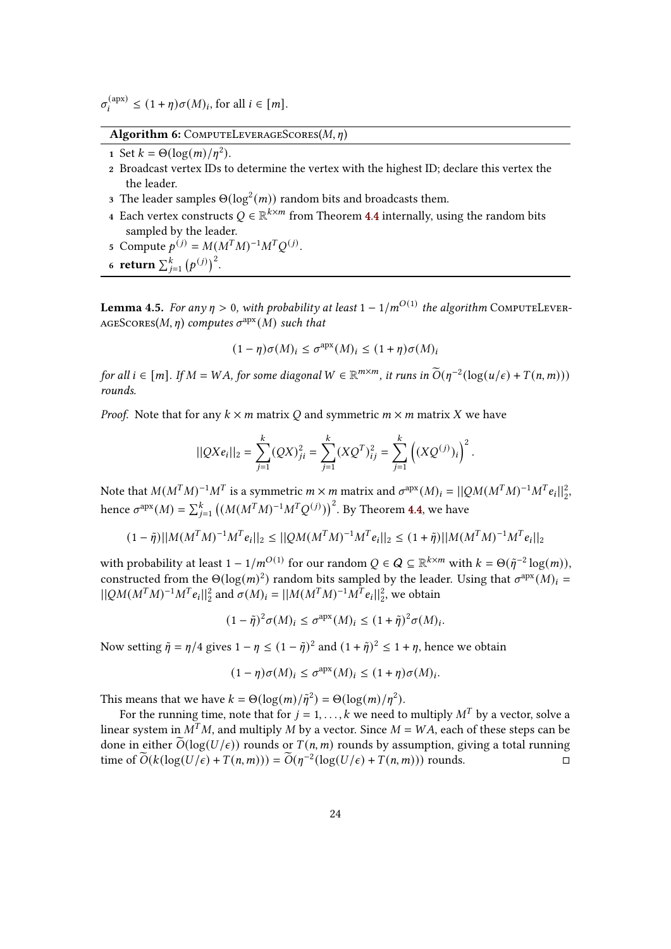$\sigma_i^{(\text{apx})} \le (1 + \eta) \sigma(M)_i$ , for all  $i \in [m]$ .

Algorithm 6: COMPUTELEVERAGESCORES( $M$ ,  $\eta$ )

1 Set  $k = \Theta(\log(m)/\eta^2)$ .

- <sup>2</sup> Broadcast vertex IDs to determine the vertex with the highest ID; declare this vertex the the leader.
- 3 The leader samples  $\Theta(\log^2(m))$  random bits and broadcasts them.
- 4 Each vertex constructs  $Q \in \mathbb{R}^{k \times m}$  from Theorem [4.4](#page-22-0) internally, using the random bits sampled by the leader.
- 5 Compute  $p^{(j)} = M(M^T M)^{-1} M^T Q^{(j)}$ .
- 6 return  $\sum_{j=1}^{k} (p^{(j)})^2$ .

<span id="page-23-0"></span>**Lemma 4.5.** For any  $\eta > 0$ , with probability at least  $1 - 1/m^{O(1)}$  the algorithm COMPUTELEVER-AGESCORES(M,  $\eta$ ) computes  $\sigma^{\text{apx}}(M)$  such that

$$
(1 - \eta)\sigma(M)_i \leq \sigma^{\text{apx}}(M)_i \leq (1 + \eta)\sigma(M)_i
$$

for all  $i \in [m]$ . If  $M = WA$ , for some diagonal  $W \in \mathbb{R}^{m \times m}$ , it runs in  $\widetilde{O}(\eta^{-2}(\log(u/\epsilon) + T(n, m)))$ rounds.

*Proof.* Note that for any  $k \times m$  matrix O and symmetric  $m \times m$  matrix X we have

$$
||QXe_i||_2 = \sum_{j=1}^k (QX)_{ji}^2 = \sum_{j=1}^k (XQ^T)_{ij}^2 = \sum_{j=1}^k ((XQ^{(j)})_i)^2.
$$

Note that  $M(M^TM)^{-1}M^T$  is a symmetric  $m \times m$  matrix and  $\sigma^{apx}(M)_i = ||QM(M^TM)^{-1}M^Te_i||_2^2$ hence  $\sigma^{\text{apx}}(M) = \sum_{j=1}^{k} ((M(M^TM)^{-1}M^TQ^{(j)}))^2$ . By Theorem [4.4,](#page-22-0) we have

$$
(1-\tilde{\eta})||M(M^TM)^{-1}M^Te_i||_2\leq ||QM(M^TM)^{-1}M^Te_i||_2\leq (1+\tilde{\eta})||M(M^TM)^{-1}M^Te_i||_2
$$

with probability at least  $1 - 1/m^{O(1)}$  for our random  $Q \in Q \subseteq \mathbb{R}^{k \times m}$  with  $k = \Theta(\tilde{\eta}^{-2} \log(m)),$ constructed from the  $\Theta(\log(m)^2)$  random bits sampled by the leader. Using that  $\sigma^{apx}(M)_i =$  $||QM(M^TM)^{-1}M^Te_i||_2^2$  and  $\sigma(M)_i = ||M(M^TM)^{-1}M^Te_i||_2^2$ , we obtain

$$
(1 - \tilde{\eta})^2 \sigma(M)_i \le \sigma^{\text{apx}}(M)_i \le (1 + \tilde{\eta})^2 \sigma(M)_i.
$$

Now setting  $\tilde{\eta} = \eta/4$  gives  $1 - \eta \le (1 - \tilde{\eta})^2$  and  $(1 + \tilde{\eta})^2 \le 1 + \eta$ , hence we obtain

$$
(1 - \eta)\sigma(M)_i \leq \sigma^{\text{apx}}(M)_i \leq (1 + \eta)\sigma(M)_i.
$$

This means that we have  $k = \Theta(\log(m)/\tilde{\eta}^2) = \Theta(\log(m)/\eta^2)$ .

For the running time, note that for  $j = 1, \ldots, k$  we need to multiply  $M<sup>T</sup>$  by a vector, solve a linear system in  $M^T M$ , and multiply M by a vector. Since  $M = WA$ , each of these steps can be done in either  $\tilde{O}(\log(U/\epsilon))$  rounds or  $T(n, m)$  rounds by assumption, giving a total running<br>time of  $\tilde{O}(k(\log(U/\epsilon) + T(n/m))) = \tilde{O}(n^{-2}(\log(U/\epsilon) + T(n/m)))$  rounds time of  $\widetilde{O}(k(\log(U/\epsilon) + T(n,m))) = \widetilde{O}(\eta^{-2}(\log(U/\epsilon) + T(n,m)))$  rounds.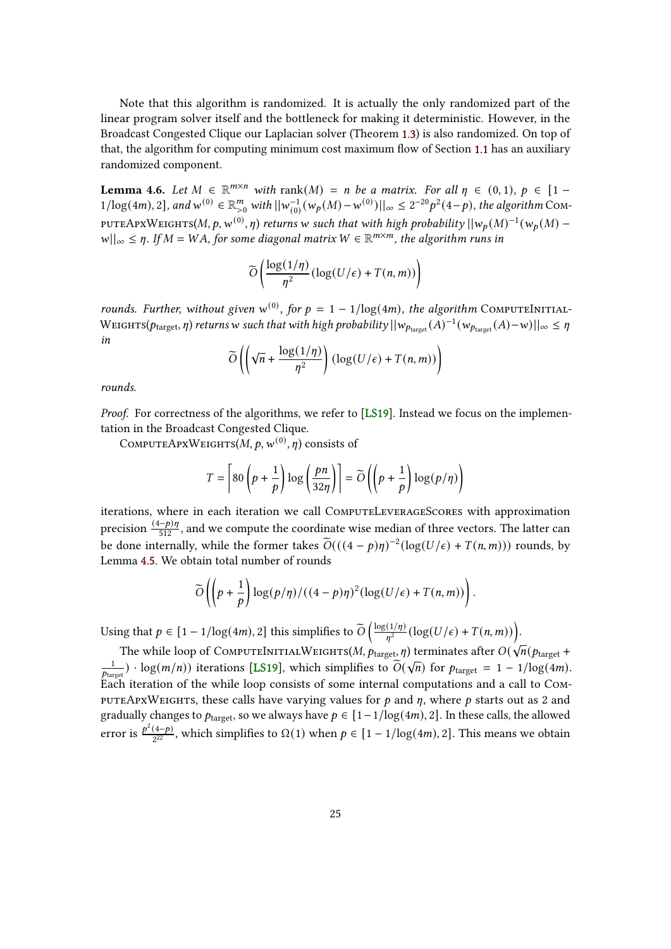<span id="page-24-1"></span>Note that this algorithm is randomized. It is actually the only randomized part of the linear program solver itself and the bottleneck for making it deterministic. However, in the Broadcast Congested Clique our Laplacian solver (Theorem [1.3\)](#page-3-2) is also randomized. On top of that, the algorithm for computing minimum cost maximum flow of Section [1.1](#page-3-3) has an auxiliary randomized component.

<span id="page-24-0"></span>**Lemma 4.6.** Let  $M \in \mathbb{R}^{m \times n}$  with rank $(M) = n$  be a matrix. For all  $\eta \in (0, 1)$ ,  $p \in [1 - \frac{1}{n}]$  $1/\text{log}(4m)$ , 2], and  $w^{(0)} \in \mathbb{R}_{>0}^m$  with  $||w_{(0)}^{-1}||$  $\int_{(0)}^{-1} (w_p(M) - w^{(0)}) ||_\infty \leq 2^{-20} p^2(4-p)$ , the algorithm COM-PUTEAPXWEIGHTS(M, p, w<sup>(0)</sup>,  $\eta$ ) returns w such that with high probability  $||w_p(M)^{-1}(w_p(M) |w||_{\infty} \leq \eta$ . If  $M = WA$ , for some diagonal matrix  $W \in \mathbb{R}^{m \times m}$ , the algorithm runs in

$$
\widetilde{O}\left(\frac{\log(1/\eta)}{\eta^2}(\log(U/\epsilon)+T(n,m))\right)
$$

rounds. Further, without given w<sup>(0)</sup>, for  $p = 1 - 1/\log(4m)$ , the algorithm COMPUTEINITIAL-WEIGHTS( $p_{\text{target}}, \eta$ ) returns w such that with high probability  $||w_{p_{\text{target}}}(A)^{-1}(w_{p_{\text{target}}}(A)-w)||_{\infty} \leq \eta$ in

$$
\widetilde{O}\left(\left(\sqrt{n} + \frac{\log(1/\eta)}{\eta^2}\right) \left(\log(U/\epsilon) + T(n, m)\right)\right)
$$

rounds.

Proof. For correctness of the algorithms, we refer to [\[LS19\]](#page-37-5). Instead we focus on the implementation in the Broadcast Congested Clique.

COMPUTEAPXWEIGHTS $(M, p, w^{(0)}, n)$  consists of

$$
T = \left[80\left(p + \frac{1}{p}\right)\log\left(\frac{pn}{32\eta}\right)\right] = \widetilde{O}\left(\left(p + \frac{1}{p}\right)\log\left(p/\eta\right)\right)
$$

iterations, where in each iteration we call ComputeLeverageScores with approximation precision  $\frac{(4-p)\eta}{512}$ , and we compute the coordinate wise median of three vectors. The latter can be done internally, while the former takes  $\widetilde{O}(((4-p)\eta)^{-2}(\log(U/\epsilon) + T(n,m)))$  rounds, by Lemma [4.5.](#page-23-0) We obtain total number of rounds

$$
\widetilde{O}\left(\left(p+\frac{1}{p}\right)\log\left(p/\eta\right)/\left((4-p)\eta\right)^2\left(\log(U/\epsilon)+T(n,m)\right)\right).
$$

Using that  $p \in [1 - 1/\log(4m), 2]$  this simplifies to  $\widetilde{O}\left(\frac{\log(1/\eta)}{\eta^2}\right)$  $\frac{N(1/\eta)}{n^2}(\log(U/\epsilon)+T(n,m))).$ 

The while loop of COMPUTEINITIALWEIGHTS(M,  $p_{\text{target}}$ ,  $\eta$ ) terminates after  $O(\sqrt{n}(p_{\text{target}} + p))$ 1 The wine toop of COMFUTENTITAL WEIGHTS(*M*, *Ptarget, If*) definitions and  $O(\sqrt{n}$  (*Pharget* = 1 - 1/log(4*m*).<br> $\frac{1}{p_{\text{target}}}$   $\cdot$  log(*m/n*)) iterations [\[LS19\]](#page-37-5), which simplifies to  $O(\sqrt{n})$  for  $p_{\text{target}} = 1 - 1/\log(4m)$ . Each iteration of the while loop consists of some internal computations and a call to Compute ApxWeights, these calls have varying values for  $p$  and  $\eta$ , where  $p$  starts out as 2 and gradually changes to  $p_{\text{target}}$ , so we always have  $p \in [1-1/\log(4m), 2]$ . In these calls, the allowed error is  $\frac{p^2(4-p)}{2}$  $\frac{(4-p)}{2^{22}}$ , which simplifies to Ω(1) when  $p ∈ [1 − 1/log(4m), 2]$ . This means we obtain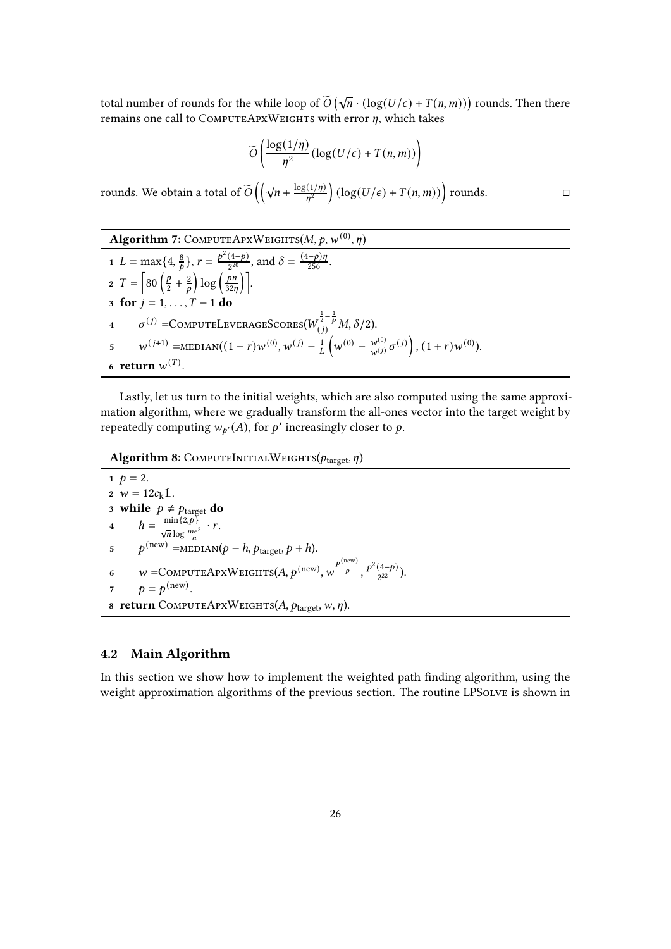total number of rounds for the while loop of  $\widetilde{O}(\sqrt{n} \cdot (\log(U/\epsilon) + T(n,m)))$  rounds. Then there remains one call to COMPUTEAPXWEIGHTS with error  $\eta$ , which takes

$$
\widetilde{O}\left(\frac{\log(1/\eta)}{\eta^2}(\log(U/\epsilon)+T(n,m))\right)
$$

rounds. We obtain a total of  $\widetilde{O}\left(\left(\sqrt{n} + \frac{\log(1/\eta)}{\eta^2}\right)\right)$  $\frac{d\Gamma(n)}{n^2}$  (log(U/ $\epsilon$ ) + T(n, m)) rounds.

Algorithm 7: COMPUTEAPXWEIGHTS(M, p, w<sup>(0)</sup>, 
$$
\eta
$$
)  
\n1  $L = \max\{4, \frac{8}{p}\}, r = \frac{p^2(4-p)}{2^{20}}, \text{ and } \delta = \frac{(4-p)\eta}{256}.$   
\n2  $T = \left[80\left(\frac{p}{2} + \frac{2}{p}\right)\log\left(\frac{pn}{32\eta}\right)\right].$   
\n3 **for**  $j = 1, ..., T - 1$  **do**  
\n4  $\sigma^{(j)} = \text{COMPUTELeverAGEScores}(W_{(j)}^{\frac{1}{2} - \frac{1}{p}}M, \delta/2).$   
\n5  $w^{(j+1)} = \text{MEDIAN}((1 - r)w^{(0)}, w^{(j)} - \frac{1}{L}\left(w^{(0)} - \frac{w^{(0)}}{w^{(j)}}\sigma^{(j)}\right), (1 + r)w^{(0)}).$   
\n6 **return**  $w^{(T)}$ .

Lastly, let us turn to the initial weights, which are also computed using the same approximation algorithm, where we gradually transform the all-ones vector into the target weight by repeatedly computing  $w_{p}(A)$ , for p' increasingly closer to p.

Algorithm 8: COMPUTEINITIALWEIGHTS( $p_{\text{target}}, \eta$ )

1  $p = 2$ . 2  $w = 12c_k \mathbb{1}$ . 3 while  $p \neq p_{\text{target}}$  do 4  $h = \frac{\min\{2,p\}}{\sqrt{n}\log\frac{me^2}{n}} \cdot r.$  $\int p^{(\text{new})} = \text{MEDIAN}(p-h, p_{\text{target}}, p+h).$ 6  $w = \text{COMPUTEAPXWEIGHTS}(A, p^{(\text{new})}, w^{\frac{p^{(\text{new})}}{p}}, \frac{p^2(4-p)}{2^{22}})$  $\frac{(4-p)}{2^{22}})$ .  $p = p^{\text{(new)}}$ . 8 return COMPUTEAPXWEIGHTS $(A, p_{\text{target}}, w, \eta)$ .

#### <span id="page-25-0"></span>4.2 Main Algorithm

In this section we show how to implement the weighted path nding algorithm, using the weight approximation algorithms of the previous section. The routine LPSOLVE is shown in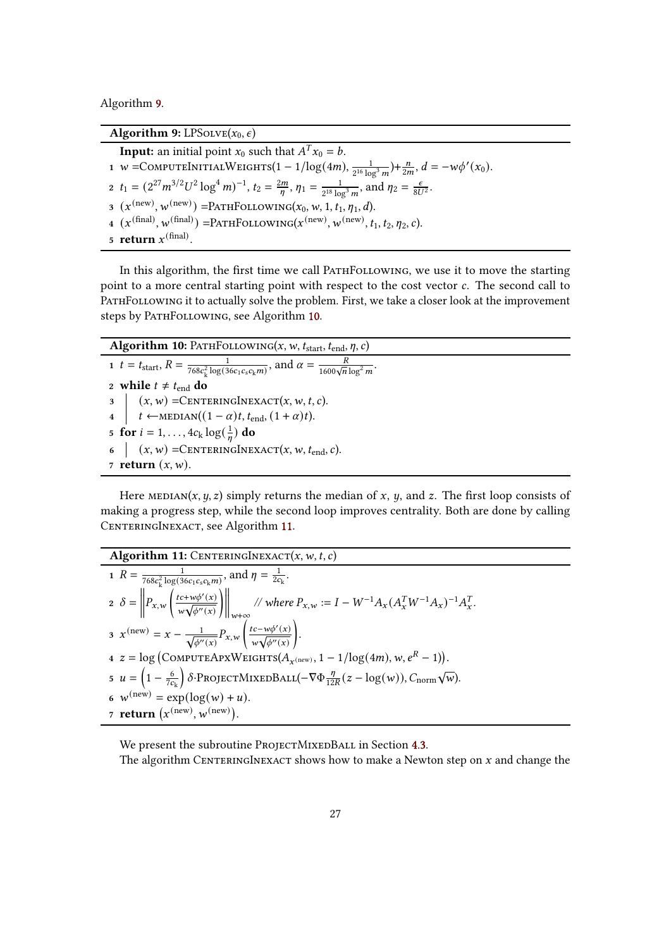Algorithm [9.](#page-26-0)

<span id="page-26-0"></span>Algorithm 9: LPSOLVE $(x_0, \epsilon)$ **Input:** an initial point  $x_0$  such that  $A^T x_0 = b$ . 1 W =COMPUTEINITIALWEIGHTS $(1-1/\log(4m), \frac{1}{2^{16}})$  $\frac{1}{2^{16} \log^3 m}$  +  $\frac{n}{2m}$ ,  $d = -w\phi'(x_0)$ . 2  $t_1 = (2^{27}m^{3/2}U^2 \log^4 m)^{-1}$ ,  $t_2 = \frac{2m}{n}$  $\frac{2m}{n}$ ,  $\eta_1 = \frac{1}{2^{18} \log n}$  $\frac{1}{2^{18} \log^3 m}$ , and  $\eta_2 = \frac{\epsilon}{8U^2}$ .  $\mathfrak{g}(\mathfrak{X}^{(\text{new})}, \mathfrak{w}^{(\text{new})}) = \text{PATHFOLUTIONING}(x_0, w, 1, t_1, \eta_1, d).$  $\mathcal{L}\left(\mathbf{x}^{(\text{final})}, \mathbf{w}^{(\text{final})}\right) = \text{PATHFOLUTIONING}(\mathbf{x}^{(\text{new})}, \mathbf{w}^{(\text{new})}, t_1, t_2, \eta_2, c).$ 5 return  $x^{\text{(final)}}$ .

In this algorithm, the first time we call PATHFOLLOWING, we use it to move the starting point to a more central starting point with respect to the cost vector  $c$ . The second call to PATHFOLLOWING it to actually solve the problem. First, we take a closer look at the improvement steps by PATHFOLLOWING, see Algorithm [10.](#page-26-1)

<span id="page-26-1"></span>Algorithm 10: PATHFOLLOWING(x, w,  $t_{\text{start}}, t_{\text{end}}, \eta, c$ ) 1  $t = t_{\text{start}}, R = \frac{1}{768c^2 \log(3)}$  $\frac{1}{768c_k^2\log(36c_1c_sc_km)}$ , and  $\alpha = \frac{R}{1600\sqrt{n}\log^2 m}$ . 2 while  $t \neq t_{end}$  do  $3 \mid (x, w) =$ CENTERINGINEXACT $(x, w, t, c)$ . 4  $\vert t \leftarrow \text{MEDIAN}((1 - \alpha)t, t_{end}, (1 + \alpha)t).$ 5 for  $i = 1, ..., 4c_k \log(\frac{1}{n})$  $\frac{1}{n}$ ) do 6  $(x, w)$  =CENTERINGINEXACT $(x, w, t_{end}, c)$ . 7 return  $(x, w)$ .

Here MEDIAN(x, y, z) simply returns the median of x, y, and z. The first loop consists of making a progress step, while the second loop improves centrality. Both are done by calling CENTERINGINEXACT, see Algorithm [11.](#page-26-2)

<span id="page-26-2"></span>Algorithm 11: CENTERNGINEXACT
$$
(x, w, t, c)
$$
  
\n1  $R = \frac{1}{768c_k^2 \log(36c_1c_s c_k m)},$  and  $\eta = \frac{1}{2c_k}$ .  
\n2  $\delta = \left\| P_{x,w} \left( \frac{tc + w\phi'(x)}{w\sqrt{\phi''(x)}} \right) \right\|_{w+\infty}$   
\n3  $x^{(\text{new})} = x - \frac{1}{\sqrt{\phi''(x)}} P_{x,w} \left( \frac{tc - w\phi'(x)}{w\sqrt{\phi''(x)}} \right)$ .  
\n4  $z = \log \left( \text{COMPUTEAPXWEIGHTS}(A_{x^{(\text{new})}}, 1 - 1/\log(4m), w, e^R - 1) \right)$ .  
\n5  $u = \left( 1 - \frac{6}{7c_k} \right) \delta \cdot \text{PROJECTMIXEDBAL}(-\nabla \Phi \frac{\eta}{12R}(z - \log(w)), C_{\text{norm}} \sqrt{w})$ .  
\n6  $w^{(\text{new})} = \exp(\log(w) + u)$ .  
\n7 **return**  $(x^{(\text{new})}, w^{(\text{new})})$ .

We present the subroutine PROJECTMIXEDBALL in Section [4.3.](#page-28-0) The algorithm CENTERINGINEXACT shows how to make a Newton step on  $x$  and change the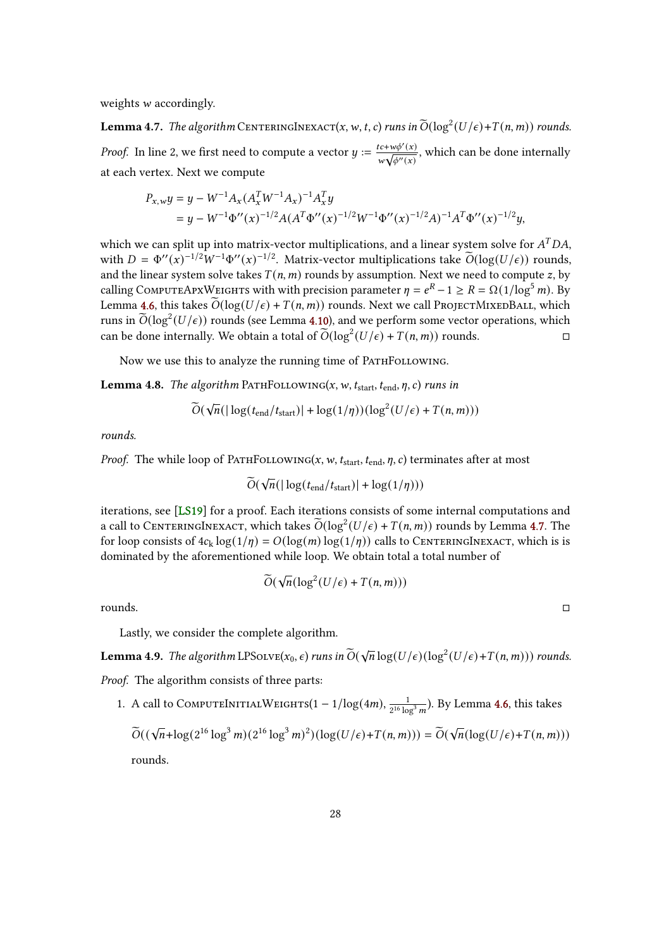<span id="page-27-2"></span>weights  $w$  accordingly.

<span id="page-27-0"></span>**Lemma 4.7.** The algorithm CENTERINGINEXACT(x, w, t, c) runs in  $\widetilde{O}(\log^2(U/\epsilon) + T(n, m))$  rounds. *Proof.* In line 2, we first need to compute a vector  $y := \frac{tc + w\phi'(x)}{\sqrt{1 + c^2}}$  $\frac{tc + w\phi'(x)}{w\sqrt{\phi''(x)}}$ , which can be done internally at each vertex. Next we compute

$$
P_{x,w}y = y - W^{-1}A_x (A_x^T W^{-1} A_x)^{-1} A_x^T y
$$
  
=  $y - W^{-1} \Phi''(x)^{-1/2} A (A^T \Phi''(x)^{-1/2} W^{-1} \Phi''(x)^{-1/2} A)^{-1} A^T \Phi''(x)^{-1/2} y,$ 

which we can split up into matrix-vector multiplications, and a linear system solve for  $A<sup>T</sup>DA$ . with  $D = \Phi''(x)^{-1/2} W^{-1} \Phi''(x)^{-1/2}$ . Matrix-vector multiplications take  $\widetilde{O}(\log(U/\epsilon))$  rounds, and the linear system solve takes  $T(n, m)$  rounds by assumption. Next we need to compute z, by calling COMPUTEAPXWEIGHTS with with precision parameter  $\eta = e^R - 1 \ge R = \Omega(1/\log^5 m)$ . By Lemma [4.6,](#page-24-0) this takes  $\widetilde{O}(\log(U/\epsilon) + T(n,m))$  rounds. Next we call ProjectMixedBall, which runs in  $\widetilde{O}(\log^2(U/\epsilon))$  rounds (see Lemma [4.10\)](#page-28-1), and we perform some vector operations, which can be done internally. We obtain a total of  $\widetilde{O}(\log^2(U/\epsilon) + T(n,m))$  rounds.

Now we use this to analyze the running time of PATHFOLLOWING.

<span id="page-27-1"></span>**Lemma 4.8.** The algorithm PATHFOLLOWING(x, w,  $t_{\text{start}}, t_{\text{end}}, \eta, c$ ) runs in

$$
\widetilde{O}(\sqrt{n}(|\log(t_{\text{end}}/t_{\text{start}})| + \log(1/\eta))(\log^2(U/\epsilon) + T(n, m)))
$$

rounds.

*Proof.* The while loop of PATHFOLLOWING(x, w,  $t_{\text{start}}$ ,  $t_{\text{end}}$ ,  $\eta$ , c) terminates after at most

$$
\widetilde{O}(\sqrt{n}(|\log(t_{\text{end}}/t_{\text{start}})| + \log(1/\eta)))
$$

iterations, see [\[LS19\]](#page-37-5) for a proof. Each iterations consists of some internal computations and a call to CENTERINGINEXACT, which takes  $\widetilde{O}(\log^2(U/\epsilon) + T(n,m))$  rounds by Lemma [4.7.](#page-27-0) The for loop consists of  $4c_k \log(1/\eta) = O(\log(m) \log(1/\eta))$  calls to CENTERINGINEXACT, which is is dominated by the aforementioned while loop. We obtain total a total number of

$$
\widetilde{O}(\sqrt{n}(\log^2(U/\epsilon) + T(n,m)))
$$

rounds.

Lastly, we consider the complete algorithm.

**Lemma 4.9.** The algorithm LPS $_{\text{OLVE}}(x_0, \epsilon)$  runs in  $\widetilde{O}(\sqrt{n}\log(U/\epsilon)(\log^2(U/\epsilon)+T(n, m)))$  rounds.

Proof. The algorithm consists of three parts:

1. A call to COMPUTEINITIALWEIGHTS $(1 - 1/\log(4m), \frac{1}{2\log(1-\log n)})$  $\frac{1}{2^{16}\log^3 m}$ ). By Lemma [4.6,](#page-24-0) this takes

$$
\widetilde{O}((\sqrt{n} + \log(2^{16} \log^3 m)(2^{16} \log^3 m)^2)(\log(U/\epsilon) + T(n, m))) = \widetilde{O}(\sqrt{n}(\log(U/\epsilon) + T(n, m)))
$$
  
rounds.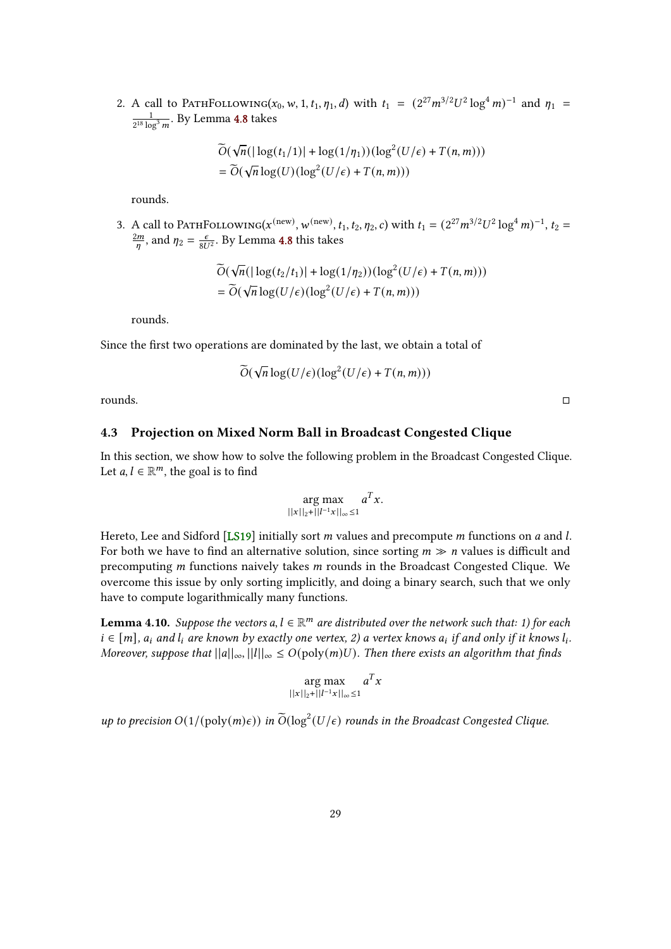<span id="page-28-2"></span>2. A call to PATHFOLLOWING( $x_0$ , w, 1,  $t_1$ ,  $\eta_1$ , d) with  $t_1 = (2^{27} m^{3/2} U^2 \log^4 m)^{-1}$  and  $\eta_1$ 1  $\frac{1}{2^{18} \log^3 m}$ . By Lemma [4.8](#page-27-1) takes

$$
\widetilde{O}(\sqrt{n}(|\log(t_1/1)| + \log(1/\eta_1))(\log^2(U/\epsilon) + T(n, m)))
$$
  
=  $\widetilde{O}(\sqrt{n}\log(U)(\log^2(U/\epsilon) + T(n, m)))$ 

rounds.

3. A call to PATHFOLLOWING( $x^{(\text{new})}$ ,  $w^{(\text{new})}$ ,  $t_1$ ,  $t_2$ ,  $\eta_2$ , c) with  $t_1 = (2^{27}m^{3/2}U^2 \log^4 m)^{-1}$ ,  $t_2 =$  $2m$  $\frac{2m}{n}$ , and  $\eta_2 = \frac{\epsilon}{8U^2}$ . By Lemma [4.8](#page-27-1) this takes

$$
\widetilde{O}(\sqrt{n}(|\log(t_2/t_1)| + \log(1/\eta_2))(\log^2(U/\epsilon) + T(n, m)))
$$
  
= 
$$
\widetilde{O}(\sqrt{n}\log(U/\epsilon)(\log^2(U/\epsilon) + T(n, m)))
$$

rounds.

Since the first two operations are dominated by the last, we obtain a total of

$$
\widetilde{O}(\sqrt{n}\log(U/\epsilon)(\log^2(U/\epsilon)+T(n,m)))
$$

rounds.

## <span id="page-28-0"></span>4.3 Projection on Mixed Norm Ball in Broadcast Congested Clique

In this section, we show how to solve the following problem in the Broadcast Congested Clique. Let  $a, l \in \mathbb{R}^m$ , the goal is to find

$$
\arg \max_{||x||_2+||l^{-1}x||_{\infty}\leq 1} a^T x.
$$

Hereto, Lee and Sidford [\[LS19\]](#page-37-5) initially sort  $m$  values and precompute  $m$  functions on  $a$  and  $l$ . For both we have to find an alternative solution, since sorting  $m \gg n$  values is difficult and precomputing  $m$  functions naively takes  $m$  rounds in the Broadcast Congested Clique. We overcome this issue by only sorting implicitly, and doing a binary search, such that we only have to compute logarithmically many functions.

<span id="page-28-1"></span>**Lemma 4.10.** Suppose the vectors a,  $l \in \mathbb{R}^m$  are distributed over the network such that: 1) for each  $i \in [m]$ ,  $a_i$  and  $l_i$  are known by exactly one vertex, 2) a vertex knows  $a_i$  if and only if it knows  $l_i$ . Moreover, suppose that  $||a||_{\infty}$ ,  $||l||_{\infty} \leq O(poly(m)U)$ . Then there exists an algorithm that finds

$$
\arg \max_{||x||_2 + ||l^{-1}x||_{\infty} \le 1} a^T x
$$

up to precision  $O(1/(\text{poly}(m)\epsilon))$  in  $\widetilde{O}(\log^2(U/\epsilon)$  rounds in the Broadcast Congested Clique.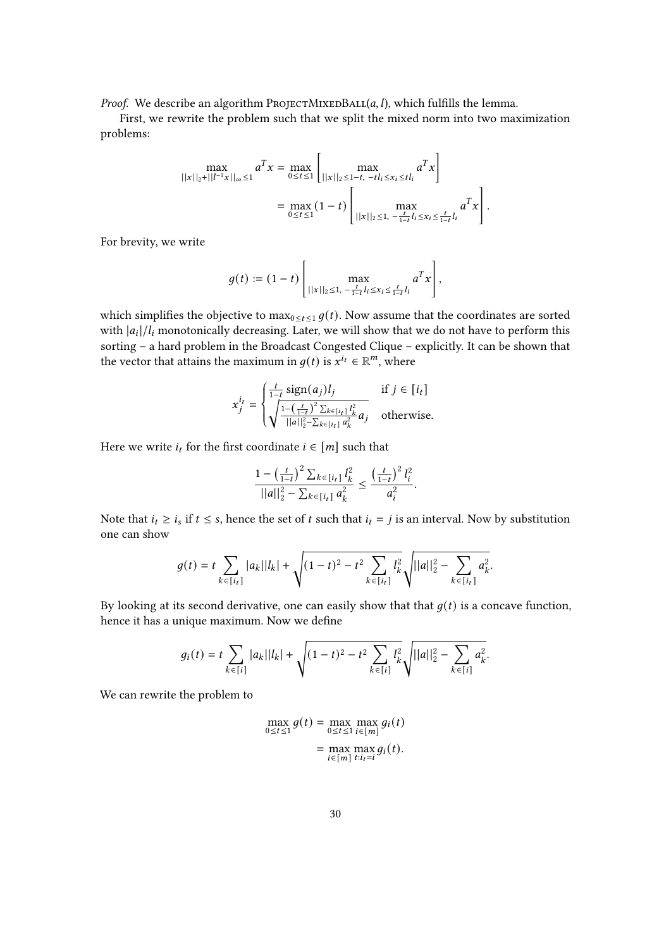*Proof.* We describe an algorithm PROJECTMIXEDBALL $(a, l)$ , which fulfills the lemma.

First, we rewrite the problem such that we split the mixed norm into two maximization problems:

$$
\max_{\|x\|_2 + \|l^{-1}x\|_\infty \le 1} a^T x = \max_{0 \le t \le 1} \left[ \max_{\|x\|_2 \le 1-t, -t l_i \le x_i \le t l_i} a^T x \right]
$$

$$
= \max_{0 \le t \le 1} (1-t) \left[ \max_{\|x\|_2 \le 1, -\frac{t}{1-t} l_i \le x_i \le \frac{t}{1-t} l_i} a^T x \right].
$$

For brevity, we write

$$
g(t) := (1-t) \left[ \max_{\|x\|_2 \leq 1, -\frac{t}{1-t} l_i \leq x_i \leq \frac{t}{1-t} l_i} a^T x \right],
$$

which simplifies the objective to  $\max_{0 \le t \le 1} g(t)$ . Now assume that the coordinates are sorted with  $|a_i|/l_i$  monotonically decreasing. Later, we will show that we do not have to perform this sorting – a hard problem in the Broadcast Congested Clique – explicitly. It can be shown that the vector that attains the maximum in  $g(t)$  is  $x^{i_t} \in \mathbb{R}^m$ , where

$$
x_j^{i_t} = \begin{cases} \frac{t}{1-t} \operatorname{sign}(a_j) l_j & \text{if } j \in [i_t] \\ \sqrt{\frac{1 - \left(\frac{t}{1-t}\right)^2 \sum_{k \in [i_t]} l_k^2}{||a||_2^2 - \sum_{k \in [i_t]} a_k^2}} & \text{otherwise.} \end{cases}
$$

Here we write  $i_t$  for the first coordinate  $i \in [m]$  such that

$$
\frac{1 - \left(\frac{t}{1-t}\right)^2 \sum_{k \in [i_t]} l_k^2}{||a||_2^2 - \sum_{k \in [i_t]} a_k^2} \le \frac{\left(\frac{t}{1-t}\right)^2 l_i^2}{a_i^2}.
$$

Note that  $i_t \ge i_s$  if  $t \le s$ , hence the set of t such that  $i_t = j$  is an interval. Now by substitution one can show

$$
g(t) = t \sum_{k \in [i_t]} |a_k||l_k| + \sqrt{(1-t)^2 - t^2 \sum_{k \in [i_t]} l_k^2} \sqrt{||a||_2^2 - \sum_{k \in [i_t]} a_k^2}.
$$

By looking at its second derivative, one can easily show that that  $q(t)$  is a concave function, hence it has a unique maximum. Now we define

$$
g_i(t) = t \sum_{k \in [i]} |a_k||l_k| + \sqrt{(1-t)^2 - t^2 \sum_{k \in [i]} l_k^2} \sqrt{||a||_2^2 - \sum_{k \in [i]} a_k^2}.
$$

We can rewrite the problem to

$$
\max_{0 \le t \le 1} g(t) = \max_{0 \le t \le 1} \max_{i \in [m]} g_i(t)
$$

$$
= \max_{i \in [m]} \max_{t:i_t=i} g_i(t).
$$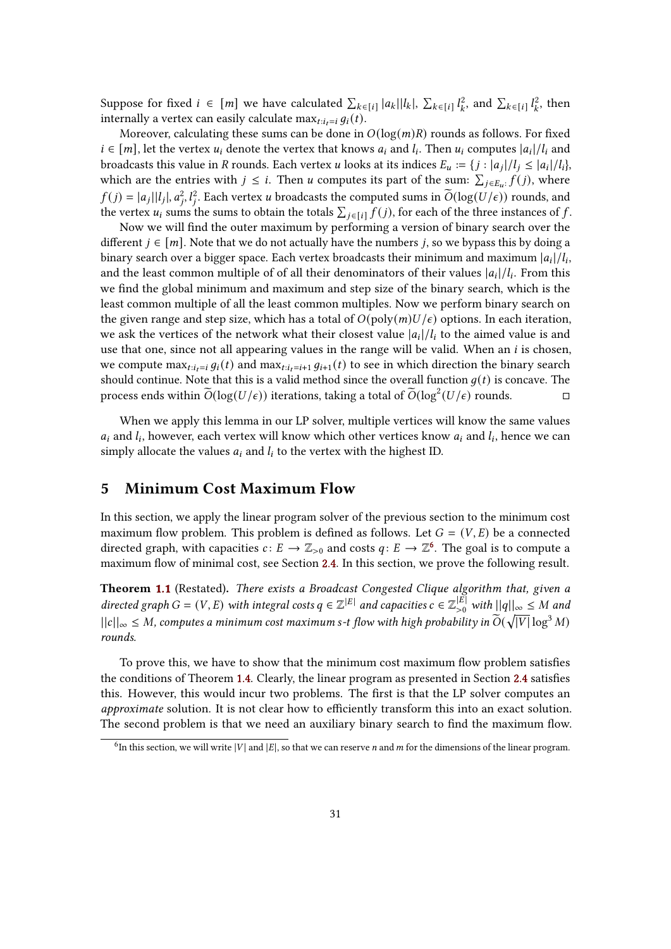Suppose for fixed  $i \in [m]$  we have calculated  $\sum_{k \in [i]} |a_k||l_k|$ ,  $\sum_{k \in [i]} l_k^2$  $l_k^2$ , and  $\sum_{k \in [i]} l_k^2$  $l_k^2$ , then internally a vertex can easily calculate max $_{t:i}=q_i(t)$ .

Moreover, calculating these sums can be done in  $O(log(m)R)$  rounds as follows. For fixed  $i \in [m]$ , let the vertex  $u_i$  denote the vertex that knows  $a_i$  and  $l_i$ . Then  $u_i$  computes  $|a_i|/l_i$  and broadcasts this value in R rounds. Each vertex *u* looks at its indices  $E_u := \{j : |a_j|/l_i \leq |a_i|/l_i\}$ which are the entries with  $j \leq i$ . Then u computes its part of the sum:  $\sum_{j \in E_u} f(j)$ , where  $f(j) = |a_j||l_j|, a_j^2, l_j^2$ . Each vertex *u* broadcasts the computed sums in  $\widetilde{O}(\log(U/\epsilon))$  rounds, and the vertex  $u_i$  sums the sums to obtain the totals  $\sum_{j \in [i]} f(j)$ , for each of the three instances of f.

Now we will find the outer maximum by performing a version of binary search over the different  $j \in [m]$ . Note that we do not actually have the numbers *j*, so we bypass this by doing a binary search over a bigger space. Each vertex broadcasts their minimum and maximum  $|a_i|/l_i$ , and the least common multiple of of all their denominators of their values  $|a_i|/l_i$ . From this we find the global minimum and maximum and step size of the binary search, which is the least common multiple of all the least common multiples. Now we perform binary search on the given range and step size, which has a total of  $O(\text{poly}(m) U/\epsilon)$  options. In each iteration, we ask the vertices of the network what their closest value  $|a_i|/l_i$  to the aimed value is and use that one, since not all appearing values in the range will be valid. When an  $i$  is chosen, we compute  $\max_{t:i_t=i} q_i(t)$  and  $\max_{t:i_t=i+1} q_{i+1}(t)$  to see in which direction the binary search should continue. Note that this is a valid method since the overall function  $q(t)$  is concave. The process ends within  $\widetilde{O}(\log(U/\epsilon))$  iterations, taking a total of  $\widetilde{O}(\log^2(U/\epsilon))$  rounds.

When we apply this lemma in our LP solver, multiple vertices will know the same values  $a_i$  and  $l_i$ , however, each vertex will know which other vertices know  $a_i$  and  $l_i$ , hence we can simply allocate the values  $a_i$  and  $l_i$  to the vertex with the highest ID.

## <span id="page-30-0"></span>5 Minimum Cost Maximum Flow

In this section, we apply the linear program solver of the previous section to the minimum cost maximum flow problem. This problem is defined as follows. Let  $G = (V, E)$  be a connected directed graph, with capacities  $c: E \to \mathbb{Z}_{>0}$  and costs  $q: E \to \mathbb{Z}^6$  $q: E \to \mathbb{Z}^6$ . The goal is to compute a maximum flow of minimal cost, see Section [2.4.](#page-9-0) In this section, we prove the following result.

Theorem [1.1](#page-3-3) (Restated). There exists a Broadcast Congested Clique algorithm that, given a directed graph  $G = (V, E)$  with integral costs  $q \in \mathbb{Z}^{|E|}$  and capacities  $c \in \mathbb{Z}_{>0}^{|E|}$  with  $||q||_{\infty} \leq M$  and  $||c||_{\infty} \leq M$ , computes a minimum cost maximum s-t flow with high probability in  $\widetilde{O}(\sqrt{|V|}\log^3 M)$ rounds.

To prove this, we have to show that the minimum cost maximum flow problem satisfies the conditions of Theorem [1.4.](#page-4-2) Clearly, the linear program as presented in Section [2.4](#page-9-0) satisfies this. However, this would incur two problems. The first is that the LP solver computes an approximate solution. It is not clear how to efficiently transform this into an exact solution. The second problem is that we need an auxiliary binary search to find the maximum flow.

<span id="page-30-1"></span><sup>&</sup>lt;sup>6</sup>In this section, we will write |V| and |E|, so that we can reserve *n* and *m* for the dimensions of the linear program.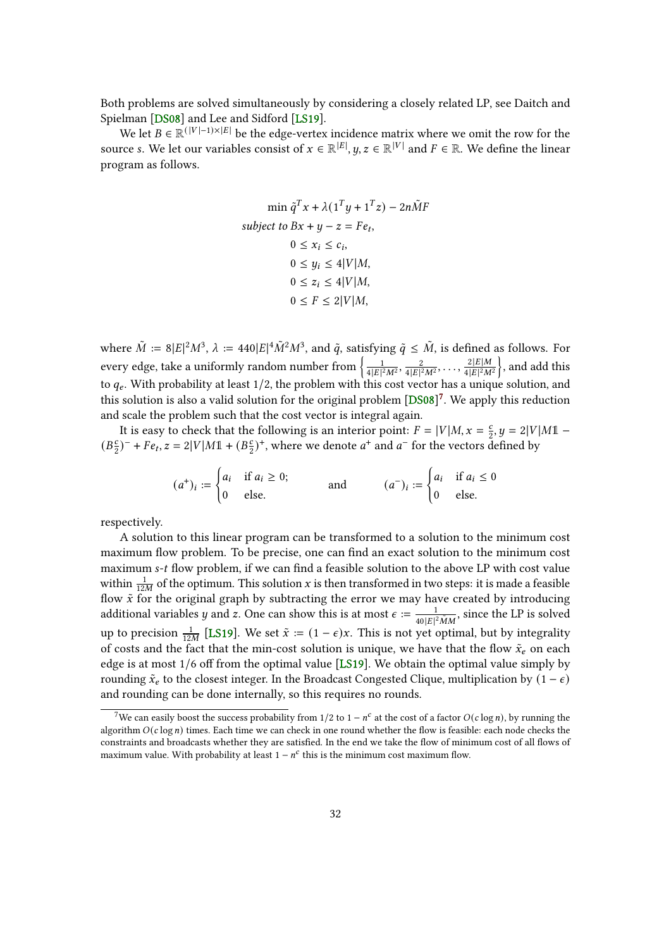<span id="page-31-1"></span>Both problems are solved simultaneously by considering a closely related LP, see Daitch and Spielman [\[DS08\]](#page-36-7) and Lee and Sidford [\[LS19\]](#page-37-5).

We let  $B \in \mathbb{R}^{(|V|-1)\times |E|}$  be the edge-vertex incidence matrix where we omit the row for the source s. We let our variables consist of  $x \in \mathbb{R}^{|E|}$ ,  $y, z \in \mathbb{R}^{|V|}$  and  $F \in \mathbb{R}$ . We define the linear program as follows.

$$
\min \tilde{q}^T x + \lambda (1^T y + 1^T z) - 2n\tilde{M}F
$$
\n
$$
subject \ to \ Bx + y - z = Fe_t,
$$
\n
$$
0 \le x_i \le c_i,
$$
\n
$$
0 \le y_i \le 4|V|M,
$$
\n
$$
0 \le z_i \le 4|V|M,
$$
\n
$$
0 \le F \le 2|V|M,
$$

where  $\tilde{M} := 8|E|^2 M^3$ ,  $\lambda := 440|E|^4 \tilde{M}^2 M^3$ , and  $\tilde{q}$ , satisfying  $\tilde{q} \leq \tilde{M}$ , is defined as follows. For every edge, take a uniformly random number from  $\begin{matrix} 1 & 1 \\ 1 & 1 \end{matrix}$  $\frac{1}{4|E|^2M^2}$ ,  $\frac{2}{4|E|^2}$  $\frac{2}{4|E|^2M^2}, \ldots, \frac{2|E|M}{4|E|^2M}$  $\frac{2|E|M}{4|E|^2M^2}$ , and add this to  $q_e$ . With probability at least 1/2, the problem with this cost vector has a unique solution, and this solution is also a valid solution for the original problem  $[DS08]$ <sup>[7](#page-31-0)</sup>. We apply this reduction and scale the problem such that the cost vector is integral again.

It is easy to check that the following is an interior point:  $F = |V|M$ ,  $x = \frac{c}{2}$ ,  $y = 2|V|M1 (B_2^c)^-$  +  $Fe_t$ ,  $z = 2|V|M\mathbb{1} + (B_2^c)^+$ , where we denote  $a^+$  and  $a^-$  for the vectors defined by

$$
(a^+)_i := \begin{cases} a_i & \text{if } a_i \ge 0; \\ 0 & \text{else.} \end{cases} \qquad \text{and} \qquad (a^-)_i := \begin{cases} a_i & \text{if } a_i \le 0 \\ 0 & \text{else.} \end{cases}
$$

respectively.

A solution to this linear program can be transformed to a solution to the minimum cost maximum flow problem. To be precise, one can find an exact solution to the minimum cost maximum  $s$ -t flow problem, if we can find a feasible solution to the above LP with cost value within  $\frac{1}{12M}$  of the optimum. This solution x is then transformed in two steps: it is made a feasible flow  $\tilde{x}$  for the original graph by subtracting the error we may have created by introducing additional variables y and z. One can show this is at most  $\epsilon := \frac{1}{401616}$  $\frac{1}{40|E|^2\tilde{M}M}$ , since the LP is solved up to precision  $\frac{1}{12M}$  [\[LS19\]](#page-37-5). We set  $\tilde{x} := (1 - \epsilon)x$ . This is not yet optimal, but by integrality of costs and the fact that the min-cost solution is unique, we have that the flow  $\tilde{x}_e$  on each edge is at most 1/6 off from the optimal value [\[LS19\]](#page-37-5). We obtain the optimal value simply by rounding  $\tilde{x}_e$  to the closest integer. In the Broadcast Congested Clique, multiplication by  $(1 - \epsilon)$ and rounding can be done internally, so this requires no rounds.

<span id="page-31-0"></span><sup>&</sup>lt;sup>7</sup>We can easily boost the success probability from 1/2 to 1 –  $n^c$  at the cost of a factor  $O(c \log n)$ , by running the algorithm  $O(c \log n)$  times. Each time we can check in one round whether the flow is feasible: each node checks the constraints and broadcasts whether they are satisfied. In the end we take the flow of minimum cost of all flows of maximum value. With probability at least  $1 - n^c$  this is the minimum cost maximum flow.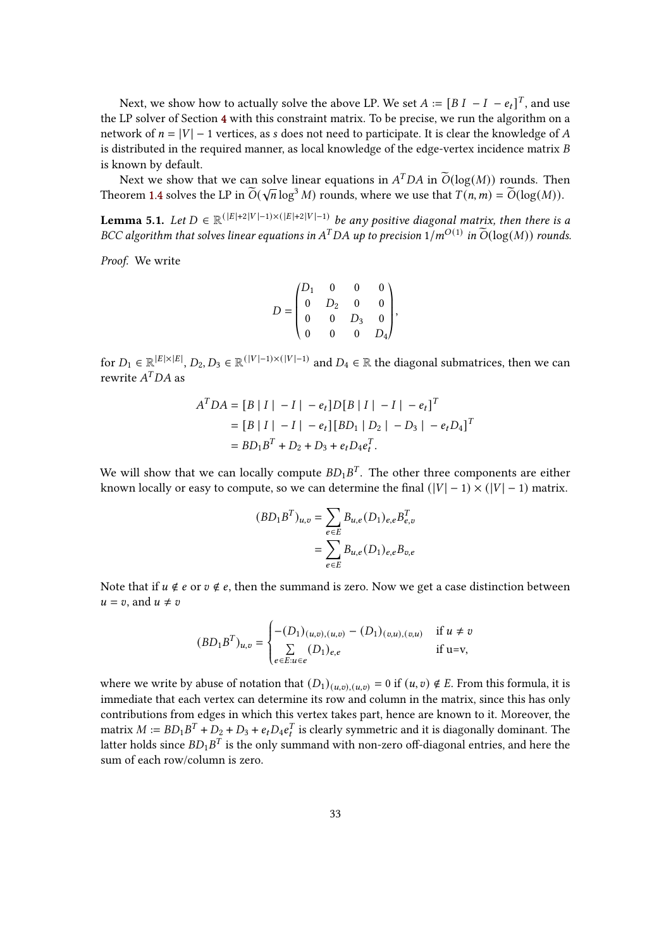Next, we show how to actually solve the above LP. We set  $A := [B I - I - e_t]^T$ , and use the LP solver of Section [4](#page-19-0) with this constraint matrix. To be precise, we run the algorithm on a network of  $n = |V| - 1$  vertices, as s does not need to participate. It is clear the knowledge of A is distributed in the required manner, as local knowledge of the edge-vertex incidence matrix  $B$ is known by default.

Next we show that we can solve linear equations in  $A^TDA$  in  $\widetilde{O}(\log(M))$  rounds. Then Theorem [1.4](#page-4-2) solves the LP in  $\widetilde{O}(\sqrt{n}\log^3 M)$  rounds, where we use that  $T(n, m) = \widetilde{O}(\log(M)).$ 

**Lemma 5.1.** Let  $D \in \mathbb{R}^{(|E|+2|V|-1)\times(|E|+2|V|-1)}$  be any positive diagonal matrix, then there is a BCC algorithm that solves linear equations in  $A^TDA$  up to precision  $1/m^{O(1)}$  in  $\widetilde{O}(\log(M))$  rounds.

Proof. We write

$$
D = \begin{pmatrix} D_1 & 0 & 0 & 0 \\ 0 & D_2 & 0 & 0 \\ 0 & 0 & D_3 & 0 \\ 0 & 0 & 0 & D_4 \end{pmatrix},
$$

for  $D_1 \in \mathbb{R}^{|E| \times |E|}$ ,  $D_2, D_3 \in \mathbb{R}^{(|V|-1) \times (|V|-1)}$  and  $D_4 \in \mathbb{R}$  the diagonal submatrices, then we can rewrite  $A^TDA$  as

$$
A^T DA = [B | I | -I | -e_t]D[B | I | -I | -e_t]^T
$$
  
= [B | I | -I | -e\_t] [BD<sub>1</sub> | D<sub>2</sub> | -D<sub>3</sub> | -e<sub>t</sub>D<sub>4</sub>]<sup>T</sup>  
= BD<sub>1</sub>B<sup>T</sup> + D<sub>2</sub> + D<sub>3</sub> + e<sub>t</sub>D<sub>4</sub>e<sub>t</sub><sup>T</sup>.

We will show that we can locally compute  $BD_1B^T$ . The other three components are either known locally or easy to compute, so we can determine the final  $(|V| - 1) \times (|V| - 1)$  matrix.

$$
(BD1BT)u,v = \sum_{e \in E} Bu,e (D1)e,e Be,vT
$$

$$
= \sum_{e \in E} Bu,e (D1)e,e Bv,e
$$

Note that if  $u \notin e$  or  $v \notin e$ , then the summand is zero. Now we get a case distinction between  $u = v$ , and  $u \neq v$ 

$$
(BD_1B^T)_{u,v} = \begin{cases} -(D_1)_{(u,v),(u,v)} - (D_1)_{(v,u),(v,u)} & \text{if } u \neq v \\ \sum_{e \in E: u \in e} (D_1)_{e,e} & \text{if } u = v, \end{cases}
$$

where we write by abuse of notation that  $(D_1)_{(u,v),(u,v)} = 0$  if  $(u, v) \notin E$ . From this formula, it is immediate that each vertex can determine its row and column in the matrix, since this has only contributions from edges in which this vertex takes part, hence are known to it. Moreover, the matrix  $M := BD_1B^T + D_2 + D_3 + e_tD_4e_t^T$  is clearly symmetric and it is diagonally dominant. The latter holds since  $BD_1B^T$  is the only summand with non-zero off-diagonal entries, and here the sum of each row/column is zero.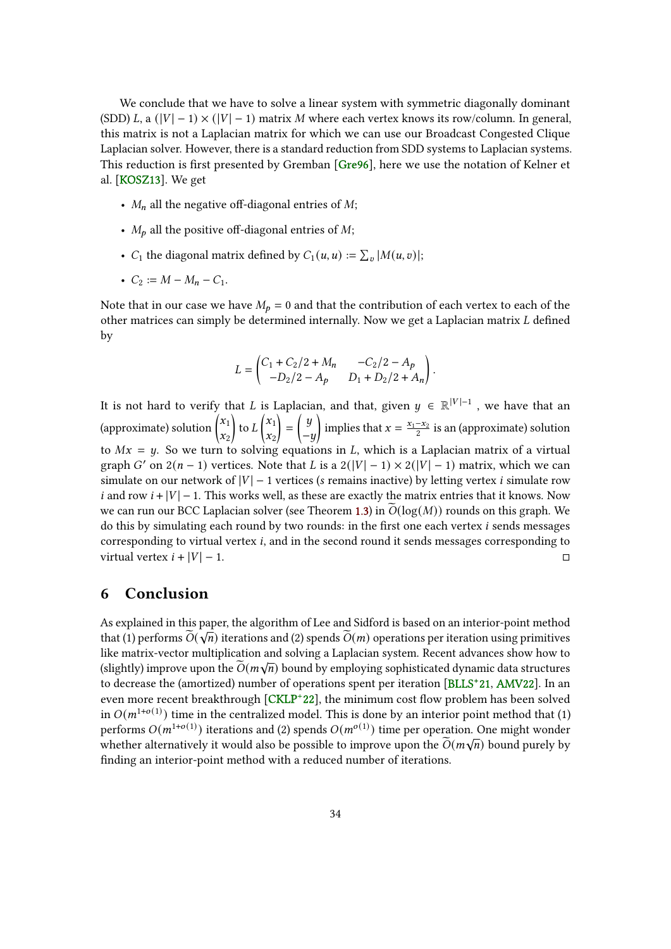<span id="page-33-1"></span>We conclude that we have to solve a linear system with symmetric diagonally dominant (SDD) L, a  $(|V| - 1) \times (|V| - 1)$  matrix M where each vertex knows its row/column. In general, this matrix is not a Laplacian matrix for which we can use our Broadcast Congested Clique Laplacian solver. However, there is a standard reduction from SDD systems to Laplacian systems. This reduction is first presented by Gremban [\[Gre96\]](#page-36-3), here we use the notation of Kelner et al. [\[KOSZ13\]](#page-37-10). We get

- $M_n$  all the negative off-diagonal entries of  $M$ ;
- $M_p$  all the positive off-diagonal entries of  $M$ ;
- $C_1$  the diagonal matrix defined by  $C_1(u, u) := \sum_v |M(u, v)|;$
- $C_2 := M M_n C_1$ .

Note that in our case we have  $M_p = 0$  and that the contribution of each vertex to each of the other matrices can simply be determined internally. Now we get a Laplacian matrix  $L$  defined by

$$
L = \begin{pmatrix} C_1 + C_2/2 + M_n & -C_2/2 - A_p \\ -D_2/2 - A_p & D_1 + D_2/2 + A_n \end{pmatrix}.
$$

It is not hard to verify that L is Laplacian, and that, given  $y \in \mathbb{R}^{|V|-1}$  , we have that an (approximate) solution  $\int_0^1 x_1$  $\mathbf{x}_2$  $\int$  to  $L^{x_1}$  $\mathbf{x}_2$  $=\left(\begin{array}{c}y\end{array}\right)$  $-y$ implies that  $x = \frac{x_1 - x_2}{2}$  is an (approximate) solution to  $Mx = y$ . So we turn to solving equations in L, which is a Laplacian matrix of a virtual graph G' on  $2(n-1)$  vertices. Note that L is a  $2(|V|-1) \times 2(|V|-1)$  matrix, which we can simulate on our network of  $|V|$  – 1 vertices (s remains inactive) by letting vertex *i* simulate row i and row  $i + |V| - 1$ . This works well, as these are exactly the matrix entries that it knows. Now we can run our BCC Laplacian solver (see Theorem [1.3\)](#page-3-2) in  $\widetilde{O}(\log(M))$  rounds on this graph. We do this by simulating each round by two rounds: in the first one each vertex  $i$  sends messages corresponding to virtual vertex  $i$ , and in the second round it sends messages corresponding to virtual vertex  $i + |V| - 1$ .

## <span id="page-33-0"></span>6 Conclusion

As explained in this paper, the algorithm of Lee and Sidford is based on an interior-point method that (1) performs  $\widetilde{O}(\sqrt{n})$  iterations and (2) spends  $\widetilde{O}(m)$  operations per iteration using primitives like matrix-vector multiplication and solving a Laplacian system. Recent advances show how to (slightly) improve upon the  $\widetilde{O}(m\sqrt{n})$  bound by employing sophisticated dynamic data structures to decrease the (amortized) number of operations spent per iteration [\[BLLS](#page-35-6)<sup>+</sup> 21, [AMV22\]](#page-34-6). In an even more recent breakthrough  $\sqrt{\text{CKLP}+22}$ , the minimum cost flow problem has been solved in  $O(m^{1+o(1)})$  time in the centralized model. This is done by an interior point method that (1) performs  $O(m^{1+o(1)})$  iterations and (2) spends  $O(m^{o(1)})$  time per operation. One might wonder whether alternatively it would also be possible to improve upon the  $\widetilde{O}(m\sqrt{n})$  bound purely by finding an interior-point method with a reduced number of iterations.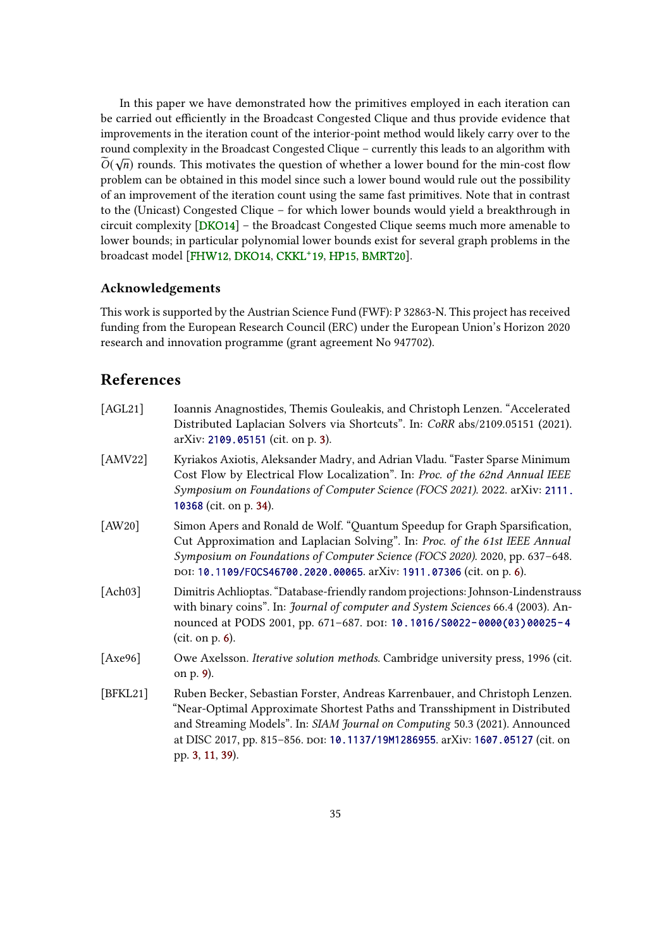<span id="page-34-7"></span>In this paper we have demonstrated how the primitives employed in each iteration can be carried out efficiently in the Broadcast Congested Clique and thus provide evidence that improvements in the iteration count of the interior-point method would likely carry over to the round complexity in the Broadcast Congested Clique – currently this leads to an algorithm with  $\widetilde{O}(\sqrt{n})$  rounds. This motivates the question of whether a lower bound for the min-cost flow problem can be obtained in this model since such a lower bound would rule out the possibility of an improvement of the iteration count using the same fast primitives. Note that in contrast to the (Unicast) Congested Clique – for which lower bounds would yield a breakthrough in circuit complexity [\[DKO14\]](#page-35-8) – the Broadcast Congested Clique seems much more amenable to lower bounds; in particular polynomial lower bounds exist for several graph problems in the broadcast model [\[FHW12,](#page-36-8) [DKO14,](#page-35-8) [CKKL](#page-35-3)<sup>+</sup> 19, [HP15,](#page-36-9) [BMRT20\]](#page-35-9).

## Acknowledgements

This work is supported by the Austrian Science Fund (FWF): P 32863-N. This project has received funding from the European Research Council (ERC) under the European Union's Horizon 2020 research and innovation programme (grant agreement No 947702).

## <span id="page-34-0"></span>References

<span id="page-34-6"></span><span id="page-34-5"></span><span id="page-34-4"></span><span id="page-34-3"></span><span id="page-34-2"></span><span id="page-34-1"></span>

| [AGL21]     | Ioannis Anagnostides, Themis Gouleakis, and Christoph Lenzen. "Accelerated<br>Distributed Laplacian Solvers via Shortcuts". In: CoRR abs/2109.05151 (2021).<br>arXiv: 2109.05151 (cit. on p. 3).                                                                                                                                             |
|-------------|----------------------------------------------------------------------------------------------------------------------------------------------------------------------------------------------------------------------------------------------------------------------------------------------------------------------------------------------|
| [AMV22]     | Kyriakos Axiotis, Aleksander Madry, and Adrian Vladu. "Faster Sparse Minimum<br>Cost Flow by Electrical Flow Localization". In: Proc. of the 62nd Annual IEEE<br>Symposium on Foundations of Computer Science (FOCS 2021). 2022. arXiv: 2111.<br>10368 (cit. on p. 34).                                                                      |
| [AW20]      | Simon Apers and Ronald de Wolf. "Quantum Speedup for Graph Sparsification,<br>Cut Approximation and Laplacian Solving". In: Proc. of the 61st IEEE Annual<br>Symposium on Foundations of Computer Science (FOCS 2020). 2020, pp. 637-648.<br>DOI: 10.1109/FOCS46700.2020.00065. arXiv: 1911.07306 (cit. on p. 6).                            |
| [ $Ach03$ ] | Dimitris Achlioptas. "Database-friendly random projections: Johnson-Lindenstrauss<br>with binary coins". In: Journal of computer and System Sciences 66.4 (2003). An-<br>nounced at PODS 2001, pp. 671-687. DOI: 10.1016/S0022-0000(03)00025-4<br>(cit. on p. 6).                                                                            |
| [ $Axe96$ ] | Owe Axelsson. Iterative solution methods. Cambridge university press, 1996 (cit.<br>on p. 9).                                                                                                                                                                                                                                                |
| [BFKL21]    | Ruben Becker, Sebastian Forster, Andreas Karrenbauer, and Christoph Lenzen.<br>"Near-Optimal Approximate Shortest Paths and Transshipment in Distributed<br>and Streaming Models". In: SIAM Journal on Computing 50.3 (2021). Announced<br>at DISC 2017, pp. 815-856. DOI: 10.1137/19M1286955. arXiv: 1607.05127 (cit. on<br>pp. 3, 11, 39). |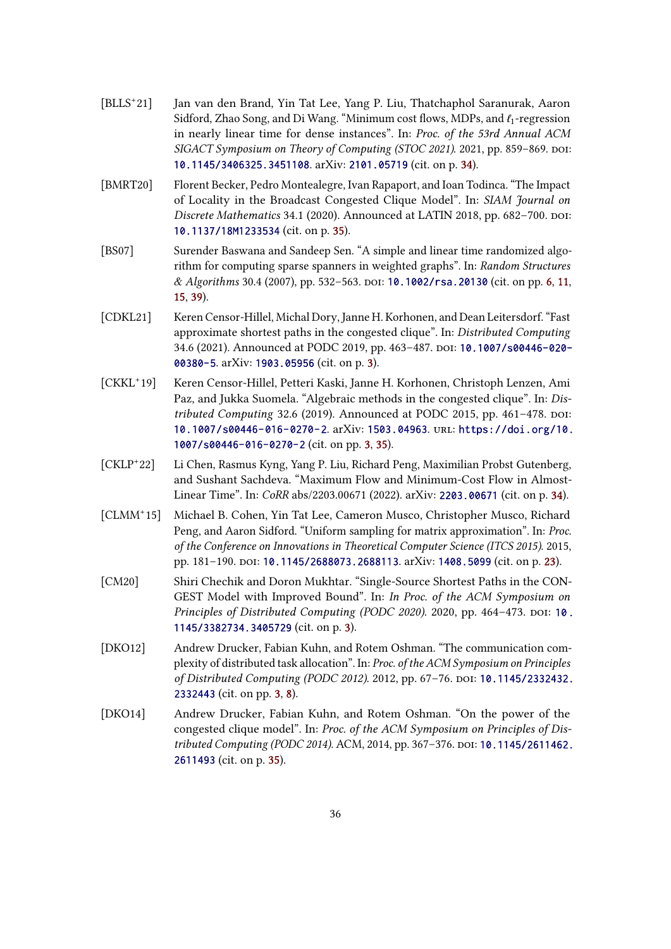- <span id="page-35-6"></span> $[**BLLS**<sup>+</sup>21]$ Jan van den Brand, Yin Tat Lee, Yang P. Liu, Thatchaphol Saranurak, Aaron Sidford, Zhao Song, and Di Wang. "Minimum cost flows, MDPs, and  $\ell_1$ -regression in nearly linear time for dense instances". In: Proc. of the 53rd Annual ACM SIGACT Symposium on Theory of Computing (STOC 2021). 2021, pp. 859-869. DOI: [10.1145/3406325.3451108](https://doi.org/10.1145/3406325.3451108). arXiv: [2101.05719](https://arxiv.org/abs/2101.05719) (cit. on p. [34\)](#page-33-1).
- <span id="page-35-9"></span>[BMRT20] Florent Becker, Pedro Montealegre, Ivan Rapaport, and Ioan Todinca. "The Impact of Locality in the Broadcast Congested Clique Model". In: SIAM Journal on Discrete Mathematics 34.1 (2020). Announced at LATIN 2018, pp. 682-700. poi: [10.1137/18M1233534](https://doi.org/10.1137/18M1233534) (cit. on p. [35\)](#page-34-7).
- <span id="page-35-4"></span>[BS07] Surender Baswana and Sandeep Sen. "A simple and linear time randomized algorithm for computing sparse spanners in weighted graphs". In: Random Structures & Algorithms 30.4 (2007), pp. 532–563. doi: [10.1002/rsa.20130](https://doi.org/10.1002/rsa.20130) (cit. on pp. [6,](#page-5-2) [11,](#page-10-2) [15,](#page-14-1) [39\)](#page-38-11).
- <span id="page-35-2"></span>[CDKL21] Keren Censor-Hillel, Michal Dory, Janne H. Korhonen, and Dean Leitersdorf. "Fast approximate shortest paths in the congested clique". In: Distributed Computing 34.6 (2021). Announced at PODC 2019, pp. 463-487. Doi: [10.1007/s00446-020-](https://doi.org/10.1007/s00446-020-00380-5) [00380-5](https://doi.org/10.1007/s00446-020-00380-5). arXiv: [1903.05956](https://arxiv.org/abs/1903.05956) (cit. on p. [3\)](#page-2-2).
- <span id="page-35-3"></span> $[CKKL+19]$ Keren Censor-Hillel, Petteri Kaski, Janne H. Korhonen, Christoph Lenzen, Ami Paz, and Jukka Suomela. "Algebraic methods in the congested clique". In: Distributed Computing 32.6 (2019). Announced at PODC 2015, pp.  $461-478$ . poi: [10.1007/s00446-016-0270-2](https://doi.org/10.1007/s00446-016-0270-2). arXiv: [1503.04963](https://arxiv.org/abs/1503.04963). url: [https://doi.org/10.](https://doi.org/10.1007/s00446-016-0270-2) [1007/s00446-016-0270-2](https://doi.org/10.1007/s00446-016-0270-2) (cit. on pp. [3,](#page-2-2) [35\)](#page-34-7).
- <span id="page-35-7"></span> $[CKLP+22]$ Li Chen, Rasmus Kyng, Yang P. Liu, Richard Peng, Maximilian Probst Gutenberg, and Sushant Sachdeva. "Maximum Flow and Minimum-Cost Flow in Almost-Linear Time". In: CoRR abs/2203.00671 (2022). arXiv: [2203.00671](https://arxiv.org/abs/2203.00671) (cit. on p. [34\)](#page-33-1).
- <span id="page-35-5"></span> $[CLMM^+15]$ Michael B. Cohen, Yin Tat Lee, Cameron Musco, Christopher Musco, Richard Peng, and Aaron Sidford. "Uniform sampling for matrix approximation". In: Proc. of the Conference on Innovations in Theoretical Computer Science (ITCS 2015). 2015, pp. 181-190. doi: [10.1145/2688073.2688113](https://doi.org/10.1145/2688073.2688113). arXiv: [1408.5099](https://arxiv.org/abs/1408.5099) (cit. on p. [23\)](#page-22-1).
- <span id="page-35-1"></span>[CM20] Shiri Chechik and Doron Mukhtar. "Single-Source Shortest Paths in the CON-GEST Model with Improved Bound". In: In Proc. of the ACM Symposium on Principles of Distributed Computing (PODC 2020). 2020, pp. 464-473. DOI: 10. [1145/3382734.3405729](https://doi.org/10.1145/3382734.3405729) (cit. on p. [3\)](#page-2-2).
- <span id="page-35-0"></span>[DKO12] Andrew Drucker, Fabian Kuhn, and Rotem Oshman. "The communication complexity of distributed task allocation". In: Proc. of the ACM Symposium on Principles of Distributed Computing (PODC 2012). 2012, pp. 67-76. DOI: [10.1145/2332432.](https://doi.org/10.1145/2332432.2332443) [2332443](https://doi.org/10.1145/2332432.2332443) (cit. on pp. [3,](#page-2-2) [8\)](#page-7-2).
- <span id="page-35-8"></span>[DKO14] Andrew Drucker, Fabian Kuhn, and Rotem Oshman. "On the power of the congested clique model". In: Proc. of the ACM Symposium on Principles of Dis-tributed Computing (PODC 2014). ACM, 2014, pp. 367-376. DOI: [10.1145/2611462.](https://doi.org/10.1145/2611462.2611493) [2611493](https://doi.org/10.1145/2611462.2611493) (cit. on p. [35\)](#page-34-7).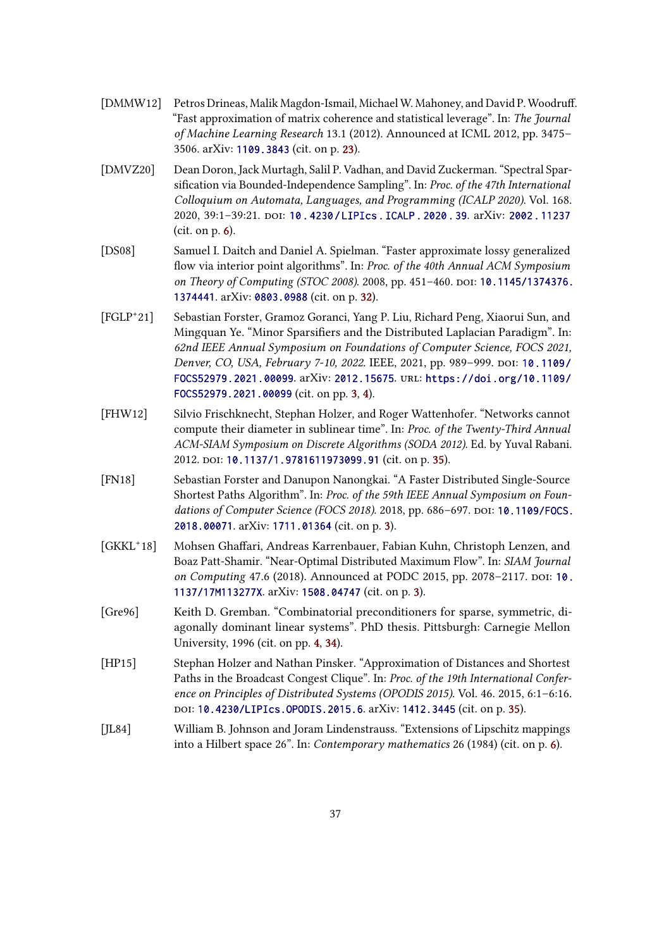- <span id="page-36-6"></span>[DMMW12] Petros Drineas, Malik Magdon-Ismail, Michael W. Mahoney, and David P. Woodruff. "Fast approximation of matrix coherence and statistical leverage". In: The Journal of Machine Learning Research 13.1 (2012). Announced at ICML 2012, pp. 3475– 3506. arXiv: [1109.3843](https://arxiv.org/abs/1109.3843) (cit. on p. [23\)](#page-22-1).
- <span id="page-36-5"></span>[DMVZ20] Dean Doron, Jack Murtagh, Salil P. Vadhan, and David Zuckerman. "Spectral Sparsification via Bounded-Independence Sampling". In: Proc. of the 47th International Colloquium on Automata, Languages, and Programming (ICALP 2020). Vol. 168. 2020, 39:1–39:21. doi: [10 . 4230 / LIPIcs . ICALP . 2020 . 39](https://doi.org/10.4230/LIPIcs.ICALP.2020.39). arXiv: [2002 . 11237](https://arxiv.org/abs/2002.11237)  $(cit. on p. 6)$  $(cit. on p. 6)$ .
- <span id="page-36-7"></span>[DS08] Samuel I. Daitch and Daniel A. Spielman. "Faster approximate lossy generalized flow via interior point algorithms". In: Proc. of the 40th Annual ACM Symposium on Theory of Computing (STOC 2008). 2008, pp. 451-460. DOI: [10.1145/1374376.](https://doi.org/10.1145/1374376.1374441) [1374441](https://doi.org/10.1145/1374376.1374441). arXiv: [0803.0988](https://arxiv.org/abs/0803.0988) (cit. on p. [32\)](#page-31-1).
- <span id="page-36-1"></span> $[FGLP^+21]$ 21] Sebastian Forster, Gramoz Goranci, Yang P. Liu, Richard Peng, Xiaorui Sun, and Mingquan Ye. "Minor Sparsifiers and the Distributed Laplacian Paradigm". In: 62nd IEEE Annual Symposium on Foundations of Computer Science, FOCS 2021, Denver, CO, USA, February 7-10, 2022. IEEE, 2021, pp. 989-999. DOI: [10.1109/](https://doi.org/10.1109/FOCS52979.2021.00099) [FOCS52979.2021.00099](https://doi.org/10.1109/FOCS52979.2021.00099). arXiv: [2012.15675](https://arxiv.org/abs/2012.15675). url: [https://doi.org/10.1109/](https://doi.org/10.1109/FOCS52979.2021.00099) [FOCS52979.2021.00099](https://doi.org/10.1109/FOCS52979.2021.00099) (cit. on pp. [3,](#page-2-2) [4\)](#page-3-4).
- <span id="page-36-8"></span>[FHW12] Silvio Frischknecht, Stephan Holzer, and Roger Wattenhofer. "Networks cannot compute their diameter in sublinear time". In: Proc. of the Twenty-Third Annual ACM-SIAM Symposium on Discrete Algorithms (SODA 2012). Ed. by Yuval Rabani. 2012. poi: [10.1137/1.9781611973099.91](https://doi.org/10.1137/1.9781611973099.91) (cit. on p. [35\)](#page-34-7).
- <span id="page-36-2"></span>[FN18] Sebastian Forster and Danupon Nanongkai. "A Faster Distributed Single-Source Shortest Paths Algorithm". In: Proc. of the 59th IEEE Annual Symposium on Foun-dations of Computer Science (FOCS 2018). 2018, pp. 686-697. DOI: [10.1109/FOCS.](https://doi.org/10.1109/FOCS.2018.00071) [2018.00071](https://doi.org/10.1109/FOCS.2018.00071). arXiv: [1711.01364](https://arxiv.org/abs/1711.01364) (cit. on p. [3\)](#page-2-2).
- <span id="page-36-0"></span> $[GKKL+18]$ Mohsen Ghaffari, Andreas Karrenbauer, Fabian Kuhn, Christoph Lenzen, and Boaz Patt-Shamir. "Near-Optimal Distributed Maximum Flow". In: SIAM Journal on Computing 47.6 (2018). Announced at PODC 2015, pp. 2078-2117. poi: [10.](https://doi.org/10.1137/17M113277X) [1137/17M113277X](https://doi.org/10.1137/17M113277X). arXiv: [1508.04747](https://arxiv.org/abs/1508.04747) (cit. on p. [3\)](#page-2-2).
- <span id="page-36-3"></span>[Gre96] Keith D. Gremban. "Combinatorial preconditioners for sparse, symmetric, diagonally dominant linear systems". PhD thesis. Pittsburgh: Carnegie Mellon University, 1996 (cit. on pp. [4,](#page-3-4) [34\)](#page-33-1).
- <span id="page-36-9"></span>[HP15] Stephan Holzer and Nathan Pinsker. "Approximation of Distances and Shortest Paths in the Broadcast Congest Clique". In: Proc. of the 19th International Conference on Principles of Distributed Systems (OPODIS 2015). Vol. 46. 2015, 6:1–6:16. doi: [10.4230/LIPIcs.OPODIS.2015.6](https://doi.org/10.4230/LIPIcs.OPODIS.2015.6). arXiv: [1412.3445](https://arxiv.org/abs/1412.3445) (cit. on p. [35\)](#page-34-7).
- <span id="page-36-4"></span>[JL84] William B. Johnson and Joram Lindenstrauss. "Extensions of Lipschitz mappings into a Hilbert space 26". In: Contemporary mathematics 26 (1984) (cit. on p. [6\)](#page-5-2).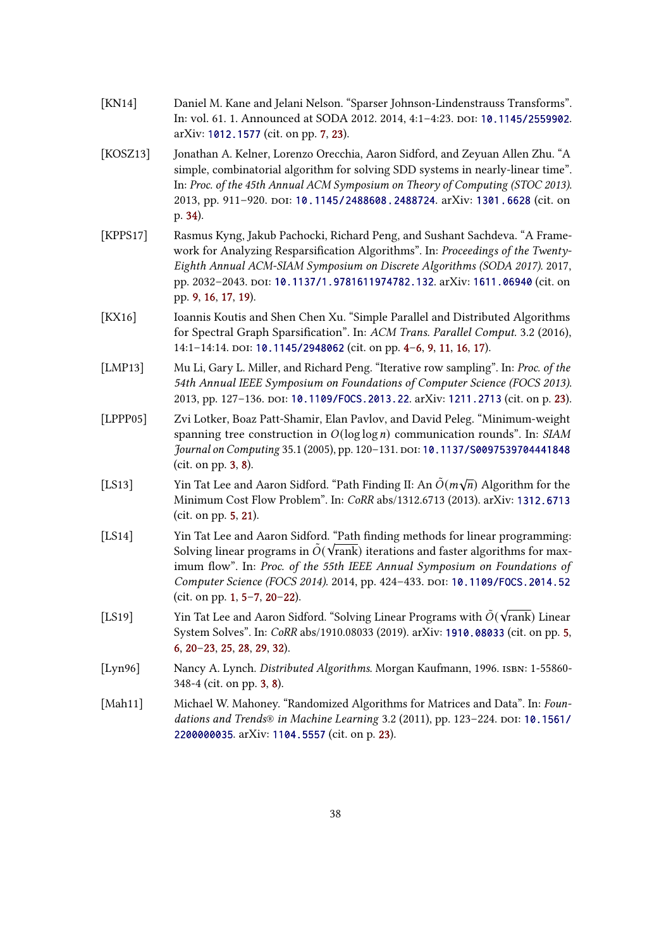<span id="page-37-6"></span>

| [ $KN14$ ] | Daniel M. Kane and Jelani Nelson. "Sparser Johnson-Lindenstrauss Transforms".  |
|------------|--------------------------------------------------------------------------------|
|            | In: vol. 61, 1. Announced at SODA 2012, 2014, 4:1-4:23, por: 10, 1145/2559902. |
|            | arXiv: 1012.1577 (cit. on pp. 7, 23).                                          |

- <span id="page-37-10"></span>[KOSZ13] Jonathan A. Kelner, Lorenzo Orecchia, Aaron Sidford, and Zeyuan Allen Zhu. "A simple, combinatorial algorithm for solving SDD systems in nearly-linear time". In: Proc. of the 45th Annual ACM Symposium on Theory of Computing (STOC 2013). 2013, pp. 911-920. DOI: [10.1145/2488608.2488724](https://doi.org/10.1145/2488608.2488724). arXiv: [1301.6628](https://arxiv.org/abs/1301.6628) (cit. on p. [34\)](#page-33-1).
- <span id="page-37-7"></span>[KPPS17] Rasmus Kyng, Jakub Pachocki, Richard Peng, and Sushant Sachdeva. "A Framework for Analyzing Resparsification Algorithms". In: Proceedings of the Twenty-Eighth Annual ACM-SIAM Symposium on Discrete Algorithms (SODA 2017). 2017, pp. 2032-2043. poi: [10.1137/1.9781611974782.132](https://doi.org/10.1137/1.9781611974782.132). arXiv: [1611.06940](https://arxiv.org/abs/1611.06940) (cit. on pp. [9,](#page-8-3) [16,](#page-15-2) [17,](#page-16-1) [19\)](#page-18-2).
- <span id="page-37-3"></span>[KX16] Ioannis Koutis and Shen Chen Xu. "Simple Parallel and Distributed Algorithms for Spectral Graph Sparsification". In: ACM Trans. Parallel Comput. 3.2 (2016), 14:1-14:14. DOI: [10.1145/2948062](https://doi.org/10.1145/2948062) (cit. on pp. [4](#page-3-4)-6, [9,](#page-8-3) [11,](#page-10-2) [16,](#page-15-2) [17\)](#page-16-1).
- <span id="page-37-9"></span>[LMP13] Mu Li, Gary L. Miller, and Richard Peng. "Iterative row sampling". In: Proc. of the 54th Annual IEEE Symposium on Foundations of Computer Science (FOCS 2013). 2013, pp. 127–136. doi: [10.1109/FOCS.2013.22](https://doi.org/10.1109/FOCS.2013.22). arXiv: [1211.2713](https://arxiv.org/abs/1211.2713) (cit. on p. [23\)](#page-22-1).
- <span id="page-37-2"></span>[LPPP05] Zvi Lotker, Boaz Patt-Shamir, Elan Pavlov, and David Peleg. "Minimum-weight spanning tree construction in  $O(log log n)$  communication rounds". In: SIAM Journal on Computing 35.1 (2005), pp. 120-131. DOI: [10.1137/S0097539704441848](https://doi.org/10.1137/S0097539704441848) (cit. on pp. [3,](#page-2-2) [8\)](#page-7-2).
- <span id="page-37-4"></span>[LS13] Yin Tat Lee and Aaron Sidford. "Path Finding II: An  $\tilde{O}(m\sqrt{n})$  Algorithm for the Minimum Cost Flow Problem". In: CoRR abs/1312.6713 (2013). arXiv: [1312.6713](https://arxiv.org/abs/1312.6713) (cit. on pp. [5,](#page-4-3) [21\)](#page-20-2).
- <span id="page-37-0"></span>[LS14] Yin Tat Lee and Aaron Sidford. "Path finding methods for linear programming: Solving linear programs in  $\tilde{O}(\sqrt{\text{rank}})$  iterations and faster algorithms for maximum flow". In: Proc. of the 55th IEEE Annual Symposium on Foundations of Computer Science (FOCS 2014). 2014, pp. 424-433. DOI: [10.1109/FOCS.2014.52](https://doi.org/10.1109/FOCS.2014.52) (cit. on pp. [1,](#page-0-0) [5](#page-4-3)[–7,](#page-6-2) [20–](#page-19-1)[22\)](#page-21-0).
- <span id="page-37-5"></span> $[LS19]$  Yin Tat Lee and Aaron Sidford. "Solving Linear Programs with  $\tilde{O}(\sqrt{\text{rank}})$  Linear System Solves". In: CoRR abs/1910.08033 (2019). arXiv: [1910.08033](https://arxiv.org/abs/1910.08033) (cit. on pp. [5,](#page-4-3) [6,](#page-5-2) [20–](#page-19-1)[23,](#page-22-1) [25,](#page-24-1) [28,](#page-27-2) [29,](#page-28-2) [32\)](#page-31-1).
- <span id="page-37-1"></span>[Lyn96] Nancy A. Lynch. Distributed Algorithms. Morgan Kaufmann, 1996. ISBN: 1-55860-348-4 (cit. on pp. [3,](#page-2-2) [8\)](#page-7-2).
- <span id="page-37-8"></span>[Mah11] Michael W. Mahoney. "Randomized Algorithms for Matrices and Data". In: Foun-dations and Trends® in Machine Learning 3.2 (2011), pp. 123-224. DOI: [10.1561/](https://doi.org/10.1561/2200000035) [2200000035](https://doi.org/10.1561/2200000035). arXiv: [1104.5557](https://arxiv.org/abs/1104.5557) (cit. on p. [23\)](#page-22-1).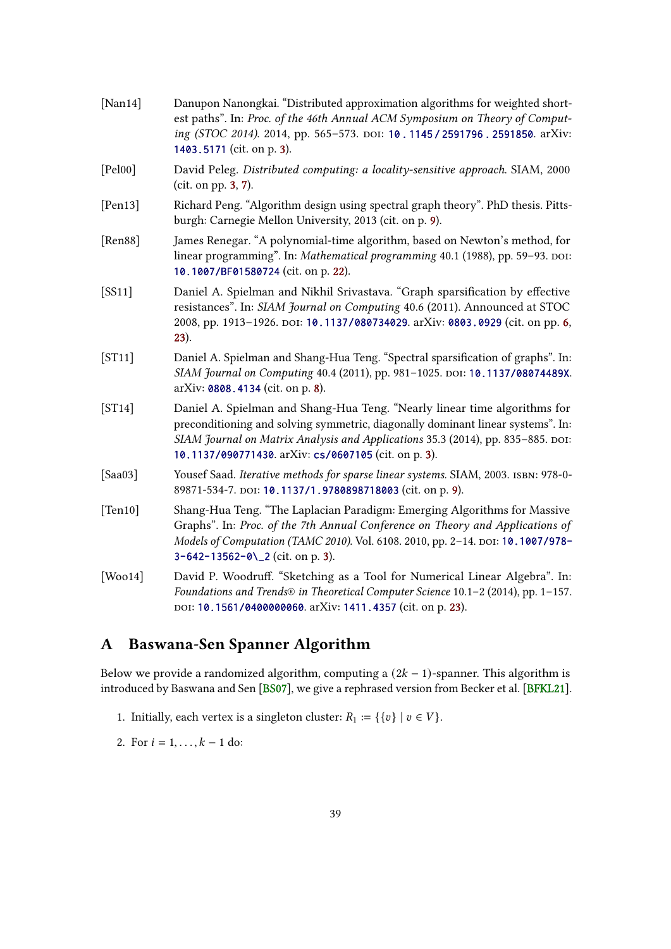<span id="page-38-11"></span><span id="page-38-9"></span><span id="page-38-8"></span><span id="page-38-6"></span><span id="page-38-5"></span><span id="page-38-4"></span><span id="page-38-1"></span>

| [ $Nan14$ ]  | Danupon Nanongkai. "Distributed approximation algorithms for weighted short-<br>est paths". In: Proc. of the 46th Annual ACM Symposium on Theory of Comput-<br>ing (STOC 2014). 2014, pp. 565-573. DOI: 10.1145/2591796.2591850. arXiv:<br>1403.5171 (cit. on p. 3).                                    |
|--------------|---------------------------------------------------------------------------------------------------------------------------------------------------------------------------------------------------------------------------------------------------------------------------------------------------------|
| [Pe100]      | David Peleg. Distributed computing: a locality-sensitive approach. SIAM, 2000<br>(cit. on pp. 3, 7).                                                                                                                                                                                                    |
| [Pen13]      | Richard Peng. "Algorithm design using spectral graph theory". PhD thesis. Pitts-<br>burgh: Carnegie Mellon University, 2013 (cit. on p. 9).                                                                                                                                                             |
| [Ren88]      | James Renegar. "A polynomial-time algorithm, based on Newton's method, for<br>linear programming". In: Mathematical programming 40.1 (1988), pp. 59-93. DOI:<br>10.1007/BF01580724 (cit. on p. 22).                                                                                                     |
| [SS11]       | Daniel A. Spielman and Nikhil Srivastava. "Graph sparsification by effective<br>resistances". In: SIAM Journal on Computing 40.6 (2011). Announced at STOC<br>2008, pp. 1913-1926. DOI: 10.1137/080734029. arXiv: 0803.0929 (cit. on pp. 6,<br>23).                                                     |
| [ST11]       | Daniel A. Spielman and Shang-Hua Teng. "Spectral sparsification of graphs". In:<br>SIAM Journal on Computing 40.4 (2011), pp. 981-1025. DOI: 10.1137/08074489X.<br>arXiv: 0808.4134 (cit. on p. 8).                                                                                                     |
| [ST14]       | Daniel A. Spielman and Shang-Hua Teng. "Nearly linear time algorithms for<br>preconditioning and solving symmetric, diagonally dominant linear systems". In:<br>SIAM Journal on Matrix Analysis and Applications 35.3 (2014), pp. 835-885. DOI:<br>10.1137/090771430. arXiv: cs/0607105 (cit. on p. 3). |
| [Saa03]      | Yousef Saad. Iterative methods for sparse linear systems. SIAM, 2003. ISBN: 978-0-<br>89871-534-7. DOI: 10.1137/1.9780898718003 (cit. on p. 9).                                                                                                                                                         |
| [Ten 10]     | Shang-Hua Teng. "The Laplacian Paradigm: Emerging Algorithms for Massive<br>Graphs". In: Proc. of the 7th Annual Conference on Theory and Applications of<br>Models of Computation (TAMC 2010). Vol. 6108. 2010, pp. 2-14. DOI: 10.1007/978-<br>3-642-13562-0\_2 (cit. on p. 3).                        |
| [ $Wood4]$ ] | David P. Woodruff. "Sketching as a Tool for Numerical Linear Algebra". In:<br>Foundations and Trends® in Theoretical Computer Science 10.1-2 (2014), pp. 1-157.<br>DOI: 10.1561/0400000060. arXiv: 1411.4357 (cit. on p. 23).                                                                           |

# <span id="page-38-10"></span><span id="page-38-7"></span><span id="page-38-3"></span><span id="page-38-2"></span><span id="page-38-0"></span>A Baswana-Sen Spanner Algorithm

Below we provide a randomized algorithm, computing a  $(2k - 1)$ -spanner. This algorithm is introduced by Baswana and Sen [\[BS07\]](#page-35-4), we give a rephrased version from Becker et al. [\[BFKL21\]](#page-34-1).

- 1. Initially, each vertex is a singleton cluster:  $R_1 := \{ \{v\} \mid v \in V \}.$
- 2. For  $i = 1, ..., k 1$  do: